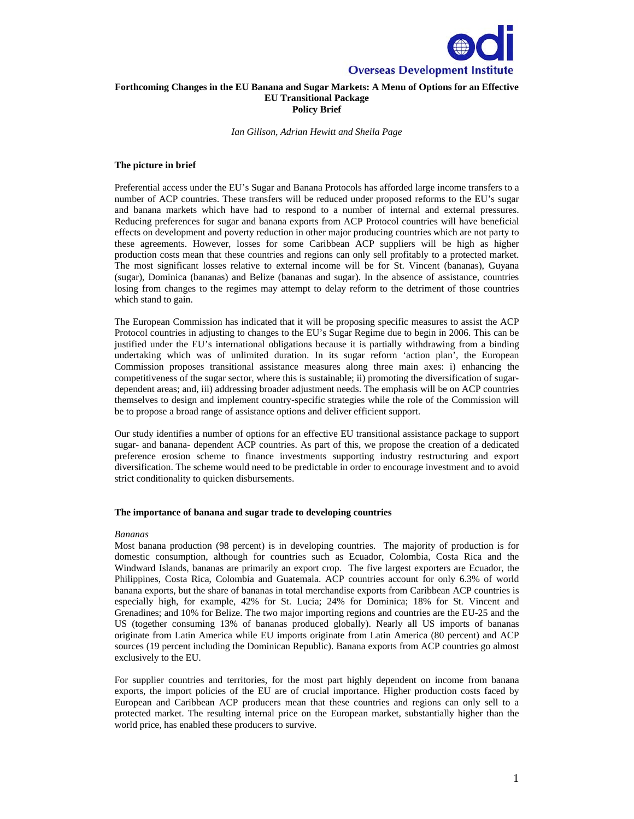

#### **Forthcoming Changes in the EU Banana and Sugar Markets: A Menu of Options for an Effective EU Transitional Package Policy Brief**

*Ian Gillson, Adrian Hewitt and Sheila Page* 

#### **The picture in brief**

Preferential access under the EU's Sugar and Banana Protocols has afforded large income transfers to a number of ACP countries. These transfers will be reduced under proposed reforms to the EU's sugar and banana markets which have had to respond to a number of internal and external pressures. Reducing preferences for sugar and banana exports from ACP Protocol countries will have beneficial effects on development and poverty reduction in other major producing countries which are not party to these agreements. However, losses for some Caribbean ACP suppliers will be high as higher production costs mean that these countries and regions can only sell profitably to a protected market. The most significant losses relative to external income will be for St. Vincent (bananas), Guyana (sugar), Dominica (bananas) and Belize (bananas and sugar). In the absence of assistance, countries losing from changes to the regimes may attempt to delay reform to the detriment of those countries which stand to gain.

The European Commission has indicated that it will be proposing specific measures to assist the ACP Protocol countries in adjusting to changes to the EU's Sugar Regime due to begin in 2006. This can be justified under the EU's international obligations because it is partially withdrawing from a binding undertaking which was of unlimited duration. In its sugar reform 'action plan', the European Commission proposes transitional assistance measures along three main axes: i) enhancing the competitiveness of the sugar sector, where this is sustainable; ii) promoting the diversification of sugardependent areas; and, iii) addressing broader adjustment needs. The emphasis will be on ACP countries themselves to design and implement country-specific strategies while the role of the Commission will be to propose a broad range of assistance options and deliver efficient support.

Our study identifies a number of options for an effective EU transitional assistance package to support sugar- and banana- dependent ACP countries. As part of this, we propose the creation of a dedicated preference erosion scheme to finance investments supporting industry restructuring and export diversification. The scheme would need to be predictable in order to encourage investment and to avoid strict conditionality to quicken disbursements.

#### **The importance of banana and sugar trade to developing countries**

#### *Bananas*

Most banana production (98 percent) is in developing countries. The majority of production is for domestic consumption, although for countries such as Ecuador, Colombia, Costa Rica and the Windward Islands, bananas are primarily an export crop. The five largest exporters are Ecuador, the Philippines, Costa Rica, Colombia and Guatemala. ACP countries account for only 6.3% of world banana exports, but the share of bananas in total merchandise exports from Caribbean ACP countries is especially high, for example, 42% for St. Lucia; 24% for Dominica; 18% for St. Vincent and Grenadines; and 10% for Belize. The two major importing regions and countries are the EU-25 and the US (together consuming 13% of bananas produced globally). Nearly all US imports of bananas originate from Latin America while EU imports originate from Latin America (80 percent) and ACP sources (19 percent including the Dominican Republic). Banana exports from ACP countries go almost exclusively to the EU.

For supplier countries and territories, for the most part highly dependent on income from banana exports, the import policies of the EU are of crucial importance. Higher production costs faced by European and Caribbean ACP producers mean that these countries and regions can only sell to a protected market. The resulting internal price on the European market, substantially higher than the world price, has enabled these producers to survive.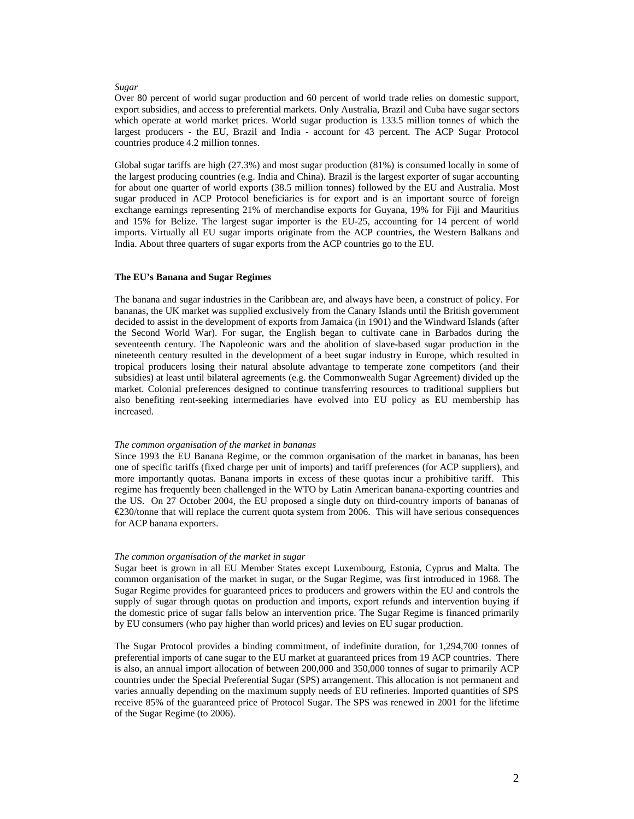#### *Sugar*

Over 80 percent of world sugar production and 60 percent of world trade relies on domestic support, export subsidies, and access to preferential markets. Only Australia, Brazil and Cuba have sugar sectors which operate at world market prices. World sugar production is 133.5 million tonnes of which the largest producers - the EU, Brazil and India - account for 43 percent. The ACP Sugar Protocol countries produce 4.2 million tonnes.

Global sugar tariffs are high (27.3%) and most sugar production (81%) is consumed locally in some of the largest producing countries (e.g. India and China). Brazil is the largest exporter of sugar accounting for about one quarter of world exports (38.5 million tonnes) followed by the EU and Australia. Most sugar produced in ACP Protocol beneficiaries is for export and is an important source of foreign exchange earnings representing 21% of merchandise exports for Guyana, 19% for Fiji and Mauritius and 15% for Belize. The largest sugar importer is the EU-25, accounting for 14 percent of world imports. Virtually all EU sugar imports originate from the ACP countries, the Western Balkans and India. About three quarters of sugar exports from the ACP countries go to the EU.

#### **The EU's Banana and Sugar Regimes**

The banana and sugar industries in the Caribbean are, and always have been, a construct of policy. For bananas, the UK market was supplied exclusively from the Canary Islands until the British government decided to assist in the development of exports from Jamaica (in 1901) and the Windward Islands (after the Second World War). For sugar, the English began to cultivate cane in Barbados during the seventeenth century. The Napoleonic wars and the abolition of slave-based sugar production in the nineteenth century resulted in the development of a beet sugar industry in Europe, which resulted in tropical producers losing their natural absolute advantage to temperate zone competitors (and their subsidies) at least until bilateral agreements (e.g. the Commonwealth Sugar Agreement) divided up the market. Colonial preferences designed to continue transferring resources to traditional suppliers but also benefiting rent-seeking intermediaries have evolved into EU policy as EU membership has increased.

#### *The common organisation of the market in bananas*

Since 1993 the EU Banana Regime, or the common organisation of the market in bananas, has been one of specific tariffs (fixed charge per unit of imports) and tariff preferences (for ACP suppliers), and more importantly quotas. Banana imports in excess of these quotas incur a prohibitive tariff. This regime has frequently been challenged in the WTO by Latin American banana-exporting countries and the US. On 27 October 2004, the EU proposed a single duty on third-country imports of bananas of €230/tonne that will replace the current quota system from 2006. This will have serious consequences for ACP banana exporters.

#### *The common organisation of the market in sugar*

Sugar beet is grown in all EU Member States except Luxembourg, Estonia, Cyprus and Malta. The common organisation of the market in sugar, or the Sugar Regime, was first introduced in 1968. The Sugar Regime provides for guaranteed prices to producers and growers within the EU and controls the supply of sugar through quotas on production and imports, export refunds and intervention buying if the domestic price of sugar falls below an intervention price. The Sugar Regime is financed primarily by EU consumers (who pay higher than world prices) and levies on EU sugar production.

The Sugar Protocol provides a binding commitment, of indefinite duration, for 1,294,700 tonnes of preferential imports of cane sugar to the EU market at guaranteed prices from 19 ACP countries. There is also, an annual import allocation of between 200,000 and 350,000 tonnes of sugar to primarily ACP countries under the Special Preferential Sugar (SPS) arrangement. This allocation is not permanent and varies annually depending on the maximum supply needs of EU refineries. Imported quantities of SPS receive 85% of the guaranteed price of Protocol Sugar. The SPS was renewed in 2001 for the lifetime of the Sugar Regime (to 2006).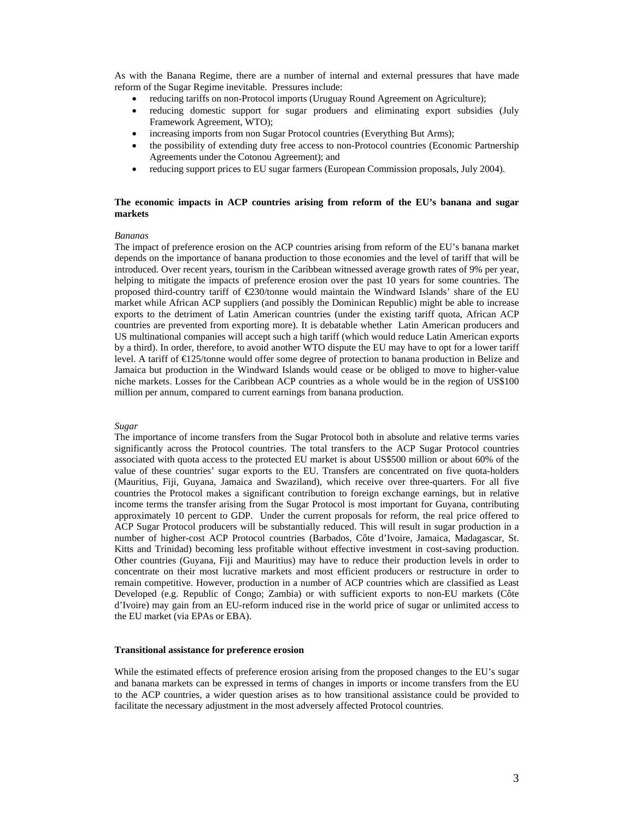As with the Banana Regime, there are a number of internal and external pressures that have made reform of the Sugar Regime inevitable. Pressures include:

- reducing tariffs on non-Protocol imports (Uruguay Round Agreement on Agriculture);
- reducing domestic support for sugar produers and eliminating export subsidies (July Framework Agreement, WTO);
- increasing imports from non Sugar Protocol countries (Everything But Arms);
- the possibility of extending duty free access to non-Protocol countries (Economic Partnership Agreements under the Cotonou Agreement); and
- reducing support prices to EU sugar farmers (European Commission proposals, July 2004).

#### **The economic impacts in ACP countries arising from reform of the EU's banana and sugar markets**

#### *Bananas*

The impact of preference erosion on the ACP countries arising from reform of the EU's banana market depends on the importance of banana production to those economies and the level of tariff that will be introduced. Over recent years, tourism in the Caribbean witnessed average growth rates of 9% per year, helping to mitigate the impacts of preference erosion over the past 10 years for some countries. The proposed third-country tariff of  $\epsilon$ 230/tonne would maintain the Windward Islands' share of the EU market while African ACP suppliers (and possibly the Dominican Republic) might be able to increase exports to the detriment of Latin American countries (under the existing tariff quota, African ACP countries are prevented from exporting more). It is debatable whether Latin American producers and US multinational companies will accept such a high tariff (which would reduce Latin American exports by a third). In order, therefore, to avoid another WTO dispute the EU may have to opt for a lower tariff level. A tariff of €125/tonne would offer some degree of protection to banana production in Belize and Jamaica but production in the Windward Islands would cease or be obliged to move to higher-value niche markets. Losses for the Caribbean ACP countries as a whole would be in the region of US\$100 million per annum, compared to current earnings from banana production.

#### *Sugar*

The importance of income transfers from the Sugar Protocol both in absolute and relative terms varies significantly across the Protocol countries. The total transfers to the ACP Sugar Protocol countries associated with quota access to the protected EU market is about US\$500 million or about 60% of the value of these countries' sugar exports to the EU. Transfers are concentrated on five quota-holders (Mauritius, Fiji, Guyana, Jamaica and Swaziland), which receive over three-quarters. For all five countries the Protocol makes a significant contribution to foreign exchange earnings, but in relative income terms the transfer arising from the Sugar Protocol is most important for Guyana, contributing approximately 10 percent to GDP. Under the current proposals for reform, the real price offered to ACP Sugar Protocol producers will be substantially reduced. This will result in sugar production in a number of higher-cost ACP Protocol countries (Barbados, Côte d'Ivoire, Jamaica, Madagascar, St. Kitts and Trinidad) becoming less profitable without effective investment in cost-saving production. Other countries (Guyana, Fiji and Mauritius) may have to reduce their production levels in order to concentrate on their most lucrative markets and most efficient producers or restructure in order to remain competitive. However, production in a number of ACP countries which are classified as Least Developed (e.g. Republic of Congo; Zambia) or with sufficient exports to non-EU markets (Côte d'Ivoire) may gain from an EU-reform induced rise in the world price of sugar or unlimited access to the EU market (via EPAs or EBA).

#### **Transitional assistance for preference erosion**

While the estimated effects of preference erosion arising from the proposed changes to the EU's sugar and banana markets can be expressed in terms of changes in imports or income transfers from the EU to the ACP countries, a wider question arises as to how transitional assistance could be provided to facilitate the necessary adjustment in the most adversely affected Protocol countries.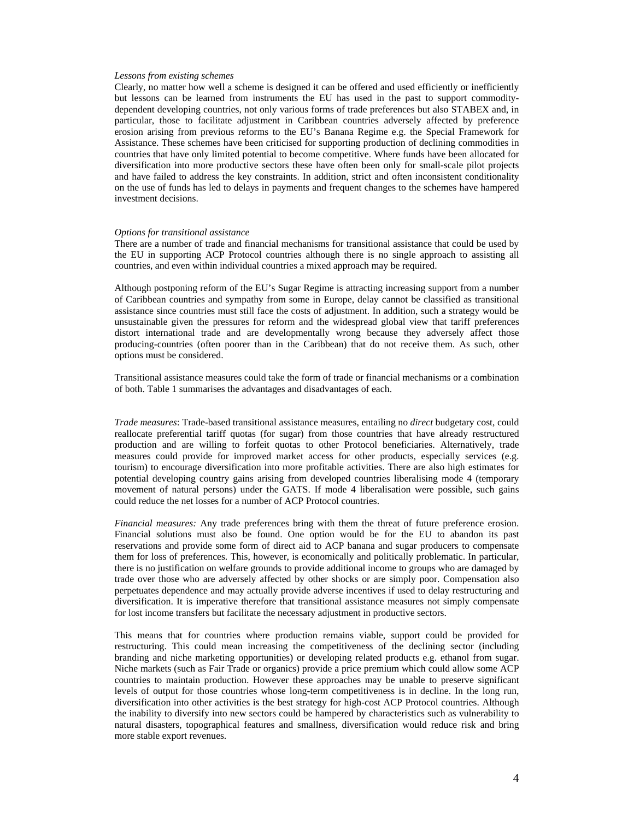#### *Lessons from existing schemes*

Clearly, no matter how well a scheme is designed it can be offered and used efficiently or inefficiently but lessons can be learned from instruments the EU has used in the past to support commoditydependent developing countries, not only various forms of trade preferences but also STABEX and, in particular, those to facilitate adjustment in Caribbean countries adversely affected by preference erosion arising from previous reforms to the EU's Banana Regime e.g. the Special Framework for Assistance. These schemes have been criticised for supporting production of declining commodities in countries that have only limited potential to become competitive. Where funds have been allocated for diversification into more productive sectors these have often been only for small-scale pilot projects and have failed to address the key constraints. In addition, strict and often inconsistent conditionality on the use of funds has led to delays in payments and frequent changes to the schemes have hampered investment decisions.

#### *Options for transitional assistance*

There are a number of trade and financial mechanisms for transitional assistance that could be used by the EU in supporting ACP Protocol countries although there is no single approach to assisting all countries, and even within individual countries a mixed approach may be required.

Although postponing reform of the EU's Sugar Regime is attracting increasing support from a number of Caribbean countries and sympathy from some in Europe, delay cannot be classified as transitional assistance since countries must still face the costs of adjustment. In addition, such a strategy would be unsustainable given the pressures for reform and the widespread global view that tariff preferences distort international trade and are developmentally wrong because they adversely affect those producing-countries (often poorer than in the Caribbean) that do not receive them. As such, other options must be considered.

Transitional assistance measures could take the form of trade or financial mechanisms or a combination of both. Table 1 summarises the advantages and disadvantages of each.

*Trade measures*: Trade-based transitional assistance measures, entailing no *direct* budgetary cost, could reallocate preferential tariff quotas (for sugar) from those countries that have already restructured production and are willing to forfeit quotas to other Protocol beneficiaries. Alternatively, trade measures could provide for improved market access for other products, especially services (e.g. tourism) to encourage diversification into more profitable activities. There are also high estimates for potential developing country gains arising from developed countries liberalising mode 4 (temporary movement of natural persons) under the GATS. If mode 4 liberalisation were possible, such gains could reduce the net losses for a number of ACP Protocol countries.

*Financial measures:* Any trade preferences bring with them the threat of future preference erosion. Financial solutions must also be found. One option would be for the EU to abandon its past reservations and provide some form of direct aid to ACP banana and sugar producers to compensate them for loss of preferences. This, however, is economically and politically problematic. In particular, there is no justification on welfare grounds to provide additional income to groups who are damaged by trade over those who are adversely affected by other shocks or are simply poor. Compensation also perpetuates dependence and may actually provide adverse incentives if used to delay restructuring and diversification. It is imperative therefore that transitional assistance measures not simply compensate for lost income transfers but facilitate the necessary adjustment in productive sectors.

This means that for countries where production remains viable, support could be provided for restructuring. This could mean increasing the competitiveness of the declining sector (including branding and niche marketing opportunities) or developing related products e.g. ethanol from sugar. Niche markets (such as Fair Trade or organics) provide a price premium which could allow some ACP countries to maintain production. However these approaches may be unable to preserve significant levels of output for those countries whose long-term competitiveness is in decline. In the long run, diversification into other activities is the best strategy for high-cost ACP Protocol countries. Although the inability to diversify into new sectors could be hampered by characteristics such as vulnerability to natural disasters, topographical features and smallness, diversification would reduce risk and bring more stable export revenues.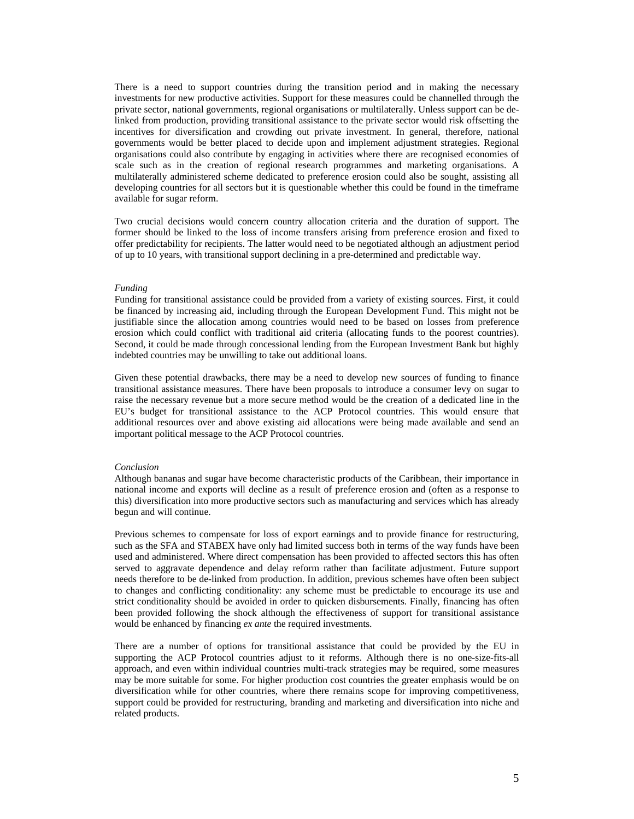There is a need to support countries during the transition period and in making the necessary investments for new productive activities. Support for these measures could be channelled through the private sector, national governments, regional organisations or multilaterally. Unless support can be delinked from production, providing transitional assistance to the private sector would risk offsetting the incentives for diversification and crowding out private investment. In general, therefore, national governments would be better placed to decide upon and implement adjustment strategies. Regional organisations could also contribute by engaging in activities where there are recognised economies of scale such as in the creation of regional research programmes and marketing organisations. A multilaterally administered scheme dedicated to preference erosion could also be sought, assisting all developing countries for all sectors but it is questionable whether this could be found in the timeframe available for sugar reform.

Two crucial decisions would concern country allocation criteria and the duration of support. The former should be linked to the loss of income transfers arising from preference erosion and fixed to offer predictability for recipients. The latter would need to be negotiated although an adjustment period of up to 10 years, with transitional support declining in a pre-determined and predictable way.

#### *Funding*

Funding for transitional assistance could be provided from a variety of existing sources. First, it could be financed by increasing aid, including through the European Development Fund. This might not be justifiable since the allocation among countries would need to be based on losses from preference erosion which could conflict with traditional aid criteria (allocating funds to the poorest countries). Second, it could be made through concessional lending from the European Investment Bank but highly indebted countries may be unwilling to take out additional loans.

Given these potential drawbacks, there may be a need to develop new sources of funding to finance transitional assistance measures. There have been proposals to introduce a consumer levy on sugar to raise the necessary revenue but a more secure method would be the creation of a dedicated line in the EU's budget for transitional assistance to the ACP Protocol countries. This would ensure that additional resources over and above existing aid allocations were being made available and send an important political message to the ACP Protocol countries.

#### *Conclusion*

Although bananas and sugar have become characteristic products of the Caribbean, their importance in national income and exports will decline as a result of preference erosion and (often as a response to this) diversification into more productive sectors such as manufacturing and services which has already begun and will continue.

Previous schemes to compensate for loss of export earnings and to provide finance for restructuring, such as the SFA and STABEX have only had limited success both in terms of the way funds have been used and administered. Where direct compensation has been provided to affected sectors this has often served to aggravate dependence and delay reform rather than facilitate adjustment. Future support needs therefore to be de-linked from production. In addition, previous schemes have often been subject to changes and conflicting conditionality: any scheme must be predictable to encourage its use and strict conditionality should be avoided in order to quicken disbursements. Finally, financing has often been provided following the shock although the effectiveness of support for transitional assistance would be enhanced by financing *ex ante* the required investments.

There are a number of options for transitional assistance that could be provided by the EU in supporting the ACP Protocol countries adjust to it reforms. Although there is no one-size-fits-all approach, and even within individual countries multi-track strategies may be required, some measures may be more suitable for some. For higher production cost countries the greater emphasis would be on diversification while for other countries, where there remains scope for improving competitiveness, support could be provided for restructuring, branding and marketing and diversification into niche and related products.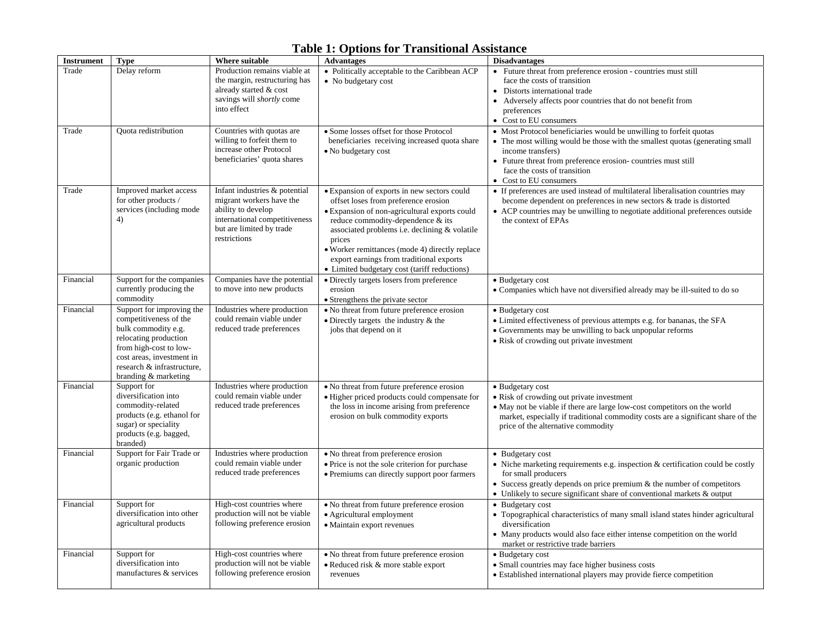|                   |                                                                                                                                                                                                                  |                                                                                                                                                              | тарк т. Орионятог ттаняцопагляявшие                                                                                                                                                                                                                                                                                                                                                       |                                                                                                                                                                                                                                                                                                    |
|-------------------|------------------------------------------------------------------------------------------------------------------------------------------------------------------------------------------------------------------|--------------------------------------------------------------------------------------------------------------------------------------------------------------|-------------------------------------------------------------------------------------------------------------------------------------------------------------------------------------------------------------------------------------------------------------------------------------------------------------------------------------------------------------------------------------------|----------------------------------------------------------------------------------------------------------------------------------------------------------------------------------------------------------------------------------------------------------------------------------------------------|
| <b>Instrument</b> | <b>Type</b>                                                                                                                                                                                                      | Where suitable                                                                                                                                               | <b>Advantages</b>                                                                                                                                                                                                                                                                                                                                                                         | <b>Disadvantages</b>                                                                                                                                                                                                                                                                               |
| Trade             | Delay reform                                                                                                                                                                                                     | Production remains viable at<br>the margin, restructuring has<br>already started & cost<br>savings will shortly come<br>into effect                          | • Politically acceptable to the Caribbean ACP<br>• No budgetary cost                                                                                                                                                                                                                                                                                                                      | • Future threat from preference erosion - countries must still<br>face the costs of transition<br>• Distorts international trade<br>• Adversely affects poor countries that do not benefit from<br>preferences<br>• Cost to EU consumers                                                           |
| Trade             | Quota redistribution                                                                                                                                                                                             | Countries with quotas are<br>willing to forfeit them to<br>increase other Protocol<br>beneficiaries' quota shares                                            | • Some losses offset for those Protocol<br>beneficiaries receiving increased quota share<br>• No budgetary cost                                                                                                                                                                                                                                                                           | • Most Protocol beneficiaries would be unwilling to forfeit quotas<br>• The most willing would be those with the smallest quotas (generating small)<br>income transfers)<br>• Future threat from preference erosion-countries must still<br>face the costs of transition<br>• Cost to EU consumers |
| Trade             | Improved market access<br>for other products /<br>services (including mode<br>4)                                                                                                                                 | Infant industries & potential<br>migrant workers have the<br>ability to develop<br>international competitiveness<br>but are limited by trade<br>restrictions | · Expansion of exports in new sectors could<br>offset loses from preference erosion<br>• Expansion of non-agricultural exports could<br>reduce commodity-dependence & its<br>associated problems <i>i.e.</i> declining & volatile<br>prices<br>• Worker remittances (mode 4) directly replace<br>export earnings from traditional exports<br>• Limited budgetary cost (tariff reductions) | • If preferences are used instead of multilateral liberalisation countries may<br>become dependent on preferences in new sectors & trade is distorted<br>• ACP countries may be unwilling to negotiate additional preferences outside<br>the context of EPAs                                       |
| Financial         | Support for the companies<br>currently producing the<br>commodity                                                                                                                                                | Companies have the potential<br>to move into new products                                                                                                    | • Directly targets losers from preference<br>erosion<br>• Strengthens the private sector                                                                                                                                                                                                                                                                                                  | • Budgetary cost<br>• Companies which have not diversified already may be ill-suited to do so                                                                                                                                                                                                      |
| Financial         | Support for improving the<br>competitiveness of the<br>bulk commodity e.g.<br>relocating production<br>from high-cost to low-<br>cost areas, investment in<br>research & infrastructure,<br>branding & marketing | Industries where production<br>could remain viable under<br>reduced trade preferences                                                                        | • No threat from future preference erosion<br>• Directly targets the industry $&$ the<br>jobs that depend on it                                                                                                                                                                                                                                                                           | • Budgetary cost<br>· Limited effectiveness of previous attempts e.g. for bananas, the SFA<br>• Governments may be unwilling to back unpopular reforms<br>• Risk of crowding out private investment                                                                                                |
| Financial         | Support for<br>diversification into<br>commodity-related<br>products (e.g. ethanol for<br>sugar) or speciality<br>products (e.g. bagged,<br>branded)                                                             | Industries where production<br>could remain viable under<br>reduced trade preferences                                                                        | • No threat from future preference erosion<br>· Higher priced products could compensate for<br>the loss in income arising from preference<br>erosion on bulk commodity exports                                                                                                                                                                                                            | • Budgetary cost<br>• Risk of crowding out private investment<br>• May not be viable if there are large low-cost competitors on the world<br>market, especially if traditional commodity costs are a significant share of the<br>price of the alternative commodity                                |
| Financial         | Support for Fair Trade or<br>organic production                                                                                                                                                                  | Industries where production<br>could remain viable under<br>reduced trade preferences                                                                        | • No threat from preference erosion<br>· Price is not the sole criterion for purchase<br>• Premiums can directly support poor farmers                                                                                                                                                                                                                                                     | • Budgetary cost<br>• Niche marketing requirements e.g. inspection & certification could be costly<br>for small producers<br>• Success greatly depends on price premium $\&$ the number of competitors<br>• Unlikely to secure significant share of conventional markets & output                  |
| Financial         | Support for<br>diversification into other<br>agricultural products                                                                                                                                               | High-cost countries where<br>production will not be viable<br>following preference erosion                                                                   | • No threat from future preference erosion<br>• Agricultural employment<br>• Maintain export revenues                                                                                                                                                                                                                                                                                     | • Budgetary cost<br>• Topographical characteristics of many small island states hinder agricultural<br>diversification<br>• Many products would also face either intense competition on the world<br>market or restrictive trade barriers                                                          |
| Financial         | Support for<br>diversification into<br>manufactures & services                                                                                                                                                   | High-cost countries where<br>production will not be viable<br>following preference erosion                                                                   | • No threat from future preference erosion<br>• Reduced risk & more stable export<br>revenues                                                                                                                                                                                                                                                                                             | • Budgetary cost<br>• Small countries may face higher business costs<br>• Established international players may provide fierce competition                                                                                                                                                         |

## **Table 1: Options for Transitional Assistance**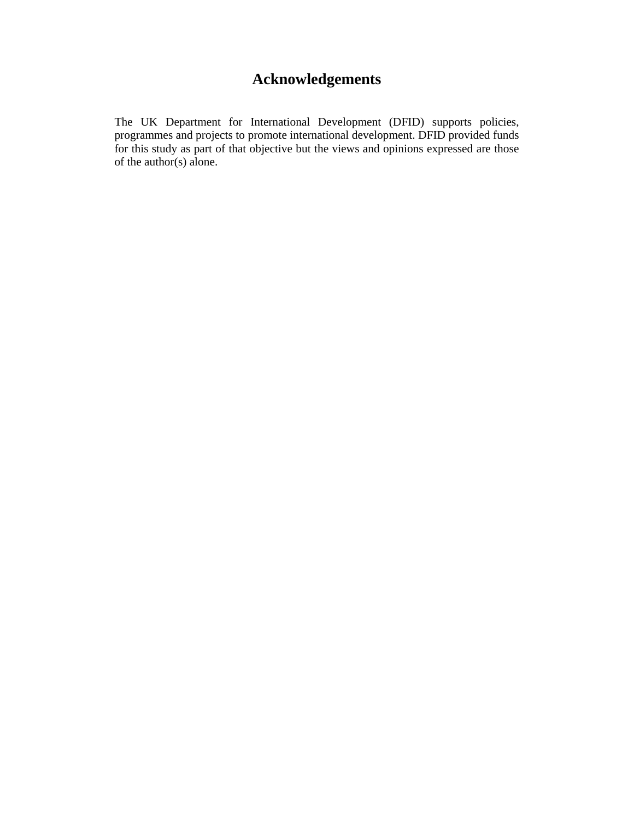# **Acknowledgements**

The UK Department for International Development (DFID) supports policies, programmes and projects to promote international development. DFID provided funds for this study as part of that objective but the views and opinions expressed are those of the author(s) alone.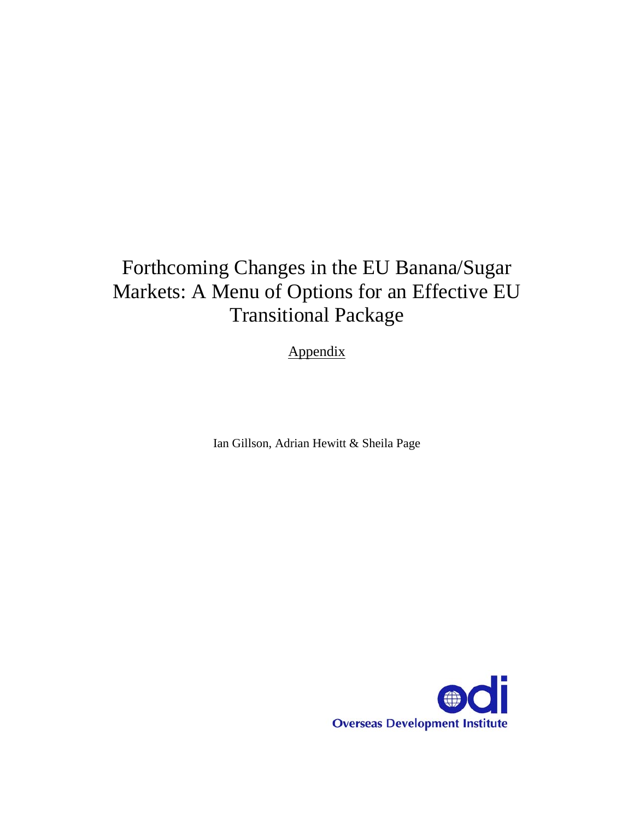# Forthcoming Changes in the EU Banana/Sugar Markets: A Menu of Options for an Effective EU Transitional Package

Appendix

Ian Gillson, Adrian Hewitt & Sheila Page

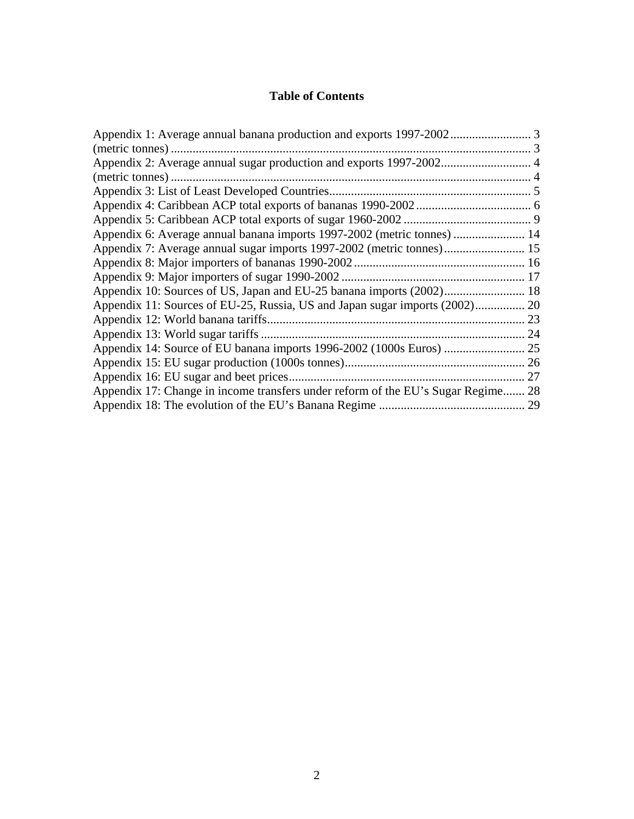## **Table of Contents**

| Appendix 6: Average annual banana imports 1997-2002 (metric tonnes)  14          |  |
|----------------------------------------------------------------------------------|--|
| Appendix 7: Average annual sugar imports 1997-2002 (metric tonnes) 15            |  |
|                                                                                  |  |
| Appendix 9: Major importers of sugar 1990-2002                                   |  |
| Appendix 10: Sources of US, Japan and EU-25 banana imports (2002) 18             |  |
|                                                                                  |  |
|                                                                                  |  |
|                                                                                  |  |
|                                                                                  |  |
|                                                                                  |  |
|                                                                                  |  |
| Appendix 17: Change in income transfers under reform of the EU's Sugar Regime 28 |  |
|                                                                                  |  |
|                                                                                  |  |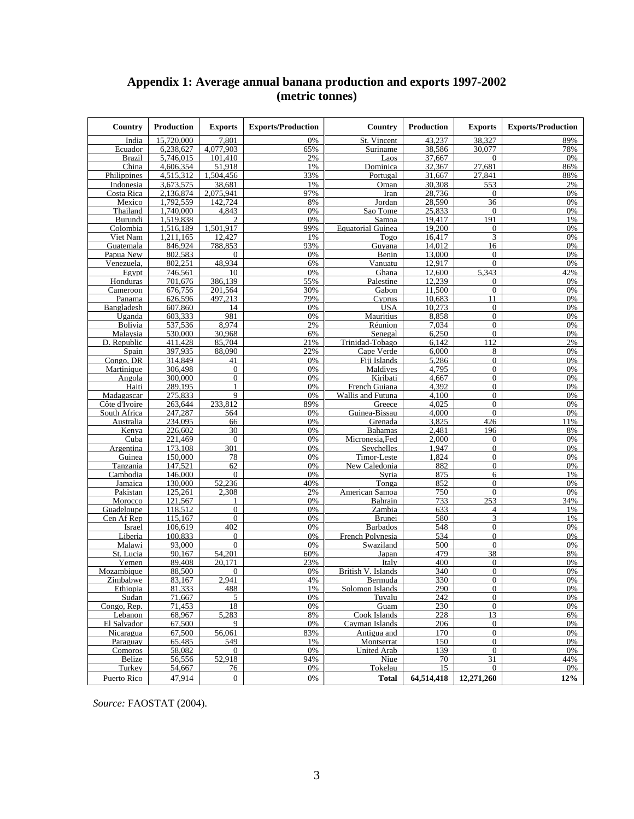## **Appendix 1: Average annual banana production and exports 1997-2002 (metric tonnes)**

| Country         | <b>Production</b>  | <b>Exports</b>                 | <b>Exports/Production</b> | Country                   | <b>Production</b> | <b>Exports</b>                   | <b>Exports/Production</b> |
|-----------------|--------------------|--------------------------------|---------------------------|---------------------------|-------------------|----------------------------------|---------------------------|
| India           | 15.720.000         | 7,801                          | 0%                        | St. Vincent               | 43.237            | 38.327                           | 89%                       |
| Ecuador         | 6,238,627          | 4,077,903                      | 65%                       | Suriname                  | 38,586            | 30,077                           | 78%                       |
| <b>Brazil</b>   | 5,746,015          | 101,410                        | 2%                        | Laos                      | 37,667            | $\overline{0}$                   | 0%                        |
| China           | 4,606,354          | 51,918                         | 1%                        | Dominica                  | 32,367            | 27,681                           | 86%                       |
| Philippines     | 4,515,312          | 1,504,456                      | 33%                       | Portugal                  | 31,667            | 27,841                           | 88%                       |
| Indonesia       | 3,673,575          | 38,681                         | 1%                        | Oman                      | 30,308            | 553                              | 2%                        |
| Costa Rica      | 2,136,874          | 2,075,941                      | 97%                       | Iran                      | 28,736            | $\theta$                         | 0%                        |
| Mexico          | 1.792.559          | 142.724                        | 8%                        | Jordan                    | 28,590            | 36                               | 0%                        |
| Thailand        | 1,740,000          | 4,843                          | 0%                        | Sao Tome                  | 25,833            | $\mathbf{0}$                     | 0%                        |
| Burundi         | 1,519,838          | $\overline{c}$                 | 0%                        | Samoa                     | 19.417            | 191                              | 1%                        |
| Colombia        | 1,516,189          | 1,501,917                      | 99%                       | <b>Equatorial Guinea</b>  | 19,200            | $\mathbf{0}$                     | 0%                        |
| Viet Nam        | 1.211.165          | 12,427                         | 1%                        | Togo                      | 16,417            | 3                                | 0%                        |
| Guatemala       | 846,924            | 788,853                        | 93%                       | Guyana                    | 14.012            | 16                               | 0%                        |
| Papua New       | 802,583            | $\overline{0}$                 | 0%                        | Benin                     | 13,000            | $\overline{0}$                   | 0%                        |
| Venezuela,      | 802,251            | 48.934                         | 6%                        | Vanuatu                   | 12,917            | $\overline{0}$                   | 0%                        |
| Egypt           | 746,561            | 10                             | 0%                        | Ghana                     | 12,600            | 5.343                            | 42%                       |
| Honduras        | 701,676            | 386,139                        | 55%                       | Palestine                 | 12,239            | $\mathbf{0}$                     | 0%                        |
| Cameroon        | 676,756            | 201,564                        | 30%                       | Gabon                     | 11,500            | $\mathbf{0}$                     | 0%                        |
| Panama          | 626,596            | 497,213                        | 79%                       | Cyprus                    | 10,683            | 11                               | 0%                        |
| Bangladesh      | 607,860            | 14                             | 0%                        | <b>USA</b>                | 10,273            | $\overline{0}$                   | 0%                        |
| Uganda          | 603,333            | 981                            | 0%                        | Mauritius                 | 8,858             | $\overline{0}$                   | 0%                        |
| Bolivia         | 537,536            | 8.974                          | 2%                        | Réunion                   | 7.034             | $\theta$                         | 0%                        |
| Malaysia        | 530,000            | 30,968                         | 6%                        | Senegal                   | 6,250             | $\Omega$                         | 0%                        |
| D. Republic     | 411,428<br>397.935 | 85,704                         | 21%                       | Trinidad-Tobago           | 6,142             | 112                              | 2%                        |
| Spain           |                    | 88.090                         | 22%                       | Cape Verde                | 6,000             | 8                                | 0%                        |
| Congo, DR       | 314,849<br>306,498 | 41                             | 0%                        | Fiji Islands<br>Maldives  | 5,286             | $\overline{0}$                   | 0%                        |
| Martinique      |                    | $\overline{0}$                 | 0%                        |                           | 4,795             | $\overline{0}$                   | 0%                        |
| Angola<br>Haiti | 300,000<br>289,195 | $\overline{0}$<br>$\mathbf{1}$ | 0%<br>0%                  | Kiribati<br>French Guiana | 4,667<br>4,392    | $\overline{0}$<br>$\overline{0}$ | 0%<br>0%                  |
| Madagascar      | 275,833            | 9                              | 0%                        | Wallis and Futuna         | 4,100             | $\overline{0}$                   | 0%                        |
| Côte d'Ivoire   | 263,644            | 233,812                        | 89%                       | Greece                    | 4,025             | $\Omega$                         | 0%                        |
| South Africa    | 247,287            | 564                            | 0%                        | Guinea-Bissau             | 4,000             | $\overline{0}$                   | 0%                        |
| Australia       | 234,095            | 66                             | 0%                        | Grenada                   | 3,825             | 426                              | 11%                       |
| Kenya           | 226,602            | 30                             | 0%                        | <b>Bahamas</b>            | 2,481             | 196                              | 8%                        |
| Cuba            | 221,469            | $\Omega$                       | 0%                        | Micronesia, Fed           | 2,000             | $\theta$                         | 0%                        |
| Argentina       | 173,108            | 301                            | 0%                        | Seychelles                | 1,947             | $\overline{0}$                   | 0%                        |
| Guinea          | 150,000            | 78                             | 0%                        | Timor-Leste               | 1,824             | $\Omega$                         | 0%                        |
| Tanzania        | 147,521            | 62                             | 0%                        | New Caledonia             | 882               | $\boldsymbol{0}$                 | 0%                        |
| Cambodia        | 146,000            | $\overline{0}$                 | 0%                        | Syria                     | 875               | 6                                | 1%                        |
| Jamaica         | 130,000            | 52,236                         | 40%                       | Tonga                     | 852               | $\overline{0}$                   | 0%                        |
| Pakistan        | 125,261            | 2.308                          | 2%                        | American Samoa            | 750               | $\Omega$                         | 0%                        |
| Morocco         | 121,567            | 1                              | 0%                        | Bahrain                   | 733               | 253                              | 34%                       |
| Guadeloupe      | 118,512            | $\mathbf{0}$                   | 0%                        | Zambia                    | 633               | $\overline{4}$                   | 1%                        |
| Cen Af Rep      | 115.167            | $\overline{0}$                 | 0%                        | <b>Brunei</b>             | 580               | 3                                | 1%                        |
| Israel          | 106,619            | 402                            | 0%                        | <b>Barbados</b>           | $\overline{548}$  | $\overline{0}$                   | 0%                        |
| Liberia         | 100,833            | $\Omega$                       | 0%                        | French Polynesia          | 534               | $\Omega$                         | 0%                        |
| Malawi          | 93,000             | $\Omega$                       | 0%                        | Swaziland                 | 500               | $\Omega$                         | 0%                        |
| St. Lucia       | 90,167             | 54,201                         | 60%                       | Japan                     | 479               | 38                               | 8%                        |
| Yemen           | 89.408             | 20.171                         | 23%                       | Italy                     | 400               | $\theta$                         | 0%                        |
| Mozambique      | 88,500             | 0                              | 0%                        | British V. Islands        | 340               | $\boldsymbol{0}$                 | 0%                        |
| Zimbabwe        | 83.167             | 2.941                          | 4%                        | Bermuda                   | 330               | $\Omega$                         | 0%                        |
| Ethiopia        | 81,333             | 488                            | 1%                        | Solomon Islands           | 290               | $\overline{0}$                   | 0%                        |
| Sudan           | 71,667             | 5                              | 0%                        | Tuvalu                    | 242               | $\overline{0}$                   | 0%                        |
| Congo, Rep.     | 71.453             | 18                             | 0%                        | Guam                      | 230               | $\boldsymbol{0}$                 | 0%                        |
| Lebanon         | 68,967             | 5,283                          | 8%                        | Cook Islands              | 228               | 13                               | 6%                        |
| El Salvador     | 67,500             | 9                              | 0%                        | Cayman Islands            | 206               | $\mathbf{0}$                     | 0%                        |
| Nicaragua       | 67,500             | 56,061                         | 83%                       | Antigua and               | 170               | $\mathbf{0}$                     | 0%                        |
| Paraguay        | 65.485             | 549                            | 1%                        | Montserrat                | 150               | $\overline{0}$                   | 0%                        |
| Comoros         | 58,082             | $\mathbf{0}$                   | 0%                        | <b>United Arab</b>        | 139               | $\mathbf{0}$                     | 0%                        |
| Belize          | 56,556             | 52,918                         | 94%                       | Niue                      | 70                | 31                               | 44%                       |
| Turkey          | 54,667             | 76                             | 0%                        | Tokelau                   | 15                | $\Omega$                         | 0%                        |
| Puerto Rico     | 47,914             | $\mathbf{0}$                   | 0%                        | <b>Total</b>              | 64,514,418        | 12,271,260                       | 12%                       |
|                 |                    |                                |                           |                           |                   |                                  |                           |

*Source:* FAOSTAT (2004).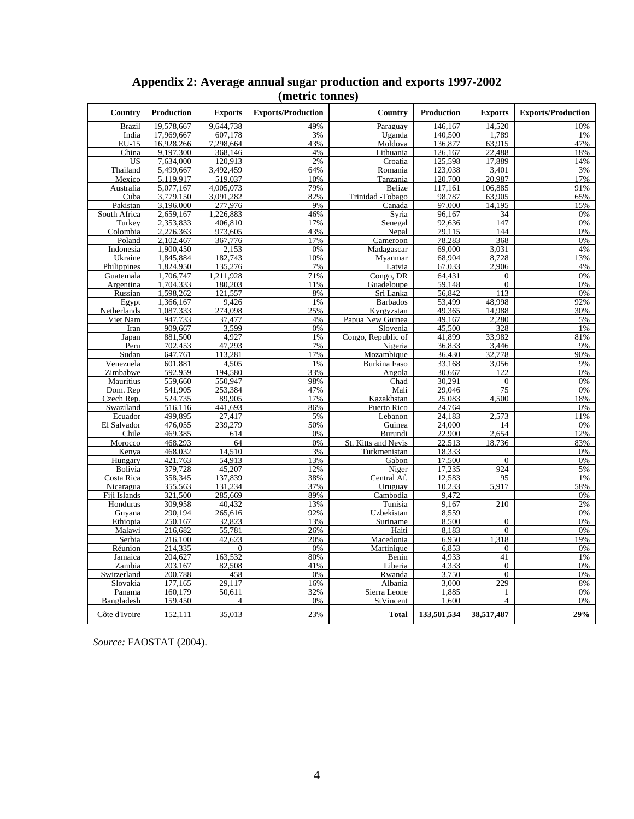| Country                | <b>Production</b>      | <b>Exports</b>     | <b>Exports/Production</b> | Country                        | <b>Production</b> | <b>Exports</b>   | <b>Exports/Production</b> |
|------------------------|------------------------|--------------------|---------------------------|--------------------------------|-------------------|------------------|---------------------------|
| Brazil                 | 19,578,667             | 9,644,738          | 49%                       | Paraguay                       | 146,167           | 14,520           | 10%                       |
| India                  | 17.969.667             | 607.178            | 3%                        | Uganda                         | 140,500           | .789             | 1%                        |
| EU-15                  | 16,928,266             | 7,298,664          | 43%                       | Moldova                        | 136,877           | 63,915           | 47%                       |
| China                  | 9,197,300              | 368,146            | 4%                        | Lithuania                      | 126,167           | 22,488           | 18%                       |
| <b>US</b>              | 7,634,000              | 120,913            | 2%                        | Croatia                        | 125,598           | 17,889           | 14%                       |
| Thailand               | 5,499,667              | 3,492,459          | 64%                       | Romania                        | 123,038           | 3,401            | 3%                        |
| Mexico                 | 5,119,917              | 519,037            | 10%                       | Tanzania                       | 120,700           | 20,987           | 17%                       |
| Australia              | 5,077,167              | 4,005,073          | 79%                       | Belize                         | 117,161           | 106,885          | 91%                       |
| Cuba                   | 3,779,150              | 3,091,282          | 82%                       | Trinidad -Tobago               | 98,787            | 63,905           | 65%                       |
| Pakistan               | 3,196,000              | 277.976            | 9%                        | Canada                         | 97,000            | 14,195           | 15%                       |
| South Africa<br>Turkey | 2,659,167<br>2,353,833 | 226,883<br>406,810 | 46%<br>17%                | Syria                          | 96,167<br>92,636  | 34<br>147        | 0%<br>0%                  |
|                        |                        |                    |                           | Senegal                        |                   |                  |                           |
| Colombia               | 2,276,363              | 973,605            | 43%                       | Nepal                          | 79,115<br>78,283  | 144<br>368       | 0%<br>0%                  |
| Poland<br>Indonesia    | 2,102,467<br>1,900,450 | 367,776<br>2,153   | 17%<br>0%                 | Cameroon<br>Madagascar         | 69,000            | 3.031            | 4%                        |
| Ukraine                | 1,845,884              | 182,743            | 10%                       | Myanmar                        | 68,904            | 8,728            | 13%                       |
| Philippines            | 1.824.950              | 135.276            | 7%                        | Latvia                         | 67.033            | 2,906            | 4%                        |
| Guatemala              | 1,706,747              | ,211,928           | 71%                       | Congo, DR                      | 64,431            | $\boldsymbol{0}$ | 0%                        |
| Argentina              | 1,704,333              | 180,203            | 11%                       | Guadeloupe                     | 59,148            | $\boldsymbol{0}$ | 0%                        |
| Russian                | 1,598,262              | 121,557            | 8%                        | Sri Lanka                      | 56,842            | 113              | 0%                        |
| Egypt                  | 1,366,167              | 9,426              | $1\%$                     | <b>Barbados</b>                | 53,499            | 48,998           | 92%                       |
| Netherlands            | 1,087,333              | 274,098            | 25%                       | Kyrgyzstan                     | 49,365            | 14,988           | 30%                       |
| Viet Nam               | 947,733                | 37,477             | 4%                        | Papua New Guinea               | 49,167            | 2,280            | 5%                        |
| Iran                   | 909,667                | 3,599              | 0%                        | Slovenia                       | 45,500            | 328              | 1%                        |
| Japan                  | 881,500                | 4,927              | 1%                        | Congo, Republic of             | 41,899            | 33.982           | 81%                       |
| Peru                   | 702,453                | 47,293             | 7%                        | Nigeria                        | 36,833            | 3,446            | 9%                        |
| Sudan                  | 647,761                | 113,281            | 17%                       | Mozambique                     | 36,430            | 32,778           | 90%                       |
| Venezuela              | 601,881                | 4,505              | 1%                        | Burkina Faso                   | 33,168            | 3,056            | 9%                        |
| Zimbabwe               | 592,959                | 194,580            | 33%                       | Angola                         | 30,667            | 122              | 0%                        |
| Mauritius              | 559,660                | 550.947            | 98%                       | Chad                           | 30,291            | $\mathbf{0}$     | 0%                        |
| Dom. Rep               | 541,905                | 253,384            | 47%                       | Mali                           | 29,046            | 75               | 0%                        |
| Czech Rep.             | 524.735                | 89.905             | 17%                       | Kazakhstan                     | 25.083            | 4.500            | 18%                       |
| Swaziland              | 516,116                | 441,693            | 86%                       | Puerto Rico                    | 24,764            |                  | 0%                        |
| Ecuador                | 499,895                | 27,417             | 5%                        | Lebanon                        | 24,183            | 2,573            | 11%                       |
| El Salvador            | 476,055                | 239,279            | 50%                       | Guinea                         | 24,000            | 14               | 0%                        |
| Chile                  | 469,385                | 614                | 0%                        | Burundi                        | 22,900            | 2,654            | 12%                       |
| Morocco                | 468,293                | 64                 | 0%                        | St. Kitts and Nevis            | 22,513            | 18,736           | 83%                       |
| Kenya                  | 468,032                | 14,510             | 3%                        | Turkmenistan                   | 18,333            |                  | 0%                        |
| Hungary                | 421,763                | 54,913             | 13%                       | Gabon                          | 17,500            | $\boldsymbol{0}$ | 0%                        |
| Bolivia                | 379,728                | 45,207             | 12%                       | Niger                          | 17,235            | 924              | 5%                        |
| Costa Rica             | 358,345                | 137,839            | 38%                       | Central Af.                    | 12,583            | 95               | 1%                        |
| Nicaragua              | 355,563                | 131,234            | 37%                       | Uruguay                        | 10,233            | 5.917            | 58%                       |
| Fiji Islands           | 321,500                | 285,669            | 89%                       | Cambodia                       | 9,472             |                  | 0%                        |
| Honduras               | 309,958                | 40,432             | 13%                       | Tunisia                        | 9,167             | 210              | 2%                        |
| Guyana                 | 290,194                | 265,616            | 92%                       | Uzbekistan                     | 8,559             |                  | 0%                        |
| Ethiopia               | 250,167                | 32,823             | 13%                       | Suriname                       | 8,500             | $\overline{0}$   | 0%                        |
| Malawi                 | 216.682                | 55,781             | 26%                       | Haiti                          | 8.183             | $\theta$         | 0%                        |
| Serbia                 | 216,100                | 42,623             | 20%                       | Macedonia                      | 6,950             | 318<br>1         | 19%                       |
| Réunion                | 214,335                | $\boldsymbol{0}$   | 0%                        | Martinique                     | 6,853             | $\boldsymbol{0}$ | 0%                        |
| Jamaica                | 204,627                | 163,532            | 80%                       | Benin                          | 4.933             | 41               | 1%                        |
| Zambia                 | 203,167                | 82,508             | 41%                       | Liberia                        | 4,333<br>3,750    | $\boldsymbol{0}$ | 0%                        |
| Switzerland            | 200,788                | 458                | 0%                        | Rwanda                         |                   | $\theta$         | 0%                        |
| Slovakia               | 177,165<br>160,179     | 29.117<br>50,611   | 16%<br>32%                | Albania                        | 3,000<br>1,885    | 229              | 8%<br>0%                  |
| Panama                 |                        | $\overline{4}$     | 0%                        | Sierra Leone                   |                   | $\overline{4}$   | 0%                        |
| Bangladesh             | 159,450                |                    |                           | $\overline{\text{St}}$ Vincent | 1,600             |                  |                           |
| Côte d'Ivoire          | 152,111                | 35,013             | 23%                       | <b>Total</b>                   | 133,501,534       | 38,517,487       | 29%                       |

## **Appendix 2: Average annual sugar production and exports 1997-2002 (metric tonnes)**

*Source:* FAOSTAT (2004).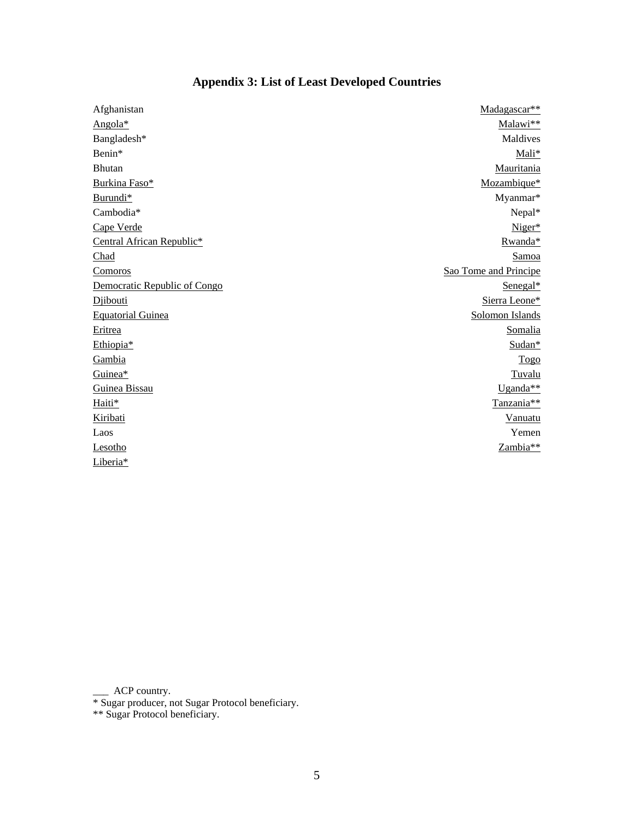| Afghanistan                  | Madagascar**          |
|------------------------------|-----------------------|
| Angola*                      | Malawi**              |
| Bangladesh*                  | Maldives              |
| Benin*                       | Mali*                 |
| Bhutan                       | Mauritania            |
| Burkina Faso*                | Mozambique*           |
| Burundi*                     | Myanmar*              |
| Cambodia*                    | Nepal*                |
| Cape Verde                   | Niger*                |
| Central African Republic*    | Rwanda*               |
| Chad                         | Samoa                 |
| <b>Comoros</b>               | Sao Tome and Principe |
| Democratic Republic of Congo | Senegal*              |
| Diibouti                     | Sierra Leone*         |
| <b>Equatorial Guinea</b>     | Solomon Islands       |
| Eritrea                      | Somalia               |
| Ethiopia*                    | Sudan*                |
| Gambia                       | <b>Togo</b>           |
| Guinea*                      | Tuvalu                |
| Guinea Bissau                | Uganda**              |
| Haiti*                       | Tanzania**            |
| Kiribati                     | <b>Vanuatu</b>        |
| Laos                         | Yemen                 |
| Lesotho                      | Zambia**              |
| Liberia*                     |                       |

## **Appendix 3: List of Least Developed Countries**

\_\_\_ ACP country.

\* Sugar producer, not Sugar Protocol beneficiary.

\*\* Sugar Protocol beneficiary.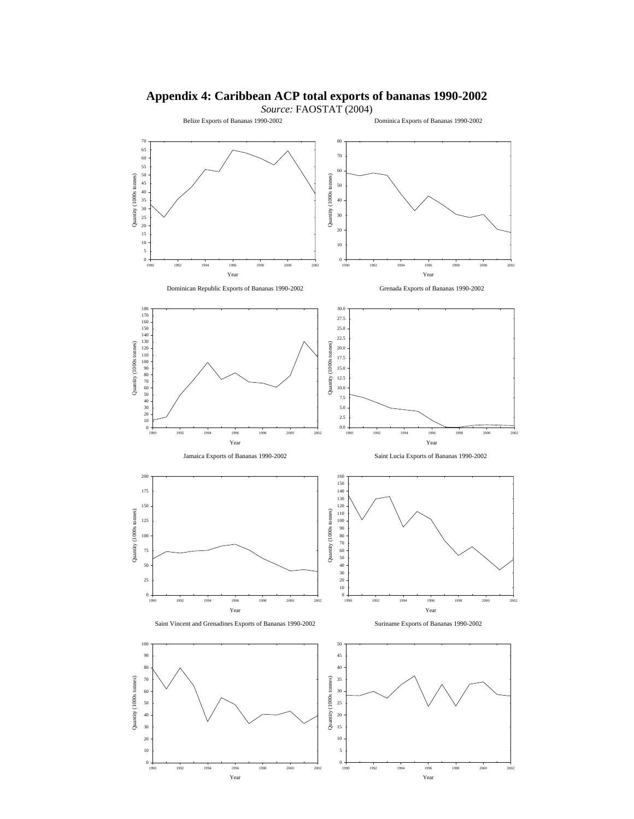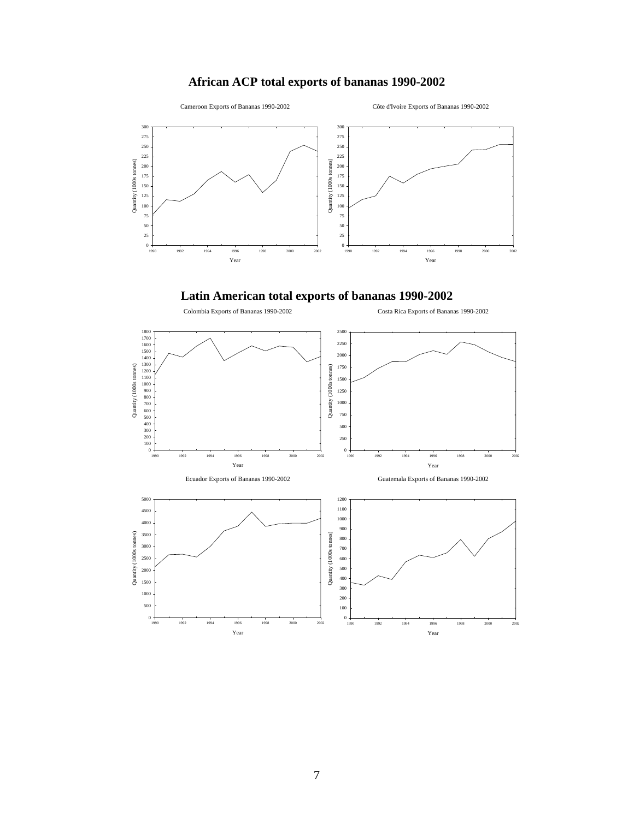## **African ACP total exports of bananas 1990-2002**



Côte d'Ivoire Exports of Bananas 1990-2002

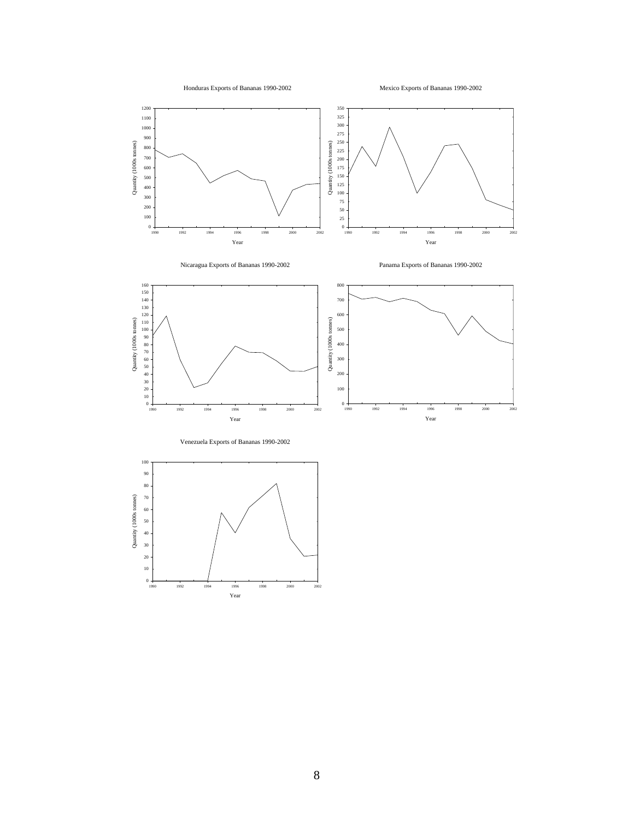

Mexico Exports of Bananas 1990-2002







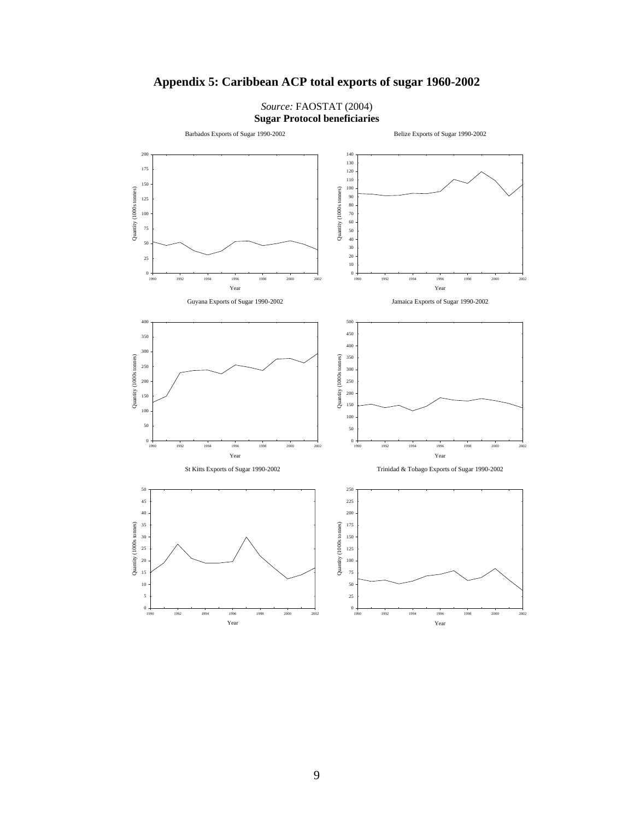

## **Appendix 5: Caribbean ACP total exports of sugar 1960-2002**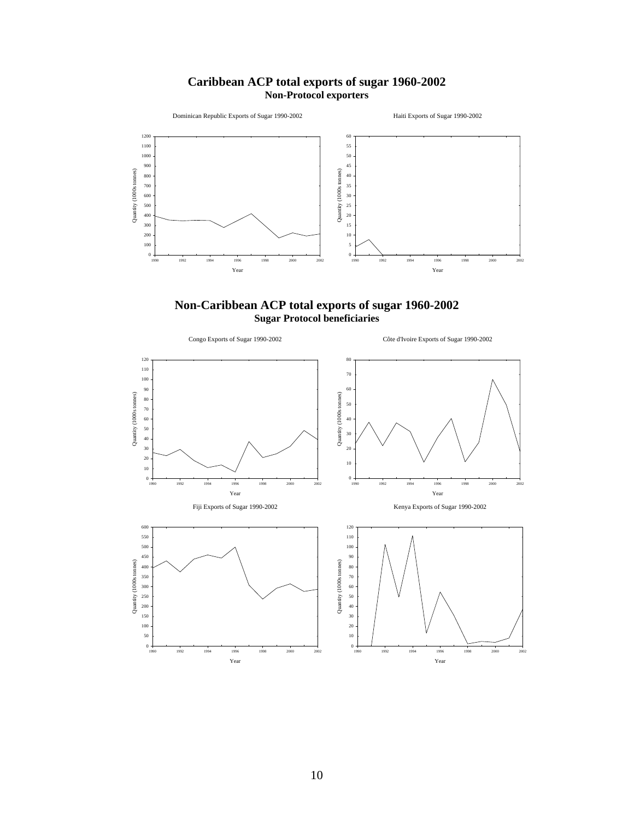## **Caribbean ACP total exports of sugar 1960-2002 Non-Protocol exporters**





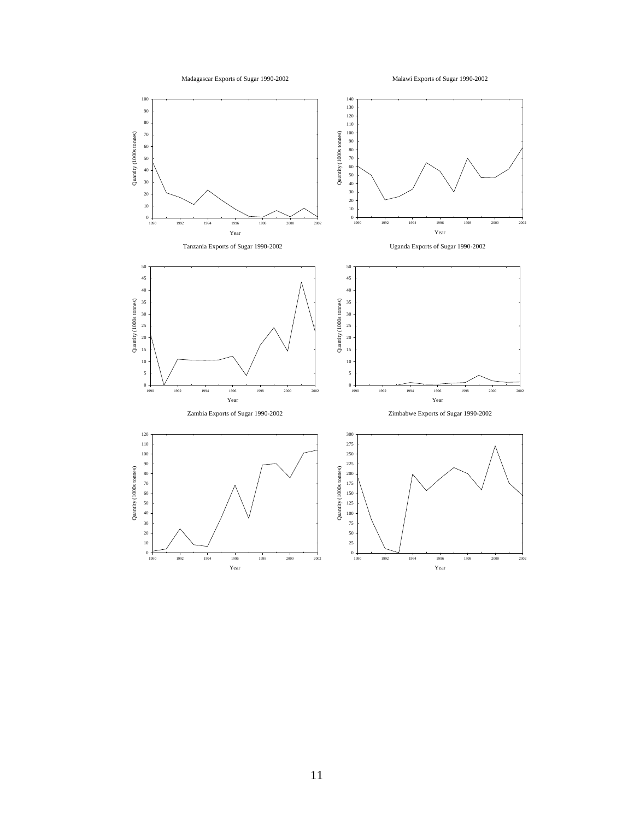

Malawi Exports of Sugar 1990-2002

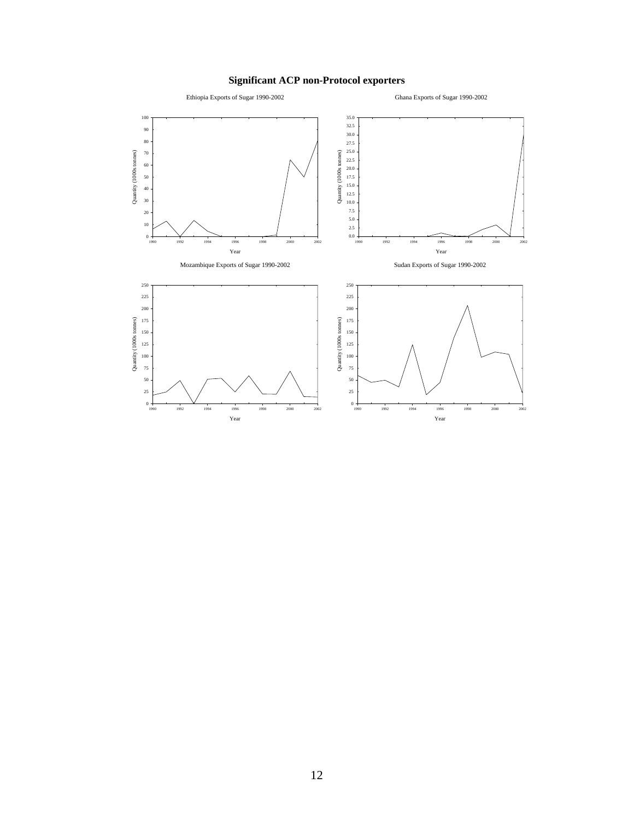## **Significant ACP non-Protocol exporters**

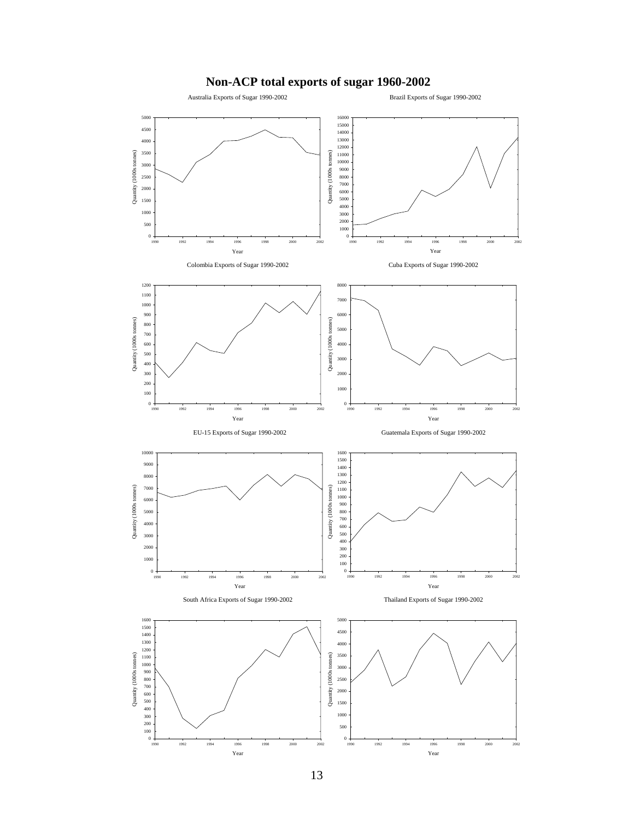

## **Non-ACP total exports of sugar 1960-2002**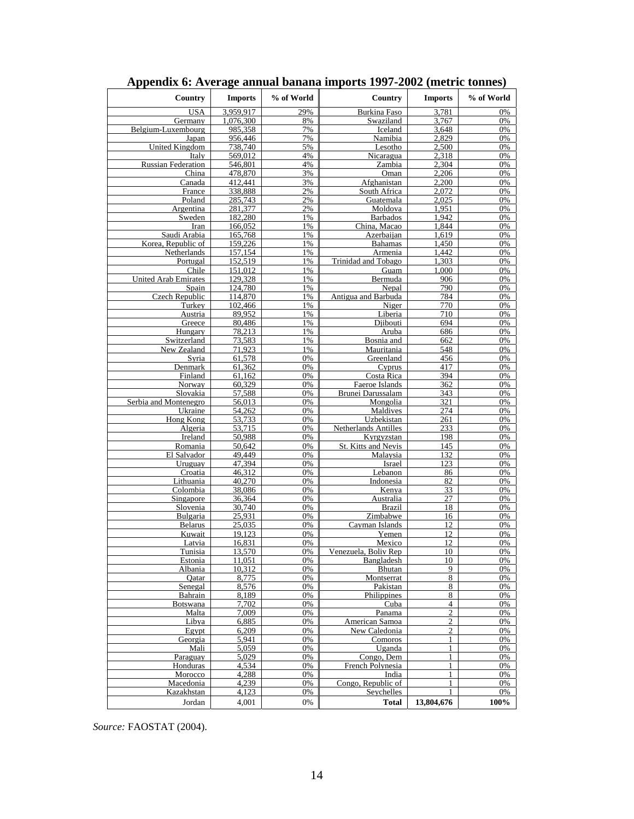| Country                              | <b>Imports</b>               | % of World | Country                             | <b>Imports</b>   | % of World |
|--------------------------------------|------------------------------|------------|-------------------------------------|------------------|------------|
| <b>USA</b>                           | 3.959.917                    | 29%        | <b>Burkina Faso</b>                 | 3,781            | 0%         |
| Germany                              | 1,076,300                    | 8%         | Swaziland                           | 3,767            | 0%         |
| Belgium-Luxembourg                   | 985,358                      | 7%         | Iceland                             | 3,648            | 0%         |
| Japan                                | 956,446                      | 7%         | Namibia                             | 2,829            | 0%         |
| <b>United Kingdom</b>                | 738,740                      | 5%<br>4%   | Lesotho                             | 2,500<br>2.318   | 0%<br>0%   |
| Italy<br><b>Russian Federation</b>   | 569,012<br>546,801           | 4%         | Nicaragua<br>Zambia                 | 2,304            | 0%         |
| China                                | 478.870                      | 3%         | Oman                                | 2.206            | 0%         |
| Canada                               | 412,441                      | 3%         | Afghanistan                         | 2,200            | 0%         |
| France                               | 338,888                      | 2%         | South Africa                        | 2,072            | 0%         |
| Poland                               | 285,743                      | 2%         | Guatemala                           | 2,025            | 0%         |
| Argentina                            | 281,377                      | 2%         | Moldova                             | 1,951            | 0%         |
| Sweden                               | 182,280                      | 1%         | <b>Barbados</b>                     | 1.942            | 0%         |
| Iran                                 | 166,052                      | 1%         | China, Macao                        | 1,844            | 0%         |
| Saudi Arabia                         | 165,768                      | 1%         | Azerbaijan                          | 1,619            | 0%         |
| Korea, Republic of                   | 159,226                      | 1%         | <b>Bahamas</b>                      | 1,450            | 0%         |
| Netherlands                          | 157,154                      | 1%         | Armenia                             | 1.442            | 0%         |
| Portugal                             | 152,519                      | 1%         | Trinidad and Tobago                 | 1,303            | 0%         |
| Chile<br><b>United Arab Emirates</b> | 151,012<br>129.328           | 1%<br>1%   | Guam<br>Bermuda                     | 1,000<br>906     | 0%<br>0%   |
| Spain                                | 124,780                      | 1%         | Nepal                               | 790              | 0%         |
| Czech Republic                       | 114,870                      | 1%         | Antigua and Barbuda                 | 784              | 0%         |
| Turkey                               | 102,466                      | 1%         | Niger                               | 770              | 0%         |
| Austria                              | 89,952                       | 1%         | Liberia                             | 710              | 0%         |
| Greece                               | 80,486                       | 1%         | Djibouti                            | 694              | 0%         |
| Hungary                              | 78,213                       | 1%         | Aruba                               | 686              | 0%         |
| Switzerland                          | 73,583                       | 1%         | Bosnia and                          | 662              | 0%         |
| New Zealand                          | 71,923                       | 1%         | Mauritania                          | 548              | 0%         |
| Syria                                | 61,578                       | 0%         | Greenland                           | 456              | 0%         |
| Denmark                              | 61,362                       | 0%         | Cyprus                              | 417              | 0%         |
| Finland                              | 61,162                       | 0%         | Costa Rica                          | 394              | 0%         |
| Norway                               | 60.329<br>$\frac{1}{57,588}$ | 0%         | Faeroe Islands<br>Brunei Darussalam | 362              | 0%         |
| Slovakia<br>Serbia and Montenegro    | 56,013                       | 0%<br>0%   | Mongolia                            | 343<br>321       | 0%<br>0%   |
| Ukraine                              | 54,262                       | 0%         | Maldives                            | 274              | 0%         |
| Hong Kong                            | 53,733                       | 0%         | Uzbekistan                          | 261              | 0%         |
| Algeria                              | 53,715                       | 0%         | Netherlands Antilles                | 233              | 0%         |
| Ireland                              | 50,988                       | 0%         | Kyrgyzstan                          | 198              | 0%         |
| Romania                              | 50,642                       | 0%         | St. Kitts and Nevis                 | 145              | 0%         |
| El Salvador                          | 49,449                       | 0%         | Malaysia                            | 132              | 0%         |
| Uruguay                              | 47,394                       | 0%         | Israel                              | 123              | 0%         |
| Croatia                              | 46,312                       | 0%         | Lebanon                             | 86               | 0%         |
| Lithuania<br>Colombia                | 40,270                       | 0%<br>0%   | Indonesia                           | 82               | 0%<br>0%   |
| Singapore                            | 38.086<br>36,364             | 0%         | Kenya<br>Australia                  | 33<br>27         | 0%         |
| Slovenia                             | 30,740                       | 0%         | <b>Brazil</b>                       | 18               | 0%         |
| Bulgaria                             | 25,931                       | 0%         | Zimbabwe                            | 16               | 0%         |
| <b>Belarus</b>                       | 25,035                       | 0%         | Cayman Islands                      | 12               | 0%         |
| Kuwait                               | 19.123                       | 0%         | Yemen                               | 12               | 0%         |
| Latvia                               | 16,831                       | 0%         | Mexico                              | 12               | 0%         |
| Tunisia                              | 13.570                       | 0%         | Venezuela, Boliv Rep                | 10               | 0%         |
| Estonia                              | 11,051                       | 0%         | Bangladesh                          | 10               | 0%         |
| Albania                              | 10.312                       | 0%         | Bhutan                              | 9                | 0%         |
| Oatar                                | 8,775                        | 0%         | Montserrat                          | 8                | 0%         |
| Senegal<br>Bahrain                   | 8,576<br>8.189               | 0%<br>0%   | Pakistan<br>Philippines             | $\,$ 8 $\,$<br>8 | 0%<br>0%   |
| Botswana                             | 7.702                        | 0%         | Cuba                                | 4                | 0%         |
| Malta                                | 7,009                        | 0%         | Panama                              | $\overline{c}$   | 0%         |
| Libya                                | 6,885                        | 0%         | <b>American Samoa</b>               | $\overline{c}$   | 0%         |
| Egypt                                | 6,209                        | 0%         | New Caledonia                       | $\overline{c}$   | 0%         |
| Georgia                              | 5.941                        | 0%         | Comoros                             | 1                | 0%         |
| Mali                                 | 5,059                        | 0%         | Uganda                              | 1                | 0%         |
| Paraguay                             | 5,029                        | 0%         | Congo, Dem                          | 1                | 0%         |
| Honduras                             | 4,534                        | 0%         | French Polynesia                    | 1                | 0%         |
| Morocco                              | 4,288                        | 0%         | India                               | $\mathbf{1}$     | 0%         |
| Macedonia                            | 4.239                        | 0%         | Congo, Republic of                  | 1                | 0%         |
| Kazakhstan                           | 4,123                        | 0%         | Seychelles                          |                  | 0%         |
| Jordan                               | 4,001                        | 0%         | <b>Total</b>                        | 13,804,676       | 100%       |

| Appendix 6: Average annual banana imports 1997-2002 (metric tonnes) |  |  |
|---------------------------------------------------------------------|--|--|
|                                                                     |  |  |

*Source:* FAOSTAT (2004).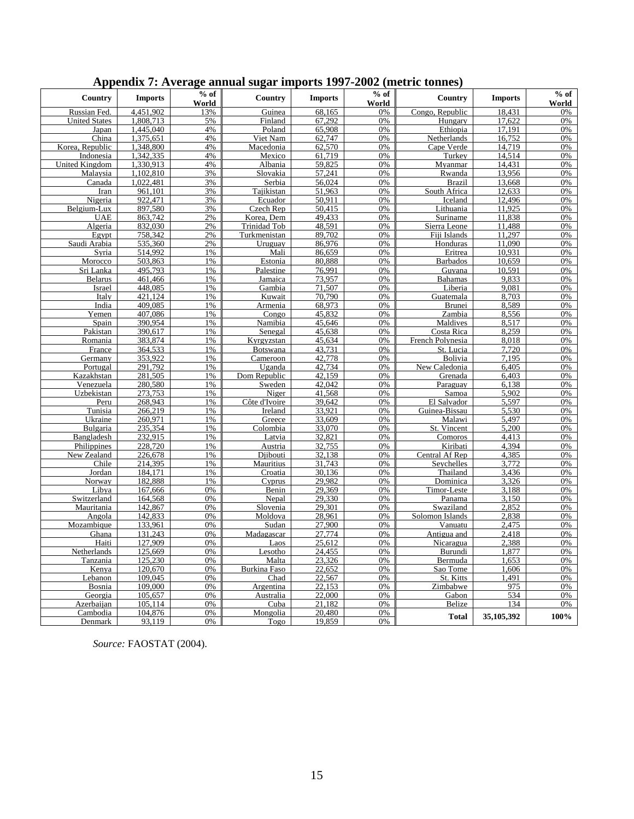| Country                 | <b>Imports</b>     | $%$ of<br>World | Country              | <b>Imports</b>   | $%$ of<br>World | Country                | <b>Imports</b> | $%$ of<br><b>World</b> |
|-------------------------|--------------------|-----------------|----------------------|------------------|-----------------|------------------------|----------------|------------------------|
| Russian Fed.            | 4.451.902          | 13%             | Guinea               | 68.165           | 0%              | Congo, Republic        | 18,431         | 0%                     |
| <b>United States</b>    | 1.808.713          | 5%              | Finland              | 67.292           | 0%              | Hungary                | 17.622         | 0%                     |
| Japan                   | 1,445,040          | 4%              | Poland               | 65,908           | 0%              | Ethiopia               | 17,191         | 0%                     |
| China                   | 1,375,651          | 4%              | Viet Nam             | 62,747           | 0%              | Netherlands            | 16,752         | 0%                     |
| Korea, Republic         | 1,348,800          | 4%              | Macedonia            | 62,570           | 0%              | Cape Verde             | 14,719         | 0%                     |
| Indonesia               | 1,342,335          | 4%              | Mexico               | 61,719           | 0%              | Turkey                 | 14,514         | 0%                     |
| <b>United Kingdom</b>   | 1,330,913          | 4%              | Albania              | 59,825           | 0%              | Myanmar                | 14,431         | 0%                     |
| Malavsia                | 1.102.810          | 3%              | Slovakia             | 57.241           | 0%              | Rwanda                 | 13.956         | 0%                     |
| Canada                  | 1,022,481          | 3%              | Serbia               | 56,024           | 0%              | <b>Brazil</b>          | 13,668         | 0%                     |
| Iran                    | 961,101            | 3%              | Tajikistan           | 51,963           | 0%              | South Africa           | 12,633         | 0%                     |
| Nigeria                 | 922.471            | 3%              | Ecuador              | 50.911           | 0%              | Iceland                | 12.496         | 0%                     |
| Belgium-Lux             | 897,580            | 3%              | Czech Rep            | 50,415           | 0%              | Lithuania              | 11,925         | 0%                     |
| <b>UAE</b>              | 863,742            | 2%              | Korea, Dem           | 49.433           | 0%              | Suriname               | 11,838         | 0%                     |
| Algeria                 | 832,030            | 2%              | <b>Trinidad Tob</b>  | 48,591           | 0%              | Sierra Leone           | 11,488         | 0%                     |
| Egypt                   | 758,342            | 2%              | Turkmenistan         | 89,702           | 0%              | Fiji Islands           | 11,297         | 0%                     |
| Saudi Arabia            | 535,360            | 2%              | Uruguay              | 86,976           | 0%              | Honduras               | 11,090         | 0%                     |
| Syria                   | 514.992            | 1%              | Mali                 | 86,659           | 0%              | Eritrea                | 10,931         | 0%                     |
| Morocco                 | 503,863            | 1%              | Estonia              | 80,888           | 0%              | <b>Barbados</b>        | 10,659         | 0%                     |
| Sri Lanka               | 495.793            | 1%              | Palestine            | 76,991           | 0%              | Guyana                 | 10.591         | 0%                     |
| <b>Belarus</b>          | 461,466            | 1%              | Jamaica              | 73,957           | 0%              | <b>Bahamas</b>         | 9.833          | 0%                     |
| Israel                  | 448,085            | 1%              | Gambia               | 71,507           | $0\%$           | Liberia                | 9,081          | 0%                     |
| Italy                   | 421,124            | 1%              | Kuwait               | 70,790           | 0%              | Guatemala              | 8,703          | 0%                     |
| India                   | 409,085            | 1%              | <u>Armenia</u>       | 68,973           | 0%              | Brunei                 | 8,589          | 0%                     |
| Yemen                   | 407,086            | 1%              | Congo                | 45,832           | 0%              | Zambia                 | 8,556          | 0%                     |
| Spain                   | 390.954            | 1%              | Namibia              | 45.646           | 0%              | Maldives               | 8,517          | 0%                     |
| Pakistan                | 390,617            | 1%              | Senegal              | 45,638           | 0%              | Costa Rica             | 8,259          | 0%                     |
| Romania                 | 383,874            | 1%              | Kyrgyzstan           | 45,634           | 0%              | French Polynesia       | 8,018          | 0%                     |
| France                  | 364,533            | 1%              | Botswana             | 43,731           | 0%              | St. Lucia              | 7,720          | 0%                     |
| Germany                 | 353,922            | 1%              | Cameroon             | 42,778           | 0%              | Bolivia                | 7,195          | 0%                     |
| Portugal                | 291,792            | 1%              | Uganda               | 42,734           | 0%              | New Caledonia          | 6,405          | 0%                     |
| Kazakhstan              | 281,505            | 1%              | Dom Republic         | 42.159           | 0%              | Grenada                | 6,403          | 0%                     |
|                         | 280,580            | 1%              |                      | 42.042           | 0%              |                        | 6,138          | 0%                     |
| Venezuela<br>Uzbekistan | 273,753            | 1%              | Sweden<br>Niger      | 41,568           | 0%              | Paraguay<br>Samoa      | 5,902          | 0%                     |
|                         | 268,943            | 1%              | Côte d'Ivoire        | 39,642           | 0%              | El Salvador            | 5,597          | 0%                     |
| Peru                    | 266,219            | 1%              | Ireland              | 33,921           |                 | Guinea-Bissau          | 5,530          |                        |
| Tunisia<br>Ukraine      | 260,971            | 1%              | Greece               | 33,609           | 0%<br>0%        | Malawi                 | 5,497          | 0%<br>0%               |
|                         |                    | 1%              |                      | 33,070           | 0%              |                        | 5,200          |                        |
| Bulgaria                | 235,354            | 1%              | Colombia             | 32,821           | 0%              | St. Vincent            | 4.413          | 0%                     |
| Bangladesh              | 232,915<br>228,720 | 1%              | Latvia               |                  | 0%              | Comoros<br>Kiribati    | 4,394          | 0%<br>0%               |
| Philippines             |                    | 1%              | Austria              | 32,755<br>32,138 | 0%              |                        |                | 0%                     |
| New Zealand             | 226,678<br>214.395 | 1%              | Diibouti             | 31,743           | 0%              | Central Af Rep         | 4,385<br>3,772 | 0%                     |
| Chile<br>Jordan         | 184,171            | 1%              | Mauritius<br>Croatia | 30,136           | 0%              | Seychelles<br>Thailand | 3,436          | 0%                     |
| Norway                  | 182,888            | 1%              | Cyprus               | 29.982           | 0%              | Dominica               | 3,326          | 0%                     |
|                         |                    | 0%              |                      |                  | 0%              |                        |                | 0%                     |
| Libya                   | 167,666            | 0%              | Benin                | 29,369           |                 | Timor-Leste            | 3,188          |                        |
| Switzerland             | 164,568            |                 | Nepal                | 29,330           | 0%              | Panama                 | 3,150          | 0%                     |
| Mauritania              | 142,867            | 0%              | Slovenia             | 29,301           | 0%              | $S$ waziland           | 2,852          | 0%                     |
| Angola                  | 142,833            | 0%              | Moldova              | 28.961           | 0%              | Solomon Islands        | 2,838          | 0%                     |
| Mozambique              | 133,961            | 0%              | Sudan                | 27,900           | 0%              | Vanuatu                | 2,475          | 0%                     |
| Ghana                   | 131,243            | 0%              | Madagascar           | 27.774           | 0%              | Antigua and            | 2,418          | 0%                     |
| Haiti                   | 127,909            | 0%              | Laos                 | 25,612           | 0%              | Nicaragua              | 2,388          | 0%                     |
| Netherlands             | 125,669            | 0%              | Lesotho              | 24,455           | 0%              | Burundi                | 1,877          | 0%                     |
| Tanzania                | 125,230            | 0%              | Malta                | 23,326           | 0%              | Bermuda                | 1,653          | 0%                     |
| Kenya                   | 120,670            | 0%              | Burkina Faso         | 22,652           | 0%              | Sao Tome               | 1,606          | 0%                     |
| Lebanon                 | 109,045            | 0%              | Chad                 | 22,567           | 0%              | St. Kitts              | 1.491          | 0%                     |
| Bosnia                  | 109,000            | 0%              | Argentina            | 22,153           | 0%              | Zimbabwe               | 975            | 0%                     |
| Georgia                 | 105,657            | 0%              | Australia            | 22.000           | 0%              | Gabon                  | 534            | 0%                     |
| Azerbaijan              | 105,114            | 0%              | Cuba                 | 21,182           | 0%              | Belize                 | 134            | 0%                     |
| Cambodia                | 104,876            | 0%              | Mongolia             | 20,480           | 0%              | <b>Total</b>           | 35,105,392     | 100%                   |
| Denmark                 | 93.119             | 0%              | Togo                 | 19.859           | 0%              |                        |                |                        |

## **Appendix 7: Average annual sugar imports 1997-2002 (metric tonnes)**

*Source:* FAOSTAT (2004).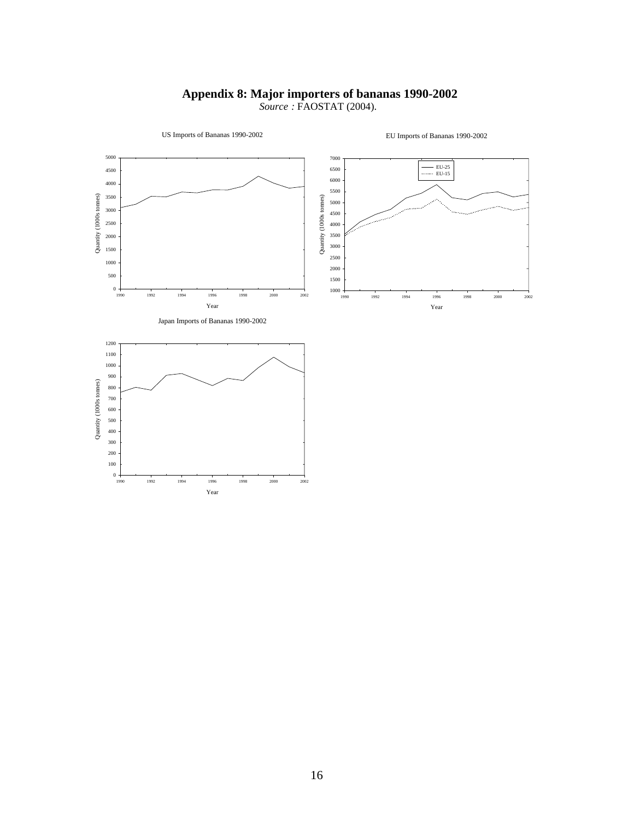## **Appendix 8: Major importers of bananas 1990-2002**   *Source :* FAOSTAT (2004).

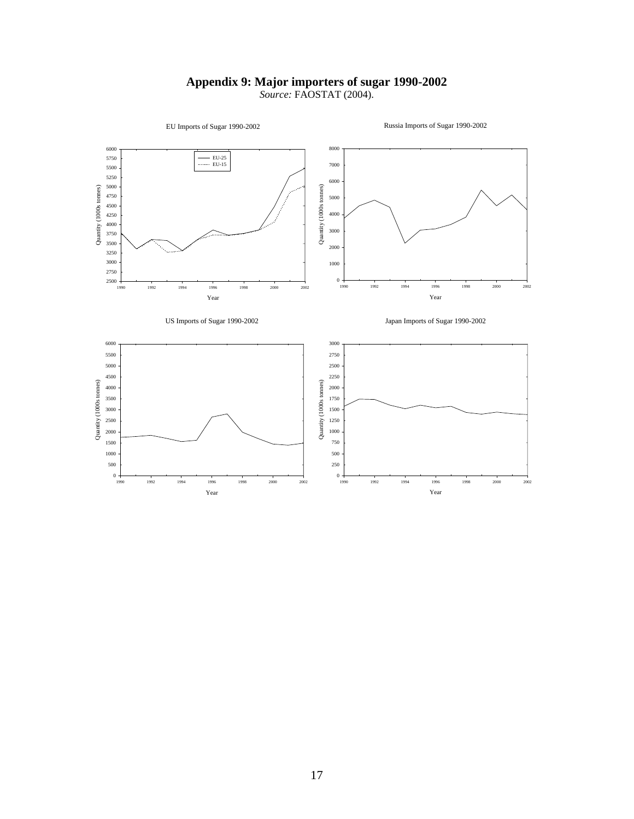## **Appendix 9: Major importers of sugar 1990-2002**

*Source:* FAOSTAT (2004).



Russia Imports of Sugar 1990-2002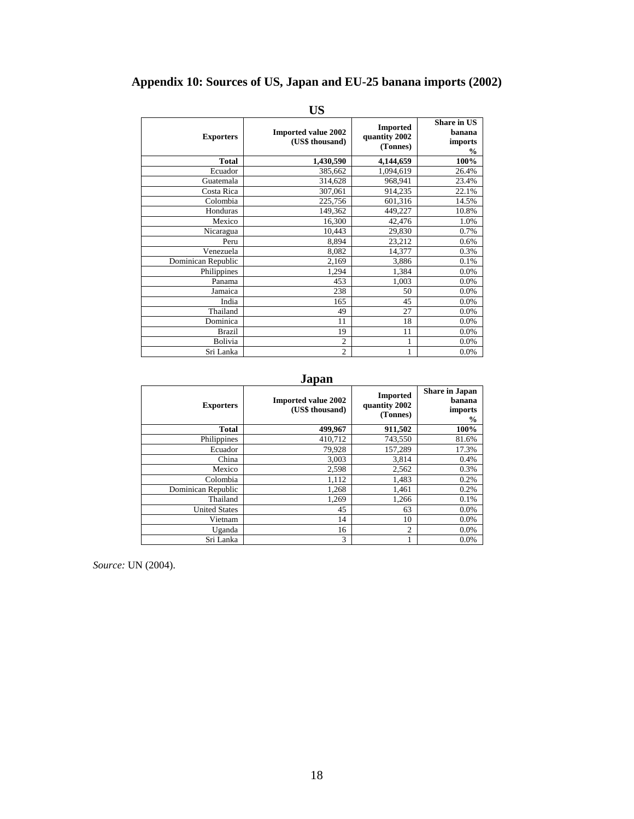## **Appendix 10: Sources of US, Japan and EU-25 banana imports (2002)**

| <b>Exporters</b>   | <b>Imported value 2002</b><br>(US\$ thousand) | <b>Imported</b><br>quantity 2002<br>(Tonnes) | <b>Share in US</b><br>banana<br>imports<br>$\frac{0}{0}$ |
|--------------------|-----------------------------------------------|----------------------------------------------|----------------------------------------------------------|
| <b>Total</b>       | 1,430,590                                     | 4,144,659                                    | 100%                                                     |
| Ecuador            | 385,662                                       | 1,094,619                                    | 26.4%                                                    |
| Guatemala          | 314,628                                       | 968,941                                      | 23.4%                                                    |
| Costa Rica         | 307,061                                       | 914,235                                      | 22.1%                                                    |
| Colombia           | 225,756                                       | 601,316                                      | 14.5%                                                    |
| Honduras           | 149,362                                       | 449,227                                      | 10.8%                                                    |
| Mexico             | 16,300                                        | 42,476                                       | 1.0%                                                     |
| Nicaragua          | 10,443                                        | 29,830                                       | 0.7%                                                     |
| Peru               | 8,894                                         | 23,212                                       | 0.6%                                                     |
| Venezuela          | 8,082                                         | 14,377                                       | 0.3%                                                     |
| Dominican Republic | 2,169                                         | 3,886                                        | 0.1%                                                     |
| Philippines        | 1,294                                         | 1,384                                        | 0.0%                                                     |
| Panama             | 453                                           | 1,003                                        | 0.0%                                                     |
| Jamaica            | 238                                           | 50                                           | 0.0%                                                     |
| India              | 165                                           | 45                                           | 0.0%                                                     |
| Thailand           | 49                                            | 27                                           | 0.0%                                                     |
| Dominica           | 11                                            | 18                                           | 0.0%                                                     |
| <b>Brazil</b>      | 19                                            | 11                                           | 0.0%                                                     |
| Bolivia            | $\overline{2}$                                | 1                                            | 0.0%                                                     |
| Sri Lanka          | $\overline{2}$                                | 1                                            | 0.0%                                                     |

## **US**

## **Japan**

| <b>Exporters</b>     | <b>Imported value 2002</b><br>(US\$ thousand) | <b>Imported</b><br>quantity 2002<br>(Tonnes) | <b>Share in Japan</b><br>banana<br>imports<br>$\frac{6}{9}$ |
|----------------------|-----------------------------------------------|----------------------------------------------|-------------------------------------------------------------|
| <b>Total</b>         | 499,967                                       | 911,502                                      | 100%                                                        |
| Philippines          | 410,712                                       | 743,550                                      | 81.6%                                                       |
| Ecuador              | 79,928                                        | 157,289                                      | 17.3%                                                       |
| China                | 3,003                                         | 3,814                                        | 0.4%                                                        |
| Mexico               | 2,598                                         | 2,562                                        | 0.3%                                                        |
| Colombia             | 1,112                                         | 1,483                                        | 0.2%                                                        |
| Dominican Republic   | 1,268                                         | 1,461                                        | 0.2%                                                        |
| Thailand             | 1,269                                         | 1,266                                        | 0.1%                                                        |
| <b>United States</b> | 45                                            | 63                                           | 0.0%                                                        |
| Vietnam              | 14                                            | 10                                           | 0.0%                                                        |
| Uganda               | 16                                            | $\overline{2}$                               | 0.0%                                                        |
| Sri Lanka            | 3                                             |                                              | 0.0%                                                        |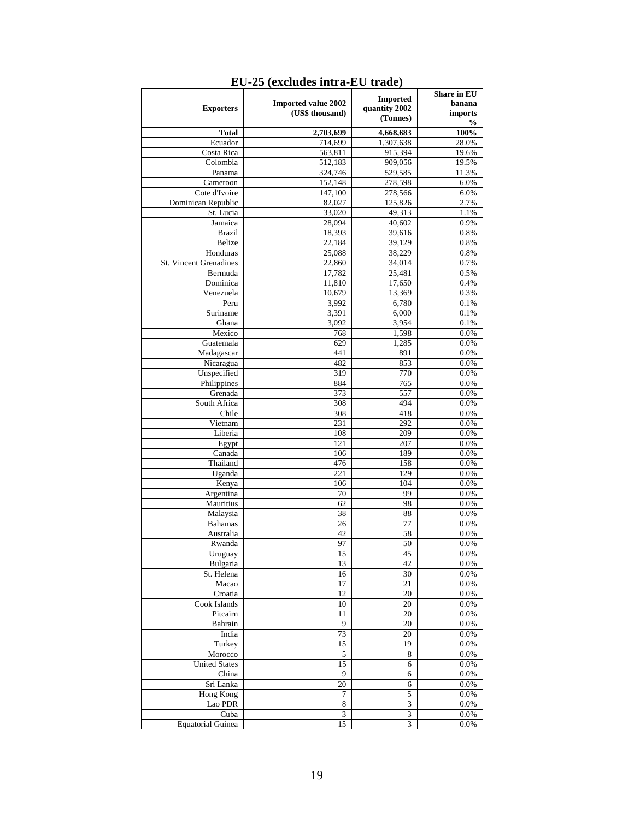|                                   |                                               | <b>Imported</b>  | <b>Share in EU</b> |
|-----------------------------------|-----------------------------------------------|------------------|--------------------|
| <b>Exporters</b>                  | <b>Imported value 2002</b><br>(US\$ thousand) | quantity 2002    | banana<br>imports  |
|                                   |                                               | (Tonnes)         | %                  |
| <b>Total</b>                      | 2,703,699                                     | 4,668,683        | 100%               |
| Ecuador                           | 714,699                                       | 1,307,638        | 28.0%              |
| Costa Rica                        | 563,811                                       | 915,394          | 19.6%              |
| Colombia                          | 512,183                                       | 909,056          | 19.5%              |
| Panama                            | 324,746                                       | 529,585          | 11.3%              |
| Cameroon                          | 152,148                                       | 278,598          | 6.0%               |
| Cote d'Ivoire                     | 147,100                                       | 278,566          | 6.0%               |
| Dominican Republic                | 82,027                                        | 125,826          | 2.7%               |
| St. Lucia                         | 33,020                                        | 49,313           | 1.1%               |
| Jamaica                           | 28,094                                        | 40,602           | 0.9%               |
| <b>Brazil</b>                     | 18,393                                        | 39,616           | 0.8%               |
| <b>Belize</b>                     | 22,184                                        | 39,129           | 0.8%               |
| Honduras                          | 25,088                                        | 38,229           | 0.8%               |
| St. Vincent Grenadines<br>Bermuda | 22,860<br>17,782                              | 34,014<br>25,481 | 0.7%<br>0.5%       |
| Dominica                          | 11,810                                        | 17,650           | 0.4%               |
| Venezuela                         | 10,679                                        | 13,369           | 0.3%               |
| Peru                              | 3,992                                         | 6,780            | 0.1%               |
| Suriname                          | 3,391                                         | 6,000            | 0.1%               |
| Ghana                             | 3,092                                         | 3,954            | 0.1%               |
| Mexico                            | 768                                           | 1,598            | 0.0%               |
| Guatemala                         | 629                                           | 1,285            | 0.0%               |
| Madagascar                        | 441                                           | 891              | 0.0%               |
| Nicaragua                         | 482                                           | 853              | 0.0%               |
| Unspecified                       | 319                                           | 770              | 0.0%               |
| Philippines                       | 884                                           | 765              | 0.0%               |
| Grenada                           | 373                                           | 557              | 0.0%               |
| South Africa                      | 308                                           | 494              | 0.0%               |
| Chile                             | 308                                           | 418              | 0.0%               |
| Vietnam                           | 231                                           | 292              | 0.0%               |
| Liberia                           | 108                                           | 209              | $0.0\%$            |
| Egypt                             | 121                                           | 207              | 0.0%               |
| Canada                            | 106                                           | 189              | 0.0%               |
| Thailand                          | 476                                           | 158              | 0.0%               |
| Uganda                            | 221                                           | 129              | 0.0%               |
| Kenya                             | 106                                           | 104              | 0.0%               |
| Argentina                         | 70                                            | 99               | 0.0%               |
| Mauritius                         | 62                                            | 98               | 0.0%               |
| Malaysia                          | 38                                            | 88               | 0.0%               |
| <b>Bahamas</b>                    | 26                                            | 77               | 0.0%               |
| Australia                         | 42                                            | 58               | 0.0%               |
| Rwanda                            | 97                                            | 50               | $0.0\%$            |
| Urnonav                           | 15                                            | 45               | 0.0%               |
| Bulgaria                          | 13                                            | 42               | 0.0%               |
| St. Helena                        | 16<br>17                                      | 30               | 0.0%               |
| Macao<br>Croatia                  | 12                                            | 21<br>20         | 0.0%<br>0.0%       |
| Cook Islands                      | 10                                            | 20               | 0.0%               |
| Pitcairn                          | 11                                            | 20               | 0.0%               |
| Bahrain                           | 9                                             | 20               | 0.0%               |
| India                             | 73                                            | 20               | 0.0%               |
| Turkey                            | 15                                            | 19               | 0.0%               |
| Morocco                           | 5                                             | $\,$ 8 $\,$      | 0.0%               |
| <b>United States</b>              | 15                                            | 6                | 0.0%               |
| China                             | 9                                             | 6                | 0.0%               |
| Sri Lanka                         | 20                                            | $\overline{6}$   | 0.0%               |
| Hong Kong                         | $\tau$                                        | 5                | 0.0%               |
| Lao PDR                           | $\,$ 8 $\,$                                   | 3                | 0.0%               |
| Cuba                              | 3                                             | 3                | 0.0%               |
| <b>Equatorial Guinea</b>          | 15                                            | 3                | 0.0%               |

## **EU-25 (excludes intra-EU trade)**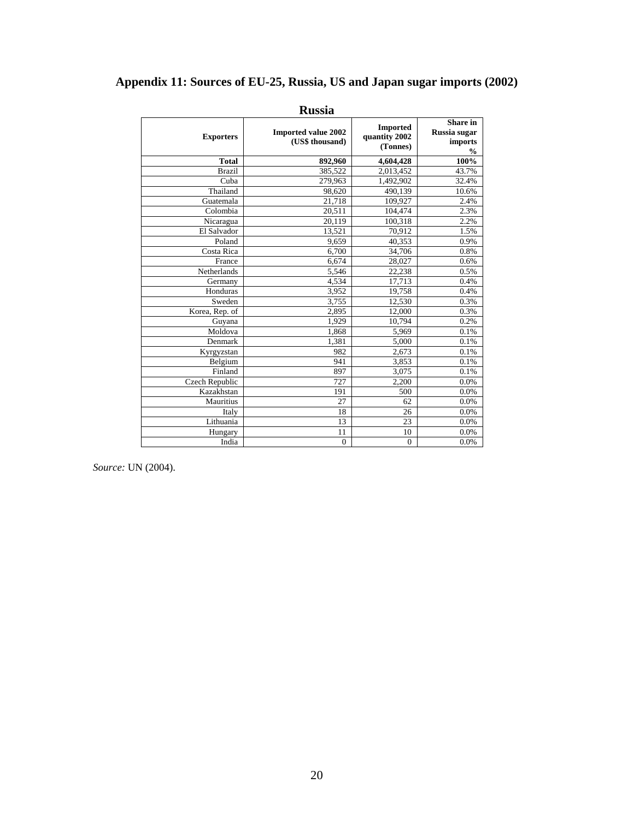## **Appendix 11: Sources of EU-25, Russia, US and Japan sugar imports (2002)**

| <b>Exporters</b> | <b>Imported value 2002</b><br>(US\$ thousand) | <b>Imported</b><br>quantity 2002<br>(Tonnes) | <b>Share</b> in<br>Russia sugar<br>imports<br>$\frac{0}{0}$ |
|------------------|-----------------------------------------------|----------------------------------------------|-------------------------------------------------------------|
| <b>Total</b>     | 892,960                                       | 4,604,428                                    | 100%                                                        |
| <b>Brazil</b>    | 385,522                                       | 2,013,452                                    | 43.7%                                                       |
| Cuba             | 279,963                                       | 1,492,902                                    | 32.4%                                                       |
| Thailand         | 98,620                                        | 490,139                                      | 10.6%                                                       |
| Guatemala        | 21,718                                        | 109,927                                      | 2.4%                                                        |
| Colombia         | 20,511                                        | 104,474                                      | 2.3%                                                        |
| Nicaragua        | 20,119                                        | 100,318                                      | 2.2%                                                        |
| El Salvador      | 13,521                                        | 70,912                                       | 1.5%                                                        |
| Poland           | 9,659                                         | 40,353                                       | 0.9%                                                        |
| Costa Rica       | 6,700                                         | 34,706                                       | 0.8%                                                        |
| France           | 6,674                                         | 28,027                                       | 0.6%                                                        |
| Netherlands      | 5,546                                         | 22,238                                       | 0.5%                                                        |
| Germany          | 4,534                                         | 17,713                                       | 0.4%                                                        |
| Honduras         | 3,952                                         | 19,758                                       | 0.4%                                                        |
| Sweden           | 3,755                                         | 12,530                                       | 0.3%                                                        |
| Korea, Rep. of   | 2,895                                         | 12,000                                       | 0.3%                                                        |
| Guyana           | 1,929                                         | 10,794                                       | 0.2%                                                        |
| Moldova          | 1,868                                         | 5,969                                        | 0.1%                                                        |
| Denmark          | 1,381                                         | 5,000                                        | 0.1%                                                        |
| Kyrgyzstan       | 982                                           | 2,673                                        | 0.1%                                                        |
| Belgium          | 941                                           | 3,853                                        | 0.1%                                                        |
| Finland          | 897                                           | 3,075                                        | 0.1%                                                        |
| Czech Republic   | 727                                           | 2,200                                        | 0.0%                                                        |
| Kazakhstan       | 191                                           | 500                                          | 0.0%                                                        |
| Mauritius        | 27                                            | 62                                           | 0.0%                                                        |
| Italy            | 18                                            | 26                                           | 0.0%                                                        |
| Lithuania        | 13                                            | 23                                           | 0.0%                                                        |
| Hungary          | 11                                            | 10                                           | 0.0%                                                        |
| India            | $\boldsymbol{0}$                              | $\mathbf{0}$                                 | 0.0%                                                        |

**Russia**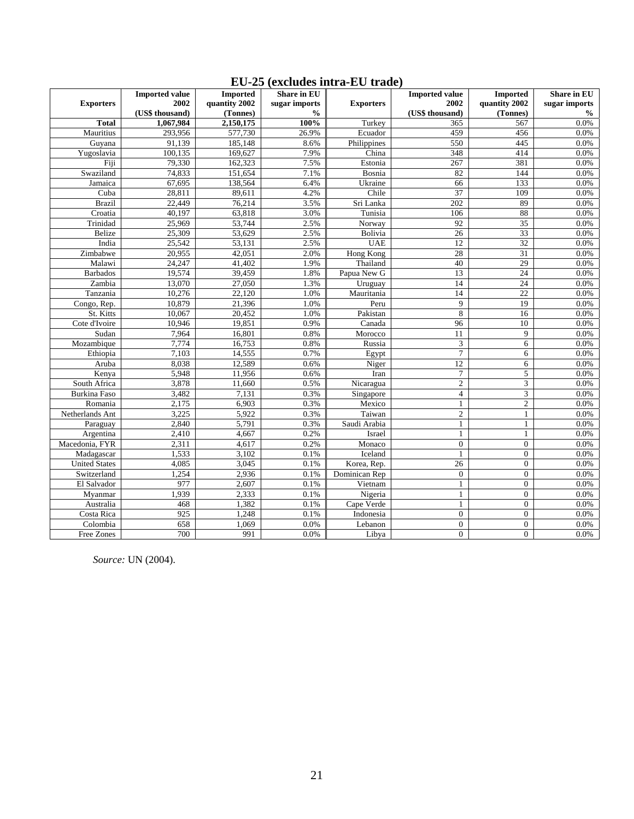|                       | <b>Imported</b><br>Share in EU<br><b>Imported value</b> |                      |                       | <b>Imported value</b> | <b>Imported</b>        | Share in EU      |                       |
|-----------------------|---------------------------------------------------------|----------------------|-----------------------|-----------------------|------------------------|------------------|-----------------------|
| <b>Exporters</b>      | 2002                                                    | quantity 2002        | sugar imports         | <b>Exporters</b>      | 2002                   | quantity 2002    | sugar imports         |
| <b>Total</b>          | (US\$ thousand)<br>1,067,984                            | (Tonnes)             | $\frac{0}{0}$<br>100% | Turkey                | (US\$ thousand)<br>365 | (Tonnes)<br>567  | $\frac{0}{0}$<br>0.0% |
| Mauritius             | 293,956                                                 | 2,150,175<br>577,730 | 26.9%                 | Ecuador               | 459                    | 456              | 0.0%                  |
| Guyana                | 91,139                                                  | 185,148              | 8.6%                  | Philippines           | 550                    | 445              | 0.0%                  |
|                       | 100,135                                                 | 169,627              | 7.9%                  | China                 | 348                    | 414              | 0.0%                  |
| Yugoslavia<br>Fiji    | 79,330                                                  | 162,323              | 7.5%                  | Estonia               |                        |                  |                       |
|                       |                                                         |                      |                       |                       | 267<br>82              | 381              | 0.0%                  |
| Swaziland             | 74,833                                                  | 151,654              | 7.1%<br>6.4%          | Bosnia<br>Ukraine     | 66                     | 144<br>133       | 0.0%<br>0.0%          |
| Jamaica               | 67,695                                                  | 138,564              |                       | Chile                 | $\overline{37}$        | 109              |                       |
| Cuba<br><b>Brazil</b> | 28,811                                                  | 89,611               | 4.2%<br>3.5%          |                       | 202                    | 89               | $0.0\%$<br>0.0%       |
|                       | 22,449<br>40,197                                        | 76,214<br>63,818     | 3.0%                  | Sri Lanka             | 106                    | 88               | 0.0%                  |
| Croatia               |                                                         |                      |                       | Tunisia               |                        |                  |                       |
| Trinidad              | 25,969                                                  | 53,744               | 2.5%                  | Norway                | 92                     | 35               | 0.0%                  |
| Belize                | 25,309                                                  | 53,629               | 2.5%                  | Bolivia               | $\overline{26}$        | 33               | 0.0%                  |
| India                 | 25,542                                                  | 53,131               | 2.5%                  | <b>UAE</b>            | 12                     | $\overline{32}$  | 0.0%                  |
| Zimbabwe              | 20,955                                                  | 42,051               | 2.0%                  | Hong Kong             | 28                     | 31               | $0.0\%$               |
| Malawi                | 24,247                                                  | 41,402               | 1.9%                  | Thailand              | 40                     | 29               | $0.0\%$               |
| <b>Barbados</b>       | 19,574                                                  | 39,459               | 1.8%                  | Papua New G           | 13                     | 24               | 0.0%                  |
| Zambia                | 13,070                                                  | 27,050               | 1.3%                  | Uruguay               | 14                     | 24               | $0.0\%$               |
| Tanzania              | 10,276                                                  | 22,120               | 1.0%                  | Mauritania            | 14                     | 22               | $0.0\%$               |
| Congo, Rep.           | 10,879                                                  | 21,396               | 1.0%                  | Peru                  | 9                      | 19               | 0.0%                  |
| St. Kitts             | 10,067                                                  | 20,452               | 1.0%                  | Pakistan              | 8                      | 16               | 0.0%                  |
| Cote d'Ivoire         | 10,946                                                  | 19,851               | 0.9%                  | Canada                | 96                     | 10               | $0.0\%$               |
| Sudan                 | 7,964                                                   | 16,801               | 0.8%                  | Morocco               | 11                     | 9                | 0.0%                  |
| Mozambique            | 7,774                                                   | 16,753               | 0.8%                  | Russia                | 3                      | 6                | 0.0%                  |
| Ethiopia              | 7,103                                                   | 14,555               | 0.7%                  | Egypt                 | $\overline{7}$         | 6                | 0.0%                  |
| Aruba                 | 8,038                                                   | 12,589               | 0.6%                  | Niger                 | $\overline{12}$        | 6                | 0.0%                  |
| Kenya                 | 5,948                                                   | 11,956               | 0.6%                  | Iran                  | $\boldsymbol{7}$       | 5                | 0.0%                  |
| South Africa          | 3,878                                                   | 11,660               | 0.5%                  | Nicaragua             | $\overline{c}$         | 3                | 0.0%                  |
| <b>Burkina Faso</b>   | 3,482                                                   | 7,131                | 0.3%                  | Singapore             | $\overline{4}$         | 3                | 0.0%                  |
| Romania               | 2,175                                                   | 6,903                | 0.3%                  | Mexico                | $\mathbf{1}$           | $\overline{c}$   | 0.0%                  |
| Netherlands Ant       | 3,225                                                   | 5,922                | 0.3%                  | Taiwan                | $\mathfrak{2}$         | 1                | 0.0%                  |
| Paraguay              | 2,840                                                   | 5,791                | 0.3%                  | Saudi Arabia          | $\mathbf{1}$           | 1                | 0.0%                  |
| Argentina             | 2,410                                                   | 4,667                | 0.2%                  | Israel                | $\mathbf{1}$           | $\mathbf{1}$     | 0.0%                  |
| Macedonia, FYR        | 2,311                                                   | 4,617                | 0.2%                  | Monaco                | $\mathbf{0}$           | $\mathbf{0}$     | 0.0%                  |
| Madagascar            | 1,533                                                   | 3,102                | 0.1%                  | Iceland               | $\mathbf{1}$           | $\overline{0}$   | 0.0%                  |
| <b>United States</b>  | 4,085                                                   | 3,045                | 0.1%                  | Korea, Rep.           | 26                     | $\overline{0}$   | 0.0%                  |
| Switzerland           | 1,254                                                   | 2,936                | 0.1%                  | Dominican Rep         | $\overline{0}$         | $\overline{0}$   | $0.0\%$               |
| El Salvador           | 977                                                     | 2,607                | 0.1%                  | Vietnam               | $\mathbf{1}$           | $\overline{0}$   | 0.0%                  |
| Myanmar               | 1,939                                                   | 2,333                | 0.1%                  | Nigeria               | $\mathbf{1}$           | $\boldsymbol{0}$ | 0.0%                  |
| Australia             | 468                                                     | 1,382                | 0.1%                  | Cape Verde            | $\mathbf{1}$           | $\overline{0}$   | $0.0\%$               |
| Costa Rica            | 925                                                     | 1,248                | 0.1%                  | Indonesia             | $\mathbf{0}$           | $\overline{0}$   | 0.0%                  |
| Colombia              | 658                                                     | 1,069                | 0.0%                  | Lebanon               | $\overline{0}$         | $\overline{0}$   | 0.0%                  |
| Free Zones            | 700                                                     | 991                  | $0.0\%$               | Libya                 | $\overline{0}$         | $\boldsymbol{0}$ | $0.0\%$               |

# **EU-25 (excludes intra-EU trade)**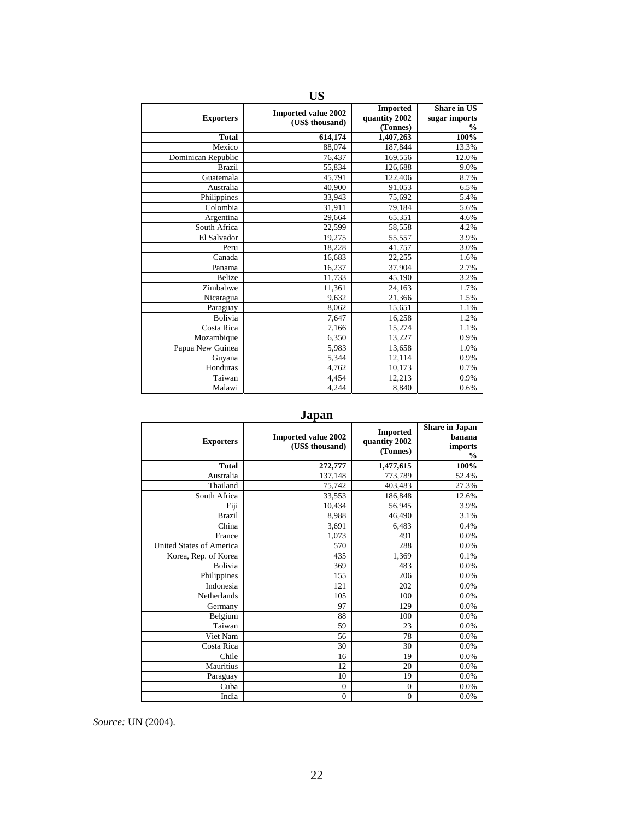| <b>US</b>          |                                               |                                              |                                                      |  |  |  |  |  |  |  |  |
|--------------------|-----------------------------------------------|----------------------------------------------|------------------------------------------------------|--|--|--|--|--|--|--|--|
| <b>Exporters</b>   | <b>Imported value 2002</b><br>(US\$ thousand) | <b>Imported</b><br>quantity 2002<br>(Tonnes) | <b>Share in US</b><br>sugar imports<br>$\frac{0}{0}$ |  |  |  |  |  |  |  |  |
| <b>Total</b>       | 614,174                                       | 1,407,263                                    | 100%                                                 |  |  |  |  |  |  |  |  |
| Mexico             | 88,074                                        | 187,844                                      | 13.3%                                                |  |  |  |  |  |  |  |  |
| Dominican Republic | 76,437                                        | 169,556                                      | 12.0%                                                |  |  |  |  |  |  |  |  |
| <b>Brazil</b>      | 55,834                                        | 126,688                                      | 9.0%                                                 |  |  |  |  |  |  |  |  |
| Guatemala          | 45,791                                        | 122,406                                      | 8.7%                                                 |  |  |  |  |  |  |  |  |
| Australia          | 40,900                                        | 91,053                                       | 6.5%                                                 |  |  |  |  |  |  |  |  |
| Philippines        | 33,943                                        | 75,692                                       | 5.4%                                                 |  |  |  |  |  |  |  |  |
| Colombia           | 31,911                                        | 79,184                                       | 5.6%                                                 |  |  |  |  |  |  |  |  |
| Argentina          | 29,664                                        | 65,351                                       | 4.6%                                                 |  |  |  |  |  |  |  |  |
| South Africa       | 22,599                                        | 58,558                                       | 4.2%                                                 |  |  |  |  |  |  |  |  |
| El Salvador        | 19,275                                        | 55,557                                       | 3.9%                                                 |  |  |  |  |  |  |  |  |
| Peru               | 18,228                                        | 41,757                                       | 3.0%                                                 |  |  |  |  |  |  |  |  |
| Canada             | 16,683                                        | 22.255                                       | 1.6%                                                 |  |  |  |  |  |  |  |  |
| Panama             | 16,237                                        | 37,904                                       | 2.7%                                                 |  |  |  |  |  |  |  |  |
| <b>Belize</b>      | 11,733                                        | 45,190                                       | 3.2%                                                 |  |  |  |  |  |  |  |  |
| Zimbabwe           | 11,361                                        | 24,163                                       | 1.7%                                                 |  |  |  |  |  |  |  |  |
| Nicaragua          | 9,632                                         | 21,366                                       | 1.5%                                                 |  |  |  |  |  |  |  |  |
| Paraguay           | 8,062                                         | 15,651                                       | 1.1%                                                 |  |  |  |  |  |  |  |  |
| Bolivia            | 7,647                                         | 16,258                                       | 1.2%                                                 |  |  |  |  |  |  |  |  |
| Costa Rica         | 7,166                                         | 15,274                                       | 1.1%                                                 |  |  |  |  |  |  |  |  |
| Mozambique         | 6,350                                         | 13,227                                       | 0.9%                                                 |  |  |  |  |  |  |  |  |
| Papua New Guinea   | 5,983                                         | 13,658                                       | 1.0%                                                 |  |  |  |  |  |  |  |  |
| Guyana             | 5,344                                         | 12,114                                       | 0.9%                                                 |  |  |  |  |  |  |  |  |
| Honduras           | 4,762                                         | 10,173                                       | 0.7%                                                 |  |  |  |  |  |  |  |  |
| Taiwan             | 4,454                                         | 12,213                                       | 0.9%                                                 |  |  |  |  |  |  |  |  |
| Malawi             | 4,244                                         | 8,840                                        | 0.6%                                                 |  |  |  |  |  |  |  |  |

**Japan** 

| <b>Exporters</b>                | <b>Imported value 2002</b><br>(US\$ thousand) | <b>Imported</b><br>quantity 2002<br>(Tonnes) | <b>Share in Japan</b><br>banana<br>imports<br>$\frac{0}{0}$ |
|---------------------------------|-----------------------------------------------|----------------------------------------------|-------------------------------------------------------------|
| <b>Total</b>                    | 272,777                                       | 1,477,615                                    | 100%                                                        |
| Australia                       | 137,148                                       | 773,789                                      | 52.4%                                                       |
| Thailand                        | 75,742                                        | 403,483                                      | 27.3%                                                       |
| South Africa                    | 33,553                                        | 186,848                                      | 12.6%                                                       |
| Fiji                            | 10,434                                        | 56,945                                       | 3.9%                                                        |
| <b>Brazil</b>                   | 8,988                                         | 46,490                                       | 3.1%                                                        |
| China                           | 3,691                                         | 6,483                                        | 0.4%                                                        |
| France                          | 1,073                                         | 491                                          | 0.0%                                                        |
| <b>United States of America</b> | 570                                           | 288                                          | 0.0%                                                        |
| Korea, Rep. of Korea            | 435                                           | 1,369                                        | 0.1%                                                        |
| <b>Bolivia</b>                  | 369                                           | 483                                          | 0.0%                                                        |
| Philippines                     | 155                                           | 206                                          | 0.0%                                                        |
| Indonesia                       | 121                                           | 202                                          | 0.0%                                                        |
| Netherlands                     | 105                                           | 100                                          | 0.0%                                                        |
| Germany                         | 97                                            | 129                                          | 0.0%                                                        |
| Belgium                         | 88                                            | 100                                          | 0.0%                                                        |
| Taiwan                          | 59                                            | 23                                           | 0.0%                                                        |
| Viet Nam                        | 56                                            | 78                                           | 0.0%                                                        |
| Costa Rica                      | 30                                            | 30                                           | 0.0%                                                        |
| Chile                           | 16                                            | 19                                           | 0.0%                                                        |
| Mauritius                       | 12                                            | 20                                           | 0.0%                                                        |
| Paraguay                        | 10                                            | 19                                           | 0.0%                                                        |
| Cuba                            | $\mathbf{0}$                                  | $\overline{0}$                               | 0.0%                                                        |
| India                           | $\mathbf{0}$                                  | $\overline{0}$                               | 0.0%                                                        |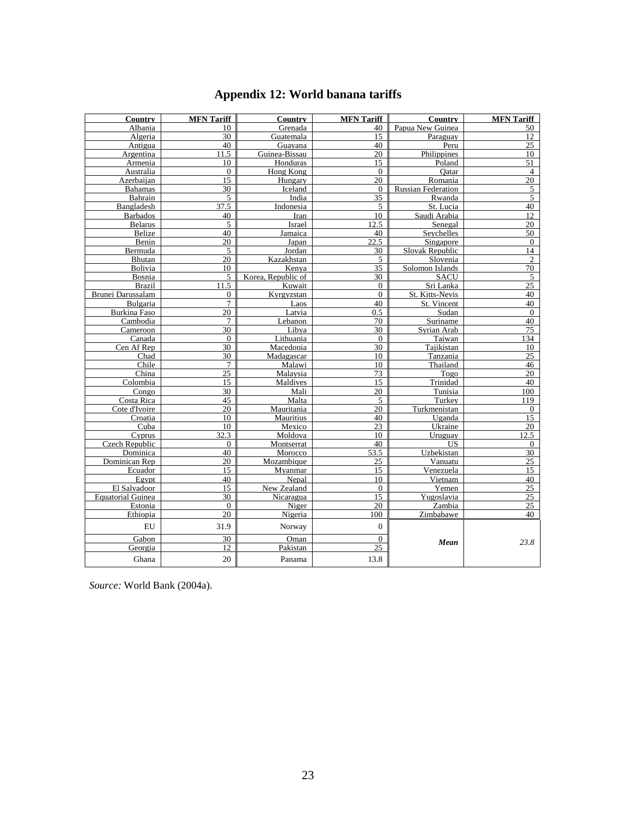# **Appendix 12: World banana tariffs**

| <b>Country</b>           | <b>MFN</b> Tariff | Country            | <b>MFN</b> Tariff | Country                   | <b>MFN</b> Tariff |  |
|--------------------------|-------------------|--------------------|-------------------|---------------------------|-------------------|--|
| Albania                  | 10                | Grenada            | 40                | Papua New Guinea          | 50                |  |
| Algeria                  | 30                | Guatemala          | 15                | Paraguay                  | $\overline{12}$   |  |
| Antigua                  | 40                | Guayana            | 40                | Peru                      | 25                |  |
| Argentina                | 11.5              | Guinea-Bissau      | 20                | Philippines               | 10                |  |
| Armenia                  | 10                | Honduras           | 15                | Poland                    | $\overline{51}$   |  |
| Australia                | $\theta$          | Hong Kong          | $\theta$          | Oatar                     | $\overline{4}$    |  |
| Azerbaijan               | 15                | Hungary            | 20                | Romania                   | 20                |  |
| <b>Bahamas</b>           | 30                | Iceland            | $\mathbf{0}$      | <b>Russian Federation</b> | $\overline{5}$    |  |
| Bahrain                  | 5                 | India              | 35                | Rwanda                    | $\overline{5}$    |  |
| Bangladesh               | 37.5              | Indonesia          | 5                 | St. Lucia                 | 40                |  |
| <b>Barbados</b>          | 40                | Iran               | 10                | Saudi Arabia              | $\overline{12}$   |  |
| <b>Belarus</b>           | 5                 | Israel             | 12.5              | Senegal                   | $\overline{20}$   |  |
| Belize                   | 40                | Jamaica            | 40                | Seychelles                | 50                |  |
| Benin                    | 20                | Japan              | 22.5              | Singapore                 | $\mathbf{0}$      |  |
| Bermuda                  | 5                 | Jordan             | 30                | Slovak Republic           | 14                |  |
| Bhutan                   | 20                | Kazakhstan         | 5                 | Slovenia                  | $\overline{2}$    |  |
| Bolivia                  | 10                | Kenya              | $\overline{35}$   | Solomon Islands           | 70                |  |
| Bosnia                   | 5                 | Korea, Republic of | 30                | <b>SACU</b>               | $\overline{5}$    |  |
| <b>Brazil</b>            | 11.5              | Kuwait             | $\Omega$          | Sri Lanka                 | 25                |  |
| Brunei Darussalam        | $\overline{0}$    | Kyrgyzstan         | $\mathbf{0}$      | St. Kitts-Nevis           | 40                |  |
| Bulgaria                 | $\overline{7}$    | Laos               | 40                | St. Vincent               | 40                |  |
| <b>Burkina Faso</b>      | $\overline{20}$   | Latvia             | 0.5               | Sudan                     | $\overline{0}$    |  |
| Cambodia                 | $\overline{7}$    | Lebanon            | 70                | Suriname                  | 40                |  |
| Cameroon                 | 30                | Libva              | 30                | Syrian Arab               | 75                |  |
| Canada                   | $\mathbf{0}$      | Lithuania          | $\mathbf{0}$      | Taiwan                    | 134               |  |
| Cen Af Rep               | 30                | Macedonia          | 30                | Tajikistan                | 10                |  |
| Chad                     | 30                | Madagascar         | 10                | Tanzania                  | $\overline{25}$   |  |
| Chile                    | $\overline{7}$    | Malawi             | 10                | Thailand                  | 46                |  |
| China                    | 25                | Malaysia           | 73                | Togo                      | 20                |  |
| Colombia                 | $\overline{15}$   | Maldives           | $\overline{15}$   | Trinidad                  | 40                |  |
| Congo                    | 30                | Mali               | 20                | Tunisia                   | 100               |  |
| Costa Rica               | 45                | Malta              | 5                 | Turkey                    | 119               |  |
| Cote d'Ivoire            | 20                | Mauritania         | 20                | Turkmenistan              | $\mathbf{0}$      |  |
| Croatia                  | 10                | <b>Mauritius</b>   | 40                | Uganda                    | 15                |  |
| Cuba                     | 10                | Mexico             | 23                | Ukraine                   | $\overline{20}$   |  |
| Cvprus                   | 32.3              | Moldova            | 10                | Uruguay                   | 12.5              |  |
| Czech Republic           | $\theta$          | Montserrat         | 40                | US                        | $\overline{0}$    |  |
| Dominica                 | 40                | Morocco            | 53.5              | Uzbekistan                | 30                |  |
| Dominican Rep            | 20                | Mozambique         | 25                | Vanuatu                   | $\overline{25}$   |  |
| Ecuador                  | 15                | Myanmar            | 15                | Venezuela                 | 15                |  |
| Egypt                    | 40                | Nepal              | 10                | Vietnam                   | 40                |  |
| El Salvadoor             | 15                | New Zealand        | $\mathbf{0}$      | Yemen                     | $\overline{25}$   |  |
| <b>Equatorial Guinea</b> | 30                | Nicaragua          | 15                | Yugoslavia                | 25                |  |
| Estonia                  | $\Omega$          | Niger              | 20                | Zambia                    | 25                |  |
| Ethiopia                 | 20                | Nigeria            | 100               | Zimbabawe                 | 40                |  |
| ${\rm EU}$               | 31.9              | Norway             | $\mathbf{0}$      |                           |                   |  |
| Gabon                    | 30                | Oman               | $\mathbf{0}$      | Mean                      | 23.8              |  |
| Georgia                  | 12                | Pakistan           | 25                |                           |                   |  |
| Ghana                    | 20                | Panama             | 13.8              |                           |                   |  |

*Source:* World Bank (2004a).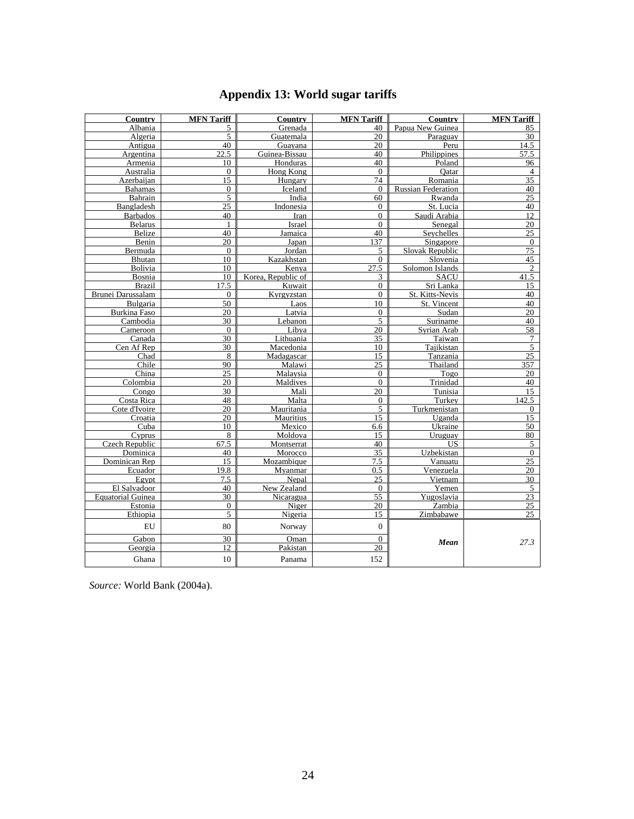# **Appendix 13: World sugar tariffs**

| <b>Country</b>           | <b>MFN</b> Tariff | Country                | <b>MFN</b> Tariff | Country                   | <b>MFN</b> Tariff        |  |
|--------------------------|-------------------|------------------------|-------------------|---------------------------|--------------------------|--|
| Albania                  | 5                 | Grenada                | 40                | Papua New Guinea          | 85                       |  |
| Algeria                  | 5                 | Guatemala              | 20                | Paraguay                  | 30                       |  |
| Antigua                  | 40                | Guayana                | 20                | Peru                      | 14.5                     |  |
| Argentina                | 22.5              | Guinea-Bissau          | 40                | Philippines               | 57.5                     |  |
| Armenia                  | 10                | Honduras               | 40                | Poland                    | 96                       |  |
| Australia                | $\Omega$          | Hong Kong              | $\mathbf{0}$      | Oatar                     | $\overline{4}$           |  |
| Azerbaijan               | 15                | Hungary                | 74                | Romania                   | 35                       |  |
| <b>Bahamas</b>           | $\Omega$          | Iceland                | $\Omega$          | <b>Russian Federation</b> | 40                       |  |
| Bahrain                  | 5                 | India                  | 60                | Rwanda                    | 25                       |  |
| Bangladesh               | $\overline{25}$   | Indonesia              | $\overline{0}$    | St. Lucia                 | 40                       |  |
| <b>Barbados</b>          | 40                | Iran                   | $\overline{0}$    | Saudi Arabia              | $\overline{12}$          |  |
| <b>Belarus</b>           | $\mathbf{1}$      | Israel                 | $\overline{0}$    | Senegal                   | 20                       |  |
| Belize                   | 40                | Jamaica                | 40                | Seychelles                | $\overline{25}$          |  |
| Benin                    | 20                | Japan                  | 137               | Singapore                 | $\overline{0}$           |  |
| Bermuda                  | $\Omega$          | Jordan                 | 5                 | Slovak Republic           | $\overline{75}$          |  |
| Bhutan                   | 10                | Kazakhstan             | $\mathbf{0}$      | Slovenia                  | 45                       |  |
| Bolivia                  | 10                | Kenva                  | 27.5              | Solomon Islands           | $\overline{c}$           |  |
| Bosnia                   | 10                | Korea, Republic of     | 3                 | <b>SACU</b>               | 41.5                     |  |
| <b>Brazil</b>            | $\overline{17.5}$ | Kuwait                 | $\overline{0}$    | Sri Lanka                 | $\overline{15}$          |  |
| Brunei Darussalam        | $\Omega$          | Kyrgyzstan             | $\mathbf{0}$      | St. Kitts-Nevis           | 40                       |  |
| Bulgaria                 | 50                | Laos                   | 10                | St. Vincent               | 40                       |  |
| Burkina Faso             | 20                | Latvia                 | $\Omega$          | Sudan                     | 20                       |  |
| Cambodia                 | 30                | Lebanon                | 5                 | Suriname                  | 40<br>58                 |  |
| Cameroon                 | $\Omega$          | Libva                  | 20                | Syrian Arab               |                          |  |
| Canada<br>Cen Af Rep     | 30<br>30          | Lithuania<br>Macedonia | 35<br>10          | Taiwan<br>Taiikistan      | $\tau$<br>$\overline{5}$ |  |
| Chad                     | 8                 | Madagascar             | 15                | Tanzania                  | $\overline{25}$          |  |
| Chile                    | 90                | Malawi                 | $\overline{25}$   | Thailand                  | $\overline{357}$         |  |
| China                    | 25                | Malaysia               | $\mathbf{0}$      | Togo                      | 20                       |  |
| Colombia                 | 20                | Maldives               | $\overline{0}$    | Trinidad                  | 40                       |  |
| Congo                    | 30                | Mali                   | 20                | Tunisia                   | $\overline{15}$          |  |
| Costa Rica               | 48                | Malta                  | $\boldsymbol{0}$  | Turkey                    | 142.5                    |  |
| Cote d'Ivoire            | 20                | Mauritania             | 5                 | Turkmenistan              | $\mathbf{0}$             |  |
| Croatia                  | 20                | Mauritius              | 15                | Uganda                    | 15                       |  |
| Cuba                     | 10                | Mexico                 | 6.6               | Ukraine                   | 50                       |  |
| Cyprus                   | 8                 | Moldova                | 15                | Uruguay                   | 80                       |  |
| Czech Republic           | 67.5              | Montserrat             | 40                | US                        | 5                        |  |
| Dominica                 | 40                | Morocco                | 35                | Uzbekistan                | $\mathbf{0}$             |  |
| Dominican Rep            | 15                | Mozambique             | 7.5               | Vanuatu                   | 25                       |  |
| Ecuador                  | 19.8              | Myanmar                | 0.5               | Venezuela                 | $\overline{20}$          |  |
| Egypt                    | 7.5               | Nepal                  | 25                | Vietnam                   | 30                       |  |
| El Salvadoor             | 40                | New Zealand            | $\theta$          | Yemen                     | $\overline{5}$           |  |
| <b>Equatorial Guinea</b> | 30                | Nicaragua              | 55                | Yugoslavia                | 23                       |  |
| Estonia                  | $\mathbf{0}$      | Niger                  | 20                | Zambia                    | $\overline{25}$          |  |
| Ethiopia                 | 5                 | Nigeria                | 15                | Zimbabawe                 | 25                       |  |
| EU                       | 80                | Norway                 | $\boldsymbol{0}$  |                           |                          |  |
| Gabon                    | 30                | Oman                   | $\mathbf{0}$      |                           | 27.3                     |  |
| Georgia                  | 12.               | Pakistan               | 20                | Mean                      |                          |  |
| Ghana                    | 10                | Panama                 | 152               |                           |                          |  |

*Source:* World Bank (2004a).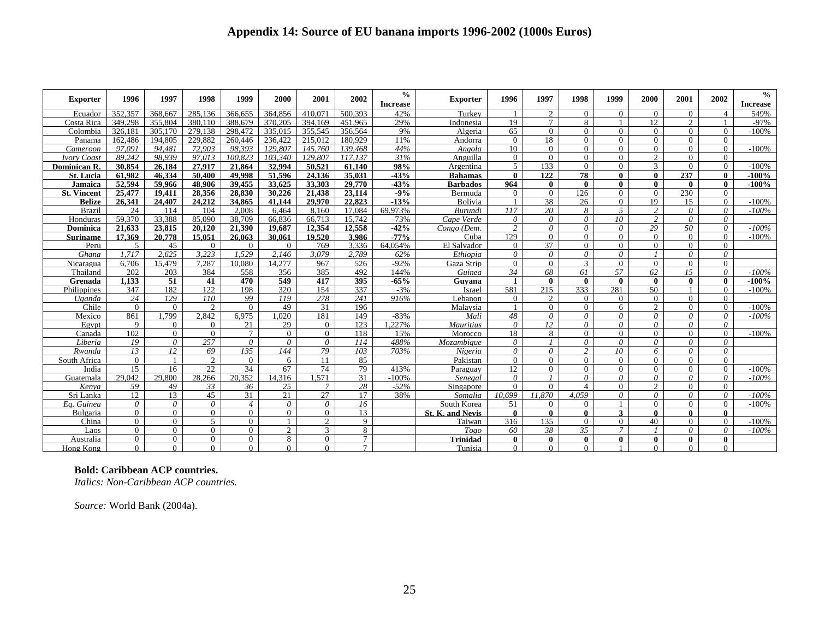| <b>Exporter</b>    | 1996                 | 1997                 | 1998                   | 1999                 | 2000           | 2001                 | 2002     | $\frac{6}{6}$<br><b>Increase</b> | <b>Exporter</b>         | 1996                 | 1997                | 1998                 | 1999             | 2000                     | 2001                 | 2002                     | $\%$<br><b>Increase</b> |
|--------------------|----------------------|----------------------|------------------------|----------------------|----------------|----------------------|----------|----------------------------------|-------------------------|----------------------|---------------------|----------------------|------------------|--------------------------|----------------------|--------------------------|-------------------------|
| Ecuador            | 352,357              | 368,667              | 285.136                | 366,655              | 364,856        | 410.071              | 500.393  | 42%                              | Turkey                  |                      | $\mathcal{D}$       | $\Omega$             | $\Omega$         | $\Omega$                 | $\Omega$             | Δ                        | 549%                    |
| Costa Rica         | 349,298              | 355,804              | 380.110                | 388,679              | 370.205        | 394.169              | 451.965  | 29%                              | Indonesia               | 19                   |                     | 8                    |                  | 12                       | $\overline{c}$       |                          | $-97%$                  |
| Colombia           | 326.181              | 305.170              | 279.138                | 298.472              | 335.015        | 355.545              | 356.564  | 9%                               | Algeria                 | 65                   | $\Omega$            | $\Omega$             | $\Omega$         | $\Omega$                 | $\Omega$             | $\Omega$                 | $-100%$                 |
| Panama             | 162,486              | 194,805              | 229.882                | 260,446              | 236.422        | 215,012              | 180.929  | 11%                              | Andorra                 | $\Omega$             | 18                  | $\Omega$             | $\Omega$         | $\theta$                 | $\Omega$             | $\Omega$                 |                         |
| Cameroon           | 97.091               | 94.481               | 72,903                 | 98.393               | 129,807        | 145,760              | 139,468  | 44%                              | Angola                  | 10                   | $\Omega$            | $\Omega$             | $\Omega$         | $\Omega$                 | $\Omega$             | $\Omega$                 | $-100%$                 |
| <b>Ivory Coast</b> | 89.242               | 98.939               | 97.013                 | 100.823              | 103.340        | 129,807              | 117.137  | 31%                              | Anguilla                | $\Omega$             | $\Omega$            | $\Omega$             | $\Omega$         | $\mathcal{D}$            | $\Omega$             | $\Omega$                 |                         |
| Dominican R.       | 30.854               | 26,184               | 27,917                 | 21.864               | 32.994         | 50.521               | 61.140   | 98%                              | Argentina               | $\mathfrak{F}$       | 133                 | $\Omega$             | $\Omega$         | 3                        | $\Omega$             | $\Omega$                 | $-100%$                 |
| <b>St. Lucia</b>   | 61.982               | 46.334               | 50,400                 | 49,998               | 51.596         | 24.136               | 35,031   | $-43%$                           | <b>Bahamas</b>          | $\mathbf{0}$         | 122                 | 78                   | $\theta$         | $\mathbf{0}$             | 237                  | $\mathbf{0}$             | $-100%$                 |
| Jamaica            | 52.594               | 59.966               | 48.906                 | 39.455               | 33,625         | 33.303               | 29.770   | $-43%$                           | <b>Barbados</b>         | 964                  | 0                   | 0                    | 0                | $\mathbf{0}$             | 0                    | $\mathbf{0}$             | $-100%$                 |
| <b>St. Vincent</b> | 25,477               | 19.411               | 28.356                 | 28.830               | 30.226         | 21.438               | 23.114   | $-9%$                            | Bermuda                 | $\Omega$             | $\Omega$            | 126                  | $\Omega$         | $\overline{0}$           | 230                  | $\Omega$                 |                         |
| <b>Belize</b>      | 26.341               | 24.407               | 24.212                 | 34.865               | 41.144         | 29.970               | 22,823   | $-13%$                           | <b>Bolivia</b>          |                      | 38                  | 26                   | $\Omega$         | 19                       | 15                   | $\Omega$                 | $-100%$                 |
| <b>Brazil</b>      | 24                   | 114                  | 104                    | 2.008                | 6.464          | 8.160                | 17.084   | 69.973%                          | <b>Burundi</b>          | 117                  | 20                  | 8                    | $\overline{5}$   | $\mathcal{P}$            | $\theta$             | $\theta$                 | $-100%$                 |
| Honduras           | 59.370               | 33.388               | 85,090                 | 38,709               | 66.836         | 66,713               | 15.742   | $-73%$                           | Cape Verde              | $\theta$             | $\theta$            | $\theta$             | 10 <sup>10</sup> | 2                        | $\theta$             | $\theta$                 |                         |
| Dominica           | 21,633               | 23,815               | 20.120                 | 21.390               | 19.687         | 12.354               | 12,558   | $-42%$                           | Congo (Dem.             | 2                    | $\theta$            | $\theta$             | $\theta$         | 29                       | 50                   | $\theta$                 | $-100%$                 |
| <b>Suriname</b>    | 17.369               | 20,778               | 15.051                 | 26,063               | 30.061         | 19.520               | 3.986    | $-77%$                           | Cuba                    | 129                  | $\Omega$            | $\Omega$             | $\Omega$         | $\theta$                 | $\Omega$             | $\Omega$                 | $-100%$                 |
| Peru               | 5                    | 45                   | $\Omega$               | $\Omega$             | $\Omega$       | 769                  | 3.336    | 64.054%                          | El Salvador             | $\Omega$             | 37                  | $\Omega$             | $\Omega$         | $\Omega$                 | $\Omega$             | $\Omega$                 |                         |
| Ghana              | 1.717                | 2.625                | 3.223                  | 1.529                | 2.146          | 3.079                | 2.789    | 62%                              | Ethiopia                | $\theta$             | $\theta$            | $\theta$             | $\theta$         | $\mathbf{I}$             | $\theta$             | $\theta$                 |                         |
| Nicaragua          | 6.706                | 15.479               | 7.287                  | 10.080               | 14.277         | 967                  | 526      | $-92%$                           | Gaza Strip              | $\Omega$             | $\Omega$            | $\mathcal{F}$        | $\Omega$         | $\Omega$                 | $\Omega$             | $\Omega$                 |                         |
| Thailand           | 202                  | 203                  | 384                    | 558                  | 356            | 385                  | 492      | 144%                             | Guinea                  | 34                   | 68                  | 61                   | 57               | 62                       | 15                   | $\theta$                 | $-100%$                 |
| Grenada            | 1.133                | 51                   | 41                     | 470                  | 549            | 417                  | 395      | $-65%$                           | Guvana                  |                      | 0                   | 0                    | $\theta$         | $\mathbf{0}$             | 0                    | $\mathbf{0}$             | $-100%$                 |
| Philippines        | 347                  | 182                  | 122.                   | 198                  | 320            | 154                  | 337      | $-3%$                            | Israel                  | 581                  | 215                 | 333                  | 281              | 50                       |                      | $\Omega$                 | $-100%$                 |
| Uganda             | 24                   | 129                  | 110                    | 99                   | 119            | 278                  | 241      | 916%                             | Lebanon                 | $\overline{0}$       | $\mathcal{D}$       | $\Omega$             | $\Omega$         | $\Omega$                 | $\Omega$             | $\Omega$                 |                         |
| Chile              | $\Omega$             | $\Omega$             | $\mathcal{D}_{\alpha}$ | $\Omega$             | 49             | 31                   | 196      |                                  | Malaysia                |                      | $\Omega$            | $\Omega$             | 6                | 2                        | $\Omega$             | $\Omega$                 | $-100%$                 |
| Mexico             | 861                  | .799                 | 2.842                  | 6.975                | .020           | 181                  | 149      | $-83%$                           | Mali                    | 48                   | $\theta$            | $\theta$             | $\theta$         | 0                        | $\theta$             | $\theta$                 | $-100%$                 |
| Egypt              | 9                    | $\Omega$             | $\Omega$               | 21                   | 29             | $\overline{0}$       | 123      | .227%                            | <b>Mauritius</b>        | $\theta$             | 12                  | $\theta$             | $\theta$         | $\theta$                 | $\theta$             | $\theta$                 |                         |
| Canada             | 102                  | $\theta$             | $\theta$               | $\tau$               | $\Omega$       | $\Omega$             | 118      | 15%                              | Morocco                 | 18                   | 8                   | $\Omega$             | $\Omega$         | $\Omega$                 | $\Omega$             | $\Omega$                 | $-100%$                 |
| Liberia            | 19                   | $\theta$             | 257                    | $\theta$             | $\theta$       | $\theta$             | 114      | 488%                             | Mozambiaue              | $\theta$             |                     | $\theta$             | $\theta$         | $\theta$                 | $\theta$             | $\theta$                 |                         |
| Rwanda             | 13                   | 12                   | 69                     | 13.5                 | 144            | 79                   | 103      | 703%                             | Nigeria                 | $\theta$             | $\theta$            | $\mathfrak{D}$       | 10 <sup>10</sup> | 6                        | $\theta$             | $\theta$                 |                         |
| South Africa       | $\Omega$             |                      | 2<br>22                | $\Omega$             | 6              | 11                   | 85       |                                  | Pakistan                | $\Omega$             | $\Omega$            | $\Omega$             | $\Omega$         | $\Omega$                 | $\Omega$             | $\Omega$                 |                         |
| India              | 15<br>29.042         | 16<br>29.800         |                        | 34<br>20.352         | 67             | 74<br>.571           | 79       | 413%                             | Paraguay                | 12 <sup>12</sup>     | $\Omega$            | $\Omega$             | $\Omega$         | $\Omega$                 | $\Omega$             | $\Omega$                 | $-100%$                 |
| Guatemala          |                      | 49                   | 28.266<br>33           | 36                   | 14.316         | $\overline{7}$       | 31       | $-100%$                          | Senegal                 | $\theta$<br>$\Omega$ | $\Omega$            | 0<br>$\mathbf{A}$    | 0<br>$\Omega$    | 0<br>2                   | $\theta$             | $\theta$<br>$\Omega$     | $-100%$                 |
| Kenva              | 59                   |                      | 45                     | 31                   | 25<br>2.1      | 27                   | 28<br>17 | $-52%$                           | Singapore               |                      | 11.870              | 4.059                |                  | $\theta$                 | $\Omega$             |                          |                         |
| Sri Lanka          | 12.<br>$\theta$      | 13<br>$\theta$       | $\theta$               | $\overline{4}$       | $\theta$       | $\theta$             | 16       | 38%                              | Somalia                 | 10.699<br>51         | $\Omega$            | $\Omega$             | $\theta$         | $\Omega$                 | $\theta$<br>$\Omega$ | $\theta$<br>$\Omega$     | $-100%$<br>$-100%$      |
| Ea. Guinea         |                      |                      |                        |                      |                |                      |          |                                  | South Korea             |                      |                     |                      |                  |                          |                      |                          |                         |
| Bulgaria           | $\Omega$<br>$\Omega$ | $\Omega$<br>$\Omega$ | $\Omega$<br>$\sim$     | $\Omega$<br>$\Omega$ | $\Omega$       | $\Omega$<br>$\gamma$ | 13<br>9  |                                  | <b>St. K. and Nevis</b> | $\mathbf{0}$<br>316  | $\mathbf{0}$<br>135 | $\bf{0}$<br>$\Omega$ | 3                | $\mathbf{0}$<br>40       | $\bf{0}$<br>$\Omega$ | $\mathbf{0}$<br>$\Omega$ |                         |
| China              | $\Omega$             | $\Omega$             | $\Omega$               | $\Omega$             | $\overline{2}$ | $\mathcal{F}$        | 8        |                                  | Taiwan                  | 60                   | 38                  | 35                   | $\Omega$         |                          | $\theta$             | $\theta$                 | $-100%$<br>$-100%$      |
| Laos               |                      | $\Omega$             | $\Omega$               | $\Omega$             | 8              |                      |          |                                  | Togo                    |                      |                     |                      |                  |                          |                      | $\mathbf{0}$             |                         |
| Australia          | $\Omega$<br>$\Omega$ | $\Omega$             | $\Omega$               | $\Omega$             | $\Omega$       | 0                    | $\tau$   |                                  | <b>Trinidad</b>         | $\mathbf{0}$         | 0<br>$\Omega$       | $\bf{0}$<br>$\Omega$ |                  | $\mathbf{0}$<br>$\Omega$ | 0<br>$\Omega$        | $\Omega$                 |                         |
| Hong Kong          |                      |                      |                        |                      |                | $\Omega$             |          |                                  | Tunisia                 | $\Omega$             |                     |                      |                  |                          |                      |                          |                         |

#### **Bold: Caribbean ACP countries.**

*Italics: Non-Caribbean ACP countries.* 

*Source:* World Bank (2004a).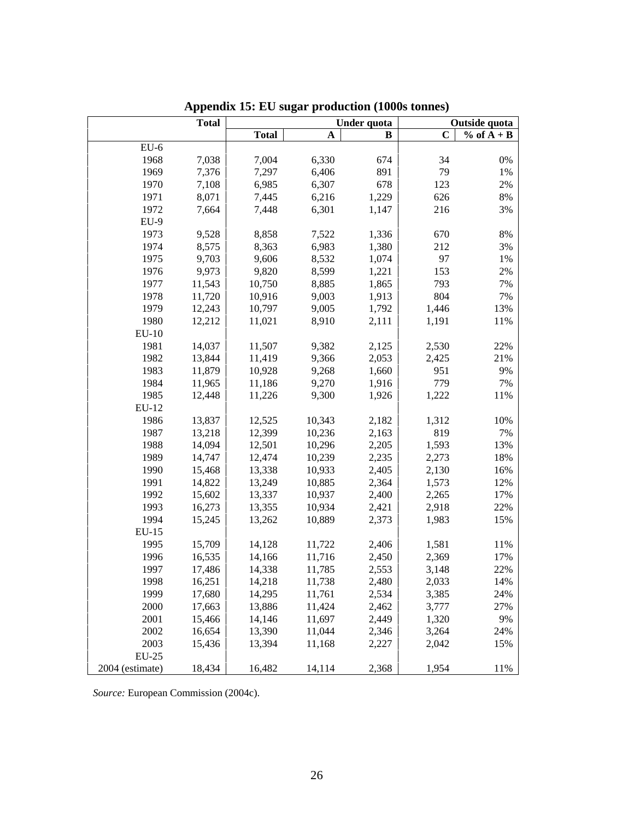|                 | <b>Total</b> |              |        | Under quota | Outside quota |              |  |  |
|-----------------|--------------|--------------|--------|-------------|---------------|--------------|--|--|
|                 |              | <b>Total</b> | А      | B           | $\mathbf C$   | $% of A + B$ |  |  |
| $EU-6$          |              |              |        |             |               |              |  |  |
| 1968            | 7,038        | 7,004        | 6,330  | 674         | 34            | $0\%$        |  |  |
| 1969            | 7,376        | 7,297        | 6,406  | 891         | 79            | 1%           |  |  |
| 1970            | 7,108        | 6,985        | 6,307  | 678         | 123           | 2%           |  |  |
| 1971            | 8,071        | 7,445        | 6,216  | 1,229       | 626           | $8\%$        |  |  |
| 1972            | 7,664        | 7,448        | 6,301  | 1,147       | 216           | 3%           |  |  |
| $EU-9$          |              |              |        |             |               |              |  |  |
| 1973            | 9,528        | 8,858        | 7,522  | 1,336       | 670           | $8\%$        |  |  |
| 1974            | 8,575        | 8,363        | 6,983  | 1,380       | 212           | 3%           |  |  |
| 1975            | 9,703        | 9,606        | 8,532  | 1,074       | 97            | 1%           |  |  |
| 1976            | 9,973        | 9,820        | 8,599  | 1,221       | 153           | 2%           |  |  |
| 1977            | 11,543       | 10,750       | 8,885  | 1,865       | 793           | 7%           |  |  |
| 1978            | 11,720       | 10,916       | 9,003  | 1,913       | 804           | 7%           |  |  |
| 1979            | 12,243       | 10,797       | 9,005  | 1,792       | 1,446         | 13%          |  |  |
| 1980            | 12,212       | 11,021       | 8,910  | 2,111       | 1,191         | 11%          |  |  |
| $EU-10$         |              |              |        |             |               |              |  |  |
| 1981            | 14,037       | 11,507       | 9,382  | 2,125       | 2,530         | 22%          |  |  |
| 1982            | 13,844       | 11,419       | 9,366  | 2,053       | 2,425         | 21%          |  |  |
| 1983            | 11,879       | 10,928       | 9,268  | 1,660       | 951           | 9%           |  |  |
| 1984            | 11,965       | 11,186       | 9,270  | 1,916       | 779           | 7%           |  |  |
| 1985            | 12,448       | 11,226       | 9,300  | 1,926       | 1,222         | 11%          |  |  |
| EU-12           |              |              |        |             |               |              |  |  |
| 1986            | 13,837       | 12,525       | 10,343 | 2,182       | 1,312         | 10%          |  |  |
| 1987            | 13,218       | 12,399       | 10,236 | 2,163       | 819           | 7%           |  |  |
| 1988            | 14,094       | 12,501       | 10,296 | 2,205       | 1,593         | 13%          |  |  |
| 1989            | 14,747       | 12,474       | 10,239 | 2,235       | 2,273         | 18%          |  |  |
| 1990            | 15,468       | 13,338       | 10,933 | 2,405       | 2,130         | 16%          |  |  |
| 1991            | 14,822       | 13,249       | 10,885 | 2,364       | 1,573         | 12%          |  |  |
| 1992            | 15,602       | 13,337       | 10,937 | 2,400       | 2,265         | 17%          |  |  |
| 1993            | 16,273       | 13,355       | 10,934 | 2,421       | 2,918         | 22%          |  |  |
| 1994            | 15,245       | 13,262       | 10,889 | 2,373       | 1,983         | 15%          |  |  |
| EU-15           |              |              |        |             |               |              |  |  |
| 1995            | 15,709       | 14,128       | 11,722 | 2,406       | 1,581         | 11%          |  |  |
| 1996            | 16,535       | 14,166       | 11,716 | 2,450       | 2,369         | 17%          |  |  |
| 1997            | 17,486       | 14,338       | 11,785 | 2,553       | 3,148         | 22%          |  |  |
| 1998            | 16,251       | 14,218       | 11,738 | 2,480       | 2,033         | 14%          |  |  |
| 1999            | 17,680       | 14,295       | 11,761 | 2,534       | 3,385         | 24%          |  |  |
| 2000            | 17,663       | 13,886       | 11,424 | 2,462       | 3,777         | 27%          |  |  |
| 2001            | 15,466       | 14,146       | 11,697 | 2,449       | 1,320         | 9%           |  |  |
| 2002            | 16,654       | 13,390       | 11,044 | 2,346       | 3,264         | 24%          |  |  |
| 2003            | 15,436       | 13,394       | 11,168 | 2,227       | 2,042         | 15%          |  |  |
| $EU-25$         |              |              |        |             |               |              |  |  |
| 2004 (estimate) | 18,434       | 16,482       | 14,114 | 2,368       | 1,954         | 11%          |  |  |

**Appendix 15: EU sugar production (1000s tonnes)** 

*Source:* European Commission (2004c).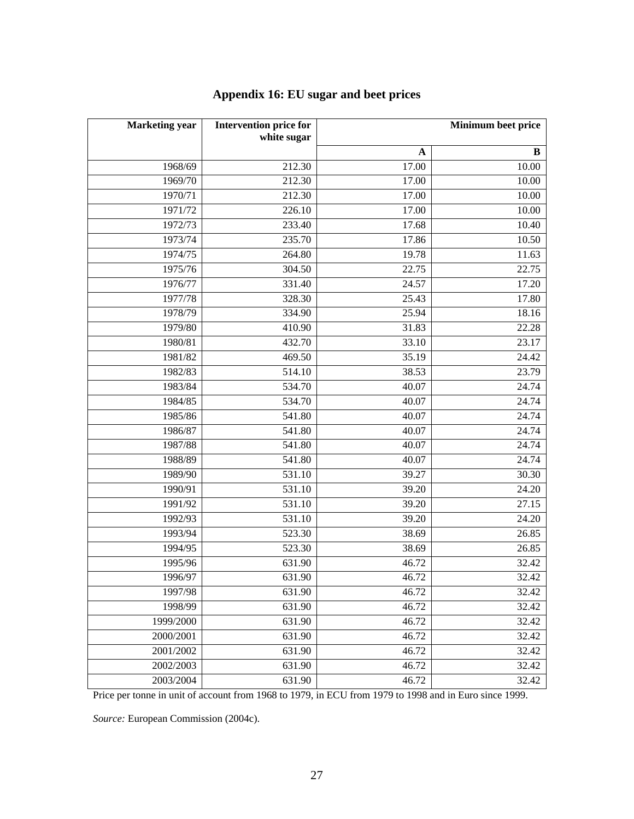| <b>Marketing</b> year | <b>Intervention price for</b><br>white sugar | Minimum beet price               |            |  |  |
|-----------------------|----------------------------------------------|----------------------------------|------------|--|--|
|                       |                                              |                                  |            |  |  |
| 1968/69               | 212.30                                       | $\mathbf A$<br>$\frac{1}{17.00}$ | B<br>10.00 |  |  |
|                       |                                              |                                  |            |  |  |
| 1969/70               | 212.30                                       | 17.00                            | 10.00      |  |  |
| 1970/71               | 212.30                                       | 17.00                            | 10.00      |  |  |
| 1971/72               | 226.10                                       | 17.00                            | 10.00      |  |  |
| 1972/73               | 233.40                                       | 17.68                            | 10.40      |  |  |
| 1973/74               | 235.70                                       | 17.86                            | 10.50      |  |  |
| 1974/75               | 264.80                                       | 19.78                            | 11.63      |  |  |
| 1975/76               | 304.50                                       | 22.75                            | 22.75      |  |  |
| 1976/77               | 331.40                                       | 24.57                            | 17.20      |  |  |
| 1977/78               | 328.30                                       | 25.43                            | 17.80      |  |  |
| 1978/79               | 334.90                                       | 25.94                            | 18.16      |  |  |
| 1979/80               | 410.90                                       | 31.83                            | 22.28      |  |  |
| 1980/81               | 432.70                                       | 33.10                            | 23.17      |  |  |
| 1981/82               | 469.50                                       | 35.19                            | 24.42      |  |  |
| 1982/83               | 514.10                                       | 38.53                            | 23.79      |  |  |
| 1983/84               | 534.70                                       | 40.07                            | 24.74      |  |  |
| 1984/85               | 534.70                                       | 40.07                            | 24.74      |  |  |
| 1985/86               | 541.80                                       | 40.07                            | 24.74      |  |  |
| 1986/87               | 541.80                                       | 40.07                            | 24.74      |  |  |
| 1987/88               | 541.80                                       | 40.07                            | 24.74      |  |  |
| 1988/89               | 541.80                                       | 40.07                            | 24.74      |  |  |
| 1989/90               | 531.10                                       | 39.27                            | 30.30      |  |  |
| 1990/91               | 531.10                                       | 39.20                            | 24.20      |  |  |
| 1991/92               | 531.10                                       | 39.20                            | 27.15      |  |  |
| 1992/93               | 531.10                                       | 39.20                            | 24.20      |  |  |
| 1993/94               | 523.30                                       | 38.69                            | 26.85      |  |  |
| 1994/95               | 523.30                                       | 38.69                            | 26.85      |  |  |
| 1995/96               | 631.90                                       | 46.72                            | 32.42      |  |  |
| 1996/97               | 631.90                                       | 46.72                            | 32.42      |  |  |
| 1997/98               | 631.90                                       | 46.72                            | 32.42      |  |  |
| 1998/99               | 631.90                                       | 46.72                            | 32.42      |  |  |
| 1999/2000             | 631.90                                       | 46.72                            | 32.42      |  |  |
| 2000/2001             | 631.90                                       | 46.72                            | 32.42      |  |  |
| 2001/2002             | 631.90                                       | 46.72                            | 32.42      |  |  |
| 2002/2003             | 631.90                                       | 46.72                            | 32.42      |  |  |
| 2003/2004             | 631.90                                       | 46.72                            | 32.42      |  |  |

## **Appendix 16: EU sugar and beet prices**

Price per tonne in unit of account from 1968 to 1979, in ECU from 1979 to 1998 and in Euro since 1999.

*Source:* European Commission (2004c).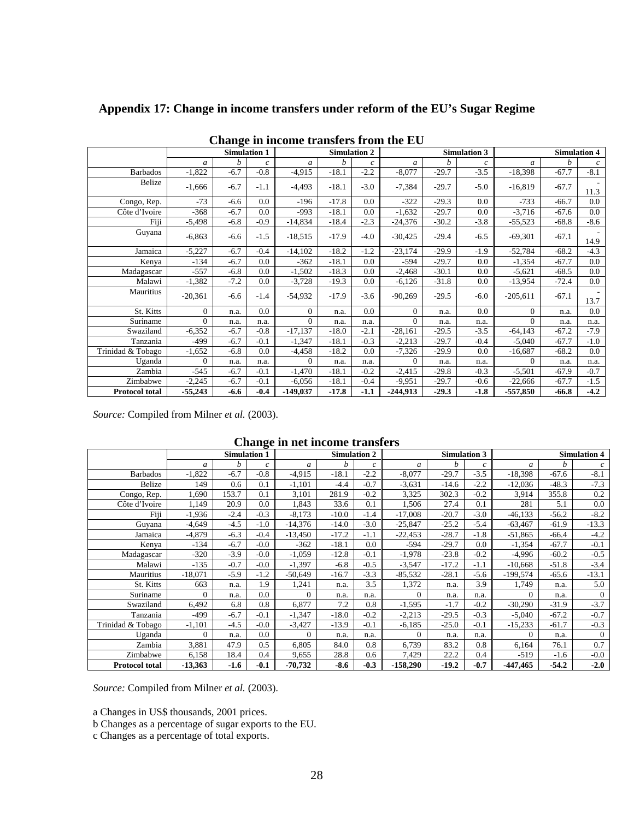| Change in income transfers from the EU |                |                     |                |            |                     |               |               |         |                     |               |                     |                |
|----------------------------------------|----------------|---------------------|----------------|------------|---------------------|---------------|---------------|---------|---------------------|---------------|---------------------|----------------|
|                                        |                | <b>Simulation 1</b> |                |            | <b>Simulation 2</b> |               |               |         | <b>Simulation 3</b> |               | <b>Simulation 4</b> |                |
|                                        | $\mathfrak{a}$ | h                   | $\mathfrak{c}$ | a          | h                   | $\mathcal{C}$ | $\mathfrak a$ | b       | $\mathcal{C}_{0}$   | $\mathfrak a$ | h                   | $\mathfrak{c}$ |
| <b>Barbados</b>                        | $-1,822$       | $-6.7$              | $-0.8$         | $-4,915$   | $-18.1$             | $-2.2$        | $-8,077$      | $-29.7$ | $-3.5$              | $-18,398$     | $-67.7$             | $-8.1$         |
| Belize                                 | $-1,666$       | $-6.7$              | $-1.1$         | $-4,493$   | $-18.1$             | $-3.0$        | $-7,384$      | $-29.7$ | $-5.0$              | $-16,819$     | $-67.7$             | 11.3           |
| Congo, Rep.                            | $-73$          | $-6.6$              | 0.0            | $-196$     | $-17.8$             | 0.0           | $-322$        | $-29.3$ | 0.0                 | $-733$        | $-66.7$             | 0.0            |
| Côte d'Ivoire                          | $-368$         | $-6.7$              | 0.0            | $-993$     | $-18.1$             | 0.0           | $-1,632$      | $-29.7$ | 0.0                 | $-3,716$      | $-67.6$             | 0.0            |
| Fiji                                   | $-5,498$       | $-6.8$              | $-0.9$         | $-14,834$  | $-18.4$             | $-2.3$        | $-24,376$     | $-30.2$ | $-3.8$              | $-55,523$     | $-68.8$             | $-8.6$         |
| Guyana                                 | $-6,863$       | $-6.6$              | $-1.5$         | $-18,515$  | $-17.9$             | $-4.0$        | $-30,425$     | $-29.4$ | $-6.5$              | $-69,301$     | $-67.1$             | 14.9           |
| Jamaica                                | $-5,227$       | $-6.7$              | $-0.4$         | $-14,102$  | $-18.2$             | $-1.2$        | $-23,174$     | $-29.9$ | $-1.9$              | $-52,784$     | $-68.2$             | $-4.3$         |
| Kenya                                  | $-134$         | $-6.7$              | 0.0            | $-362$     | $-18.1$             | 0.0           | $-594$        | $-29.7$ | 0.0                 | $-1,354$      | $-67.7$             | 0.0            |
| Madagascar                             | $-557$         | $-6.8$              | 0.0            | $-1,502$   | $-18.3$             | 0.0           | $-2,468$      | $-30.1$ | 0.0                 | $-5,621$      | $-68.5$             | 0.0            |
| Malawi                                 | $-1,382$       | $-7.2$              | 0.0            | $-3,728$   | $-19.3$             | 0.0           | $-6,126$      | $-31.8$ | 0.0                 | $-13,954$     | $-72.4$             | $0.0\,$        |
| Mauritius                              | $-20,361$      | $-6.6$              | $-1.4$         | $-54,932$  | $-17.9$             | $-3.6$        | $-90,269$     | $-29.5$ | $-6.0$              | $-205,611$    | $-67.1$             | 13.7           |
| St. Kitts                              | $\Omega$       | n.a.                | 0.0            | $\Omega$   | n.a.                | 0.0           | $\Omega$      | n.a.    | 0.0                 | $\theta$      | n.a.                | 0.0            |
| Suriname                               | $\Omega$       | n.a.                | n.a.           | $\Omega$   | n.a.                | n.a.          | $\Omega$      | n.a.    | n.a.                | $\Omega$      | n.a.                | n.a.           |
| Swaziland                              | $-6,352$       | $-6.7$              | $-0.8$         | $-17,137$  | $-18.0$             | $-2.1$        | $-28,161$     | $-29.5$ | $-3.5$              | $-64,143$     | $-67.2$             | $-7.9$         |
| Tanzania                               | $-499$         | $-6.7$              | $-0.1$         | $-1,347$   | $-18.1$             | $-0.3$        | $-2,213$      | $-29.7$ | $-0.4$              | $-5,040$      | $-67.7$             | $-1.0$         |
| Trinidad & Tobago                      | $-1,652$       | $-6.8$              | 0.0            | $-4,458$   | $-18.2$             | 0.0           | $-7,326$      | $-29.9$ | 0.0                 | $-16,687$     | $-68.2$             | 0.0            |
| Uganda                                 | $\Omega$       | n.a.                | n.a.           | $\Omega$   | n.a.                | n.a.          | $\Omega$      | n.a.    | n.a.                | $\theta$      | n.a.                | n.a.           |
| Zambia                                 | $-545$         | $-6.7$              | $-0.1$         | $-1,470$   | $-18.1$             | $-0.2$        | $-2,415$      | $-29.8$ | $-0.3$              | $-5,501$      | $-67.9$             | $-0.7$         |
| Zimbabwe                               | $-2,245$       | $-6.7$              | $-0.1$         | $-6,056$   | $-18.1$             | $-0.4$        | $-9,951$      | $-29.7$ | $-0.6$              | $-22,666$     | $-67.7$             | $-1.5$         |
| Protocol total                         | $-55,243$      | $-6.6$              | $-0.4$         | $-149,037$ | $-17.8$             | $-1.1$        | $-244,913$    | $-29.3$ | $-1.8$              | -557,850      | -66.8               | $-4.2$         |

**Appendix 17: Change in income transfers under reform of the EU's Sugar Regime** 

*Source:* Compiled from Milner *et al.* (2003).

**Change in net income transfers** 

|                       | ີ<br><b>Simulation 1</b> |        |                |           |         | <b>Simulation 2</b> | Simulation 3 |         |                  | <b>Simulation 4</b> |         |          |
|-----------------------|--------------------------|--------|----------------|-----------|---------|---------------------|--------------|---------|------------------|---------------------|---------|----------|
|                       | a                        | h      | $\mathfrak{c}$ | a         | h       | $\mathcal{C}$       | a            | h       | $\boldsymbol{c}$ | a                   | h       | c        |
| <b>Barbados</b>       | $-1,822$                 | $-6.7$ | $-0.8$         | $-4,915$  | $-18.1$ | $-2.2$              | $-8,077$     | $-29.7$ | $-3.5$           | $-18,398$           | $-67.6$ | $-8.1$   |
| Belize                | 149                      | 0.6    | 0.1            | $-1,101$  | $-4.4$  | $-0.7$              | $-3,631$     | $-14.6$ | $-2.2$           | -12,036             | $-48.3$ | $-7.3$   |
| Congo, Rep.           | 1,690                    | 153.7  | 0.1            | 3,101     | 281.9   | $-0.2$              | 3,325        | 302.3   | $-0.2$           | 3,914               | 355.8   | 0.2      |
| Côte d'Ivoire         | 1,149                    | 20.9   | 0.0            | 1,843     | 33.6    | 0.1                 | 1,506        | 27.4    | 0.1              | 281                 | 5.1     | 0.0      |
| Fiji                  | $-1,936$                 | $-2.4$ | $-0.3$         | $-8,173$  | $-10.0$ | $-1.4$              | $-17,008$    | $-20.7$ | $-3.0$           | $-46, 133$          | $-56.2$ | $-8.2$   |
| Guyana                | $-4,649$                 | $-4.5$ | $-1.0$         | $-14,376$ | $-14.0$ | $-3.0$              | $-25,847$    | $-25.2$ | $-5.4$           | -63,467             | $-61.9$ | $-13.3$  |
| Jamaica               | $-4,879$                 | $-6.3$ | $-0.4$         | $-13,450$ | $-17.2$ | $-1.1$              | -22,453      | $-28.7$ | $-1.8$           | -51,865             | $-66.4$ | $-4.2$   |
| Kenya                 | $-134$                   | $-6.7$ | $-0.0$         | $-362$    | $-18.1$ | 0.0                 | $-594$       | $-29.7$ | 0.0              | $-1,354$            | $-67.7$ | $-0.1$   |
| Madagascar            | $-320$                   | $-3.9$ | $-0.0$         | $-1,059$  | $-12.8$ | $-0.1$              | $-1,978$     | $-23.8$ | $-0.2$           | $-4,996$            | $-60.2$ | $-0.5$   |
| Malawi                | $-135$                   | $-0.7$ | $-0.0$         | $-1,397$  | $-6.8$  | $-0.5$              | $-3,547$     | $-17.2$ | $-1.1$           | $-10,668$           | $-51.8$ | $-3.4$   |
| Mauritius             | $-18,071$                | $-5.9$ | $-1.2$         | $-50,649$ | $-16.7$ | $-3.3$              | $-85,532$    | $-28.1$ | $-5.6$           | $-199,574$          | $-65.6$ | $-13.1$  |
| St. Kitts             | 663                      | n.a.   | 1.9            | 1,241     | n.a.    | 3.5                 | 1,372        | n.a.    | 3.9              | 1,749               | n.a.    | 5.0      |
| Suriname              | $\Omega$                 | n.a.   | 0.0            | $\Omega$  | n.a.    | n.a.                | $\Omega$     | n.a.    | n.a.             | $\Omega$            | n.a.    | $\theta$ |
| Swaziland             | 6,492                    | 6.8    | 0.8            | 6,877     | 7.2     | 0.8                 | $-1,595$     | $-1.7$  | $-0.2$           | $-30,290$           | $-31.9$ | $-3.7$   |
| Tanzania              | $-499$                   | $-6.7$ | $-0.1$         | $-1,347$  | $-18.0$ | $-0.2$              | $-2,213$     | $-29.5$ | $-0.3$           | $-5,040$            | $-67.2$ | $-0.7$   |
| Trinidad & Tobago     | $-1,101$                 | $-4.5$ | $-0.0$         | $-3,427$  | $-13.9$ | $-0.1$              | $-6,185$     | $-25.0$ | $-0.1$           | $-15,233$           | $-61.7$ | $-0.3$   |
| Uganda                | $\Omega$                 | n.a.   | 0.0            | $\Omega$  | n.a.    | n.a.                | $\Omega$     | n.a.    | n.a.             | $\Omega$            | n.a.    | $\Omega$ |
| Zambia                | 3,881                    | 47.9   | 0.5            | 6,805     | 84.0    | 0.8                 | 6,739        | 83.2    | 0.8              | 6,164               | 76.1    | 0.7      |
| Zimbabwe              | 6,158                    | 18.4   | 0.4            | 9,655     | 28.8    | 0.6                 | 7,429        | 22.2    | 0.4              | $-519$              | $-1.6$  | $-0.0$   |
| <b>Protocol total</b> | $-13,363$                | $-1.6$ | $-0.1$         | $-70,732$ | $-8.6$  | $-0.3$              | $-158,290$   | $-19.2$ | $-0.7$           | $-447,465$          | $-54.2$ | $-2.0$   |

*Source:* Compiled from Milner *et al.* (2003).

a Changes in US\$ thousands, 2001 prices.

b Changes as a percentage of sugar exports to the EU.

c Changes as a percentage of total exports.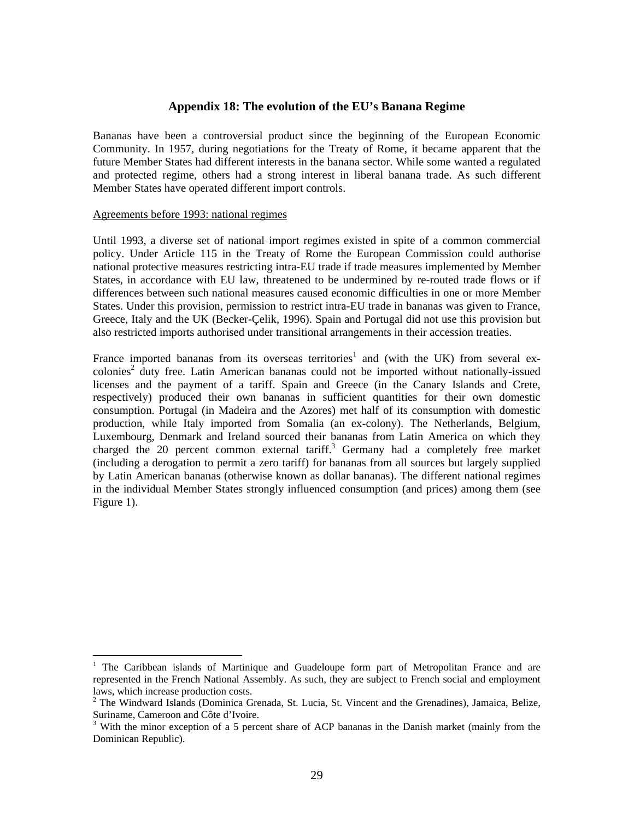### **Appendix 18: The evolution of the EU's Banana Regime**

Bananas have been a controversial product since the beginning of the European Economic Community. In 1957, during negotiations for the Treaty of Rome, it became apparent that the future Member States had different interests in the banana sector. While some wanted a regulated and protected regime, others had a strong interest in liberal banana trade. As such different Member States have operated different import controls.

### Agreements before 1993: national regimes

 $\overline{a}$ 

Until 1993, a diverse set of national import regimes existed in spite of a common commercial policy. Under Article 115 in the Treaty of Rome the European Commission could authorise national protective measures restricting intra-EU trade if trade measures implemented by Member States, in accordance with EU law, threatened to be undermined by re-routed trade flows or if differences between such national measures caused economic difficulties in one or more Member States. Under this provision, permission to restrict intra-EU trade in bananas was given to France, Greece, Italy and the UK (Becker-Çelik, 1996). Spain and Portugal did not use this provision but also restricted imports authorised under transitional arrangements in their accession treaties.

France imported bananas from its overseas territories<sup>1</sup> and (with the UK) from several excolonies<sup>2</sup> duty free. Latin American bananas could not be imported without nationally-issued licenses and the payment of a tariff. Spain and Greece (in the Canary Islands and Crete, respectively) produced their own bananas in sufficient quantities for their own domestic consumption. Portugal (in Madeira and the Azores) met half of its consumption with domestic production, while Italy imported from Somalia (an ex-colony). The Netherlands, Belgium, Luxembourg, Denmark and Ireland sourced their bananas from Latin America on which they charged the 20 percent common external tariff.<sup>3</sup> Germany had a completely free market (including a derogation to permit a zero tariff) for bananas from all sources but largely supplied by Latin American bananas (otherwise known as dollar bananas). The different national regimes in the individual Member States strongly influenced consumption (and prices) among them (see Figure 1).

<sup>1</sup> The Caribbean islands of Martinique and Guadeloupe form part of Metropolitan France and are represented in the French National Assembly. As such, they are subject to French social and employment laws, which increase production costs.

<sup>&</sup>lt;sup>2</sup> The Windward Islands (Dominica Grenada, St. Lucia, St. Vincent and the Grenadines), Jamaica, Belize, Suriname, Cameroon and Côte d'Ivoire.

<sup>&</sup>lt;sup>3</sup> With the minor exception of a 5 percent share of ACP bananas in the Danish market (mainly from the Dominican Republic).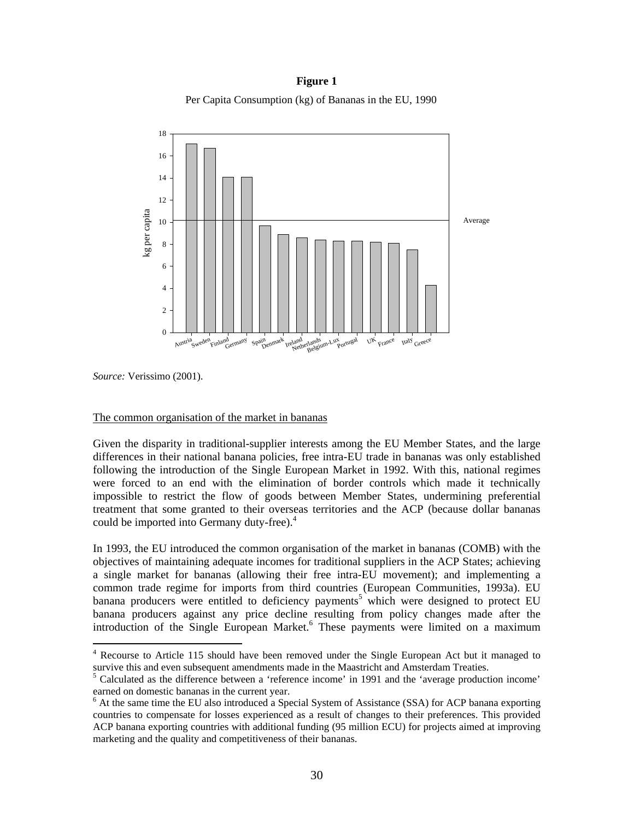**Figure 1** Per Capita Consumption (kg) of Bananas in the EU, 1990



*Source:* Verissimo (2001).

 $\overline{a}$ 

### The common organisation of the market in bananas

Given the disparity in traditional-supplier interests among the EU Member States, and the large differences in their national banana policies, free intra-EU trade in bananas was only established following the introduction of the Single European Market in 1992. With this, national regimes were forced to an end with the elimination of border controls which made it technically impossible to restrict the flow of goods between Member States, undermining preferential treatment that some granted to their overseas territories and the ACP (because dollar bananas could be imported into Germany duty-free).<sup>4</sup>

In 1993, the EU introduced the common organisation of the market in bananas (COMB) with the objectives of maintaining adequate incomes for traditional suppliers in the ACP States; achieving a single market for bananas (allowing their free intra-EU movement); and implementing a common trade regime for imports from third countries (European Communities, 1993a). EU banana producers were entitled to deficiency payments<sup>5</sup> which were designed to protect EU banana producers against any price decline resulting from policy changes made after the introduction of the Single European Market.<sup>6</sup> These payments were limited on a maximum

<sup>&</sup>lt;sup>4</sup> Recourse to Article 115 should have been removed under the Single European Act but it managed to survive this and even subsequent amendments made in the Maastricht and Amsterdam Treaties.

<sup>&</sup>lt;sup>5</sup> Calculated as the difference between a 'reference income' in 1991 and the 'average production income' earned on domestic bananas in the current year.

<sup>&</sup>lt;sup>6</sup> At the same time the EU also introduced a Special System of Assistance (SSA) for ACP banana exporting countries to compensate for losses experienced as a result of changes to their preferences. This provided ACP banana exporting countries with additional funding (95 million ECU) for projects aimed at improving marketing and the quality and competitiveness of their bananas.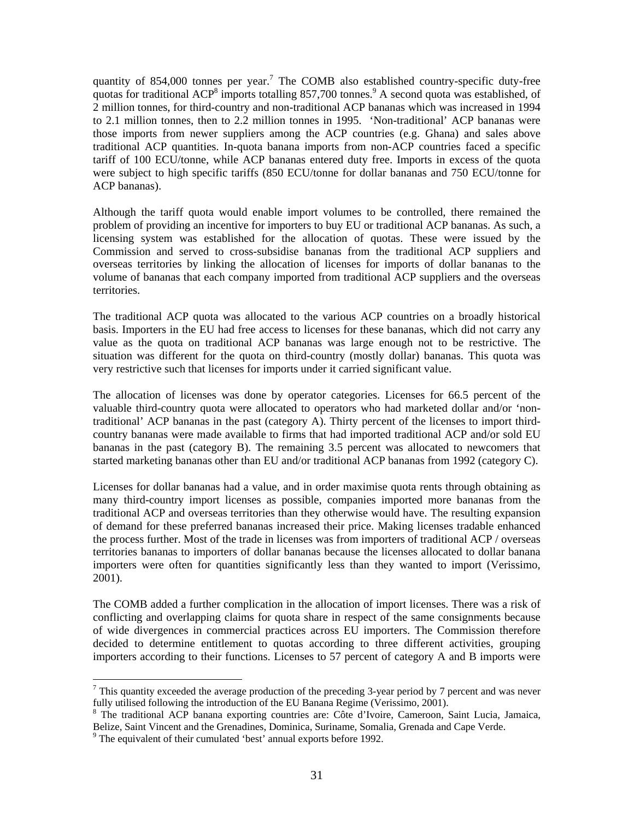quantity of  $854,000$  tonnes per year.<sup>7</sup> The COMB also established country-specific duty-free quotas for traditional ACP<sup>8</sup> imports totalling 857,700 tonnes.<sup>9</sup> A second quota was established, of 2 million tonnes, for third-country and non-traditional ACP bananas which was increased in 1994 to 2.1 million tonnes, then to 2.2 million tonnes in 1995. 'Non-traditional' ACP bananas were those imports from newer suppliers among the ACP countries (e.g. Ghana) and sales above traditional ACP quantities. In-quota banana imports from non-ACP countries faced a specific tariff of 100 ECU/tonne, while ACP bananas entered duty free. Imports in excess of the quota were subject to high specific tariffs (850 ECU/tonne for dollar bananas and 750 ECU/tonne for ACP bananas).

Although the tariff quota would enable import volumes to be controlled, there remained the problem of providing an incentive for importers to buy EU or traditional ACP bananas. As such, a licensing system was established for the allocation of quotas. These were issued by the Commission and served to cross-subsidise bananas from the traditional ACP suppliers and overseas territories by linking the allocation of licenses for imports of dollar bananas to the volume of bananas that each company imported from traditional ACP suppliers and the overseas territories.

The traditional ACP quota was allocated to the various ACP countries on a broadly historical basis. Importers in the EU had free access to licenses for these bananas, which did not carry any value as the quota on traditional ACP bananas was large enough not to be restrictive. The situation was different for the quota on third-country (mostly dollar) bananas. This quota was very restrictive such that licenses for imports under it carried significant value.

The allocation of licenses was done by operator categories. Licenses for 66.5 percent of the valuable third-country quota were allocated to operators who had marketed dollar and/or 'nontraditional' ACP bananas in the past (category A). Thirty percent of the licenses to import thirdcountry bananas were made available to firms that had imported traditional ACP and/or sold EU bananas in the past (category B). The remaining 3.5 percent was allocated to newcomers that started marketing bananas other than EU and/or traditional ACP bananas from 1992 (category C).

Licenses for dollar bananas had a value, and in order maximise quota rents through obtaining as many third-country import licenses as possible, companies imported more bananas from the traditional ACP and overseas territories than they otherwise would have. The resulting expansion of demand for these preferred bananas increased their price. Making licenses tradable enhanced the process further. Most of the trade in licenses was from importers of traditional ACP / overseas territories bananas to importers of dollar bananas because the licenses allocated to dollar banana importers were often for quantities significantly less than they wanted to import (Verissimo, 2001).

The COMB added a further complication in the allocation of import licenses. There was a risk of conflicting and overlapping claims for quota share in respect of the same consignments because of wide divergences in commercial practices across EU importers. The Commission therefore decided to determine entitlement to quotas according to three different activities, grouping importers according to their functions. Licenses to 57 percent of category A and B imports were

 $\overline{a}$ 

<sup>&</sup>lt;sup>7</sup> This quantity exceeded the average production of the preceding 3-year period by 7 percent and was never fully utilised following the introduction of the EU Banana Regime (Verissimo, 2001).

<sup>&</sup>lt;sup>8</sup> The traditional ACP banana exporting countries are: Côte d'Ivoire, Cameroon, Saint Lucia, Jamaica, Belize, Saint Vincent and the Grenadines, Dominica, Suriname, Somalia, Grenada and Cape Verde. 9

 $\degree$  The equivalent of their cumulated 'best' annual exports before 1992.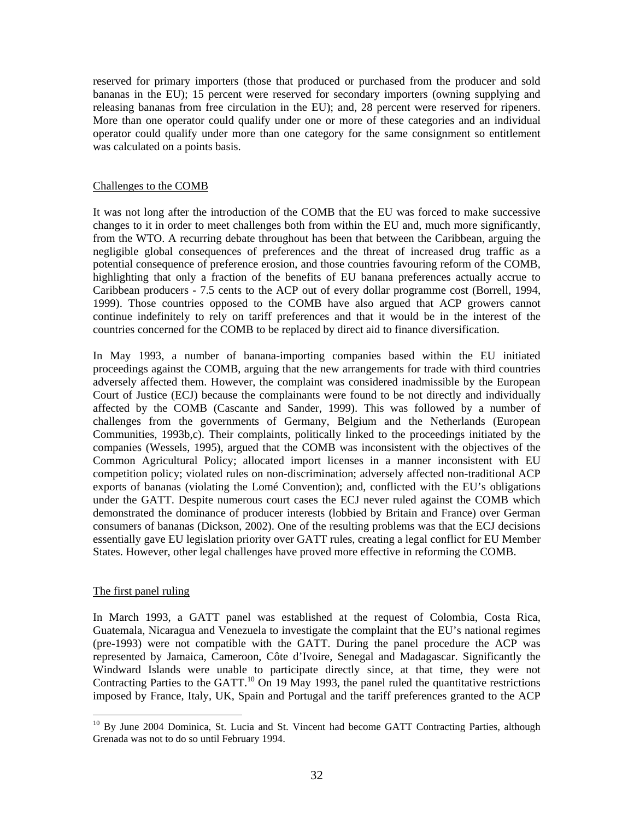reserved for primary importers (those that produced or purchased from the producer and sold bananas in the EU); 15 percent were reserved for secondary importers (owning supplying and releasing bananas from free circulation in the EU); and, 28 percent were reserved for ripeners. More than one operator could qualify under one or more of these categories and an individual operator could qualify under more than one category for the same consignment so entitlement was calculated on a points basis.

### Challenges to the COMB

It was not long after the introduction of the COMB that the EU was forced to make successive changes to it in order to meet challenges both from within the EU and, much more significantly, from the WTO. A recurring debate throughout has been that between the Caribbean, arguing the negligible global consequences of preferences and the threat of increased drug traffic as a potential consequence of preference erosion, and those countries favouring reform of the COMB, highlighting that only a fraction of the benefits of EU banana preferences actually accrue to Caribbean producers - 7.5 cents to the ACP out of every dollar programme cost (Borrell, 1994, 1999). Those countries opposed to the COMB have also argued that ACP growers cannot continue indefinitely to rely on tariff preferences and that it would be in the interest of the countries concerned for the COMB to be replaced by direct aid to finance diversification.

In May 1993, a number of banana-importing companies based within the EU initiated proceedings against the COMB, arguing that the new arrangements for trade with third countries adversely affected them. However, the complaint was considered inadmissible by the European Court of Justice (ECJ) because the complainants were found to be not directly and individually affected by the COMB (Cascante and Sander, 1999). This was followed by a number of challenges from the governments of Germany, Belgium and the Netherlands (European Communities, 1993b,c). Their complaints, politically linked to the proceedings initiated by the companies (Wessels, 1995), argued that the COMB was inconsistent with the objectives of the Common Agricultural Policy; allocated import licenses in a manner inconsistent with EU competition policy; violated rules on non-discrimination; adversely affected non-traditional ACP exports of bananas (violating the Lomé Convention); and, conflicted with the EU's obligations under the GATT. Despite numerous court cases the ECJ never ruled against the COMB which demonstrated the dominance of producer interests (lobbied by Britain and France) over German consumers of bananas (Dickson, 2002). One of the resulting problems was that the ECJ decisions essentially gave EU legislation priority over GATT rules, creating a legal conflict for EU Member States. However, other legal challenges have proved more effective in reforming the COMB.

### The first panel ruling

 $\overline{a}$ 

In March 1993, a GATT panel was established at the request of Colombia, Costa Rica, Guatemala, Nicaragua and Venezuela to investigate the complaint that the EU's national regimes (pre-1993) were not compatible with the GATT. During the panel procedure the ACP was represented by Jamaica, Cameroon, Côte d'Ivoire, Senegal and Madagascar. Significantly the Windward Islands were unable to participate directly since, at that time, they were not Contracting Parties to the GATT.<sup>10</sup> On 19 May 1993, the panel ruled the quantitative restrictions imposed by France, Italy, UK, Spain and Portugal and the tariff preferences granted to the ACP

<sup>&</sup>lt;sup>10</sup> By June 2004 Dominica, St. Lucia and St. Vincent had become GATT Contracting Parties, although Grenada was not to do so until February 1994.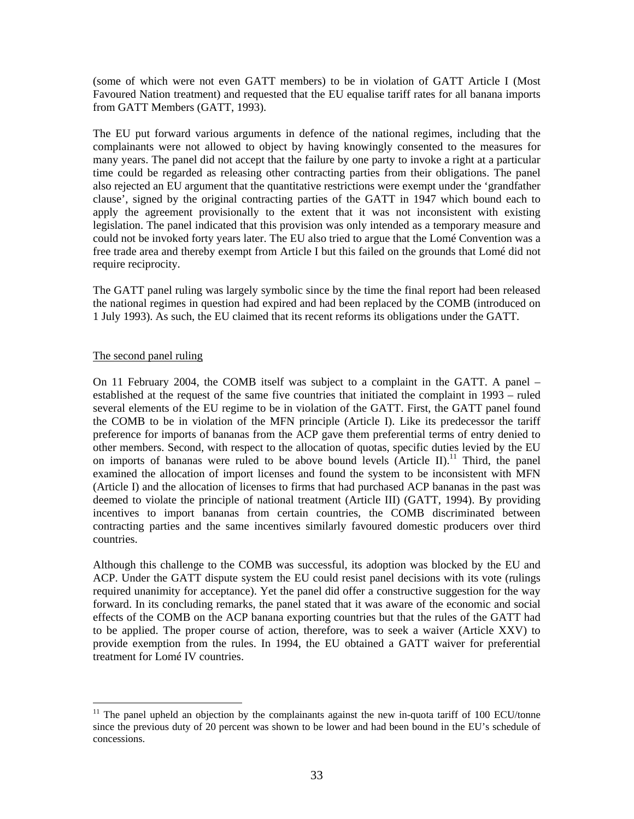(some of which were not even GATT members) to be in violation of GATT Article I (Most Favoured Nation treatment) and requested that the EU equalise tariff rates for all banana imports from GATT Members (GATT, 1993).

The EU put forward various arguments in defence of the national regimes, including that the complainants were not allowed to object by having knowingly consented to the measures for many years. The panel did not accept that the failure by one party to invoke a right at a particular time could be regarded as releasing other contracting parties from their obligations. The panel also rejected an EU argument that the quantitative restrictions were exempt under the 'grandfather clause', signed by the original contracting parties of the GATT in 1947 which bound each to apply the agreement provisionally to the extent that it was not inconsistent with existing legislation. The panel indicated that this provision was only intended as a temporary measure and could not be invoked forty years later. The EU also tried to argue that the Lomé Convention was a free trade area and thereby exempt from Article I but this failed on the grounds that Lomé did not require reciprocity.

The GATT panel ruling was largely symbolic since by the time the final report had been released the national regimes in question had expired and had been replaced by the COMB (introduced on 1 July 1993). As such, the EU claimed that its recent reforms its obligations under the GATT.

### The second panel ruling

 $\overline{a}$ 

On 11 February 2004, the COMB itself was subject to a complaint in the GATT. A panel – established at the request of the same five countries that initiated the complaint in 1993 – ruled several elements of the EU regime to be in violation of the GATT. First, the GATT panel found the COMB to be in violation of the MFN principle (Article I). Like its predecessor the tariff preference for imports of bananas from the ACP gave them preferential terms of entry denied to other members. Second, with respect to the allocation of quotas, specific duties levied by the EU on imports of bananas were ruled to be above bound levels  $(A$ rticle II).<sup>11</sup> Third, the panel examined the allocation of import licenses and found the system to be inconsistent with MFN (Article I) and the allocation of licenses to firms that had purchased ACP bananas in the past was deemed to violate the principle of national treatment (Article III) (GATT, 1994). By providing incentives to import bananas from certain countries, the COMB discriminated between contracting parties and the same incentives similarly favoured domestic producers over third countries.

Although this challenge to the COMB was successful, its adoption was blocked by the EU and ACP. Under the GATT dispute system the EU could resist panel decisions with its vote (rulings required unanimity for acceptance). Yet the panel did offer a constructive suggestion for the way forward. In its concluding remarks, the panel stated that it was aware of the economic and social effects of the COMB on the ACP banana exporting countries but that the rules of the GATT had to be applied. The proper course of action, therefore, was to seek a waiver (Article XXV) to provide exemption from the rules. In 1994, the EU obtained a GATT waiver for preferential treatment for Lomé IV countries.

 $11$  The panel upheld an objection by the complainants against the new in-quota tariff of 100 ECU/tonne since the previous duty of 20 percent was shown to be lower and had been bound in the EU's schedule of concessions.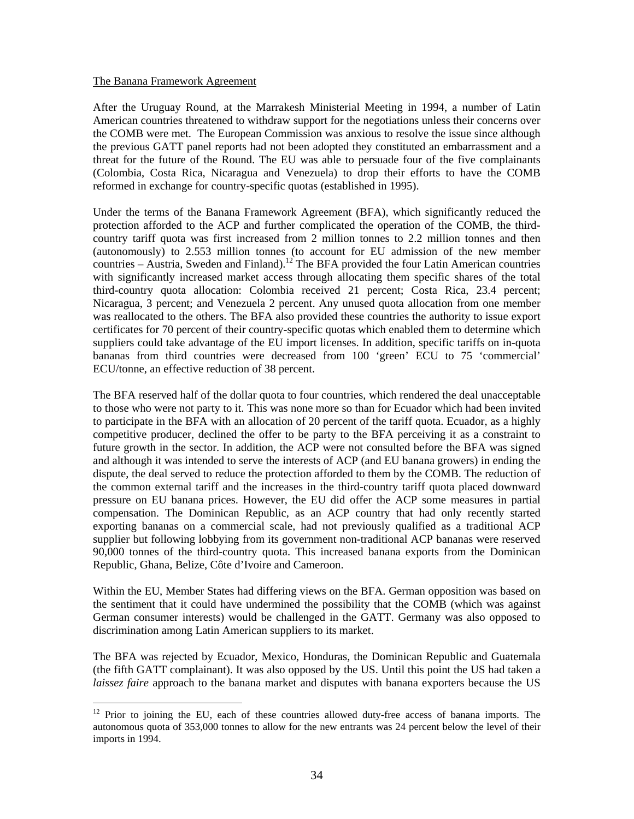### The Banana Framework Agreement

 $\overline{a}$ 

After the Uruguay Round, at the Marrakesh Ministerial Meeting in 1994, a number of Latin American countries threatened to withdraw support for the negotiations unless their concerns over the COMB were met. The European Commission was anxious to resolve the issue since although the previous GATT panel reports had not been adopted they constituted an embarrassment and a threat for the future of the Round. The EU was able to persuade four of the five complainants (Colombia, Costa Rica, Nicaragua and Venezuela) to drop their efforts to have the COMB reformed in exchange for country-specific quotas (established in 1995).

Under the terms of the Banana Framework Agreement (BFA), which significantly reduced the protection afforded to the ACP and further complicated the operation of the COMB, the thirdcountry tariff quota was first increased from 2 million tonnes to 2.2 million tonnes and then (autonomously) to 2.553 million tonnes (to account for EU admission of the new member countries – Austria, Sweden and Finland).<sup>12</sup> The BFA provided the four Latin American countries with significantly increased market access through allocating them specific shares of the total third-country quota allocation: Colombia received 21 percent; Costa Rica, 23.4 percent; Nicaragua, 3 percent; and Venezuela 2 percent. Any unused quota allocation from one member was reallocated to the others. The BFA also provided these countries the authority to issue export certificates for 70 percent of their country-specific quotas which enabled them to determine which suppliers could take advantage of the EU import licenses. In addition, specific tariffs on in-quota bananas from third countries were decreased from 100 'green' ECU to 75 'commercial' ECU/tonne, an effective reduction of 38 percent.

The BFA reserved half of the dollar quota to four countries, which rendered the deal unacceptable to those who were not party to it. This was none more so than for Ecuador which had been invited to participate in the BFA with an allocation of 20 percent of the tariff quota. Ecuador, as a highly competitive producer, declined the offer to be party to the BFA perceiving it as a constraint to future growth in the sector. In addition, the ACP were not consulted before the BFA was signed and although it was intended to serve the interests of ACP (and EU banana growers) in ending the dispute, the deal served to reduce the protection afforded to them by the COMB. The reduction of the common external tariff and the increases in the third-country tariff quota placed downward pressure on EU banana prices. However, the EU did offer the ACP some measures in partial compensation. The Dominican Republic, as an ACP country that had only recently started exporting bananas on a commercial scale, had not previously qualified as a traditional ACP supplier but following lobbying from its government non-traditional ACP bananas were reserved 90,000 tonnes of the third-country quota. This increased banana exports from the Dominican Republic, Ghana, Belize, Côte d'Ivoire and Cameroon.

Within the EU, Member States had differing views on the BFA. German opposition was based on the sentiment that it could have undermined the possibility that the COMB (which was against German consumer interests) would be challenged in the GATT. Germany was also opposed to discrimination among Latin American suppliers to its market.

The BFA was rejected by Ecuador, Mexico, Honduras, the Dominican Republic and Guatemala (the fifth GATT complainant). It was also opposed by the US. Until this point the US had taken a *laissez faire* approach to the banana market and disputes with banana exporters because the US

 $12$  Prior to joining the EU, each of these countries allowed duty-free access of banana imports. The autonomous quota of 353,000 tonnes to allow for the new entrants was 24 percent below the level of their imports in 1994.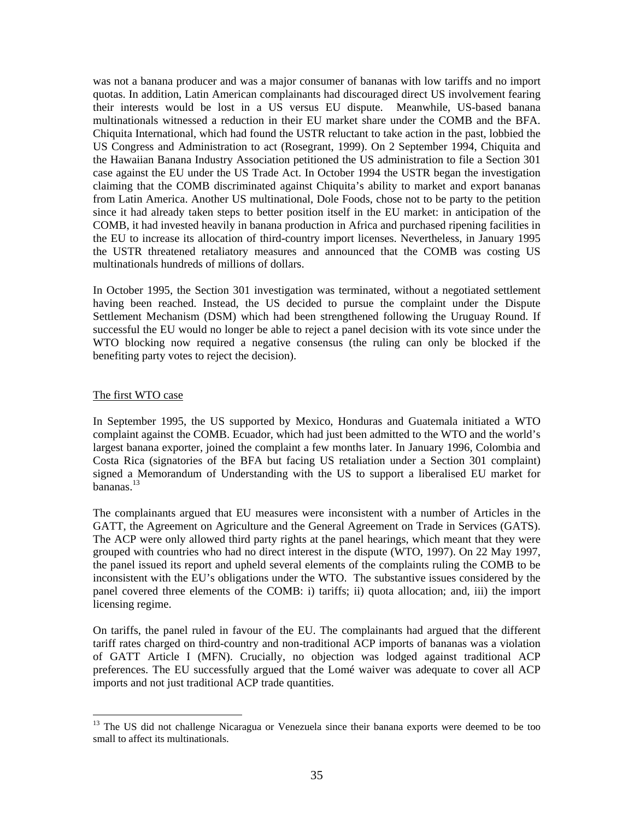was not a banana producer and was a major consumer of bananas with low tariffs and no import quotas. In addition, Latin American complainants had discouraged direct US involvement fearing their interests would be lost in a US versus EU dispute. Meanwhile, US-based banana multinationals witnessed a reduction in their EU market share under the COMB and the BFA. Chiquita International, which had found the USTR reluctant to take action in the past, lobbied the US Congress and Administration to act (Rosegrant, 1999). On 2 September 1994, Chiquita and the Hawaiian Banana Industry Association petitioned the US administration to file a Section 301 case against the EU under the US Trade Act. In October 1994 the USTR began the investigation claiming that the COMB discriminated against Chiquita's ability to market and export bananas from Latin America. Another US multinational, Dole Foods, chose not to be party to the petition since it had already taken steps to better position itself in the EU market: in anticipation of the COMB, it had invested heavily in banana production in Africa and purchased ripening facilities in the EU to increase its allocation of third-country import licenses. Nevertheless, in January 1995 the USTR threatened retaliatory measures and announced that the COMB was costing US multinationals hundreds of millions of dollars.

In October 1995, the Section 301 investigation was terminated, without a negotiated settlement having been reached. Instead, the US decided to pursue the complaint under the Dispute Settlement Mechanism (DSM) which had been strengthened following the Uruguay Round. If successful the EU would no longer be able to reject a panel decision with its vote since under the WTO blocking now required a negative consensus (the ruling can only be blocked if the benefiting party votes to reject the decision).

### The first WTO case

 $\overline{a}$ 

In September 1995, the US supported by Mexico, Honduras and Guatemala initiated a WTO complaint against the COMB. Ecuador, which had just been admitted to the WTO and the world's largest banana exporter, joined the complaint a few months later. In January 1996, Colombia and Costa Rica (signatories of the BFA but facing US retaliation under a Section 301 complaint) signed a Memorandum of Understanding with the US to support a liberalised EU market for  $b$ ananas.<sup>13</sup>

The complainants argued that EU measures were inconsistent with a number of Articles in the GATT, the Agreement on Agriculture and the General Agreement on Trade in Services (GATS). The ACP were only allowed third party rights at the panel hearings, which meant that they were grouped with countries who had no direct interest in the dispute (WTO, 1997). On 22 May 1997, the panel issued its report and upheld several elements of the complaints ruling the COMB to be inconsistent with the EU's obligations under the WTO. The substantive issues considered by the panel covered three elements of the COMB: i) tariffs; ii) quota allocation; and, iii) the import licensing regime.

On tariffs, the panel ruled in favour of the EU. The complainants had argued that the different tariff rates charged on third-country and non-traditional ACP imports of bananas was a violation of GATT Article I (MFN). Crucially, no objection was lodged against traditional ACP preferences. The EU successfully argued that the Lomé waiver was adequate to cover all ACP imports and not just traditional ACP trade quantities.

<sup>&</sup>lt;sup>13</sup> The US did not challenge Nicaragua or Venezuela since their banana exports were deemed to be too small to affect its multinationals.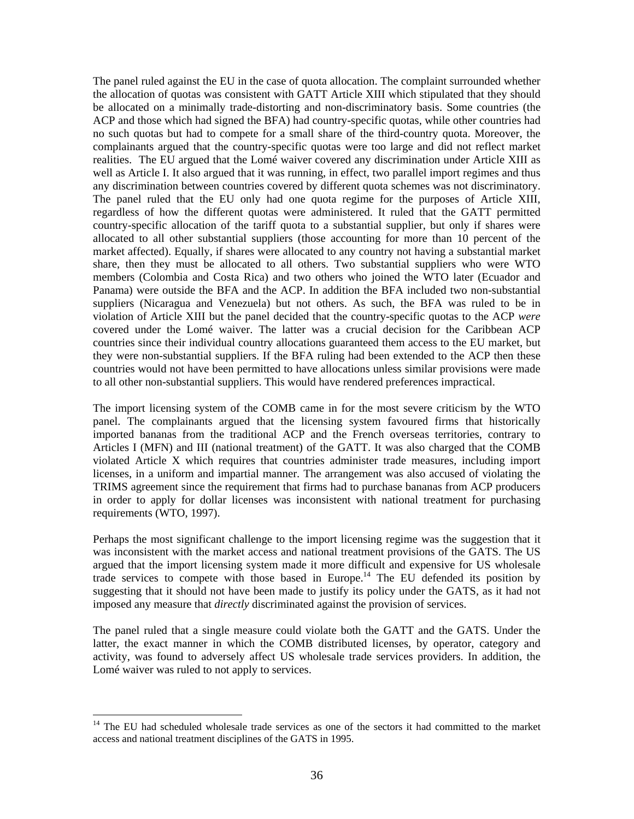The panel ruled against the EU in the case of quota allocation. The complaint surrounded whether the allocation of quotas was consistent with GATT Article XIII which stipulated that they should be allocated on a minimally trade-distorting and non-discriminatory basis. Some countries (the ACP and those which had signed the BFA) had country-specific quotas, while other countries had no such quotas but had to compete for a small share of the third-country quota. Moreover, the complainants argued that the country-specific quotas were too large and did not reflect market realities. The EU argued that the Lomé waiver covered any discrimination under Article XIII as well as Article I. It also argued that it was running, in effect, two parallel import regimes and thus any discrimination between countries covered by different quota schemes was not discriminatory. The panel ruled that the EU only had one quota regime for the purposes of Article XIII, regardless of how the different quotas were administered. It ruled that the GATT permitted country-specific allocation of the tariff quota to a substantial supplier, but only if shares were allocated to all other substantial suppliers (those accounting for more than 10 percent of the market affected). Equally, if shares were allocated to any country not having a substantial market share, then they must be allocated to all others. Two substantial suppliers who were WTO members (Colombia and Costa Rica) and two others who joined the WTO later (Ecuador and Panama) were outside the BFA and the ACP. In addition the BFA included two non-substantial suppliers (Nicaragua and Venezuela) but not others. As such, the BFA was ruled to be in violation of Article XIII but the panel decided that the country-specific quotas to the ACP *were* covered under the Lomé waiver. The latter was a crucial decision for the Caribbean ACP countries since their individual country allocations guaranteed them access to the EU market, but they were non-substantial suppliers. If the BFA ruling had been extended to the ACP then these countries would not have been permitted to have allocations unless similar provisions were made to all other non-substantial suppliers. This would have rendered preferences impractical.

The import licensing system of the COMB came in for the most severe criticism by the WTO panel. The complainants argued that the licensing system favoured firms that historically imported bananas from the traditional ACP and the French overseas territories, contrary to Articles I (MFN) and III (national treatment) of the GATT. It was also charged that the COMB violated Article X which requires that countries administer trade measures, including import licenses, in a uniform and impartial manner. The arrangement was also accused of violating the TRIMS agreement since the requirement that firms had to purchase bananas from ACP producers in order to apply for dollar licenses was inconsistent with national treatment for purchasing requirements (WTO, 1997).

Perhaps the most significant challenge to the import licensing regime was the suggestion that it was inconsistent with the market access and national treatment provisions of the GATS. The US argued that the import licensing system made it more difficult and expensive for US wholesale trade services to compete with those based in Europe.<sup>14</sup> The EU defended its position by suggesting that it should not have been made to justify its policy under the GATS, as it had not imposed any measure that *directly* discriminated against the provision of services.

The panel ruled that a single measure could violate both the GATT and the GATS. Under the latter, the exact manner in which the COMB distributed licenses, by operator, category and activity, was found to adversely affect US wholesale trade services providers. In addition, the Lomé waiver was ruled to not apply to services.

 $\overline{a}$ 

<sup>&</sup>lt;sup>14</sup> The EU had scheduled wholesale trade services as one of the sectors it had committed to the market access and national treatment disciplines of the GATS in 1995.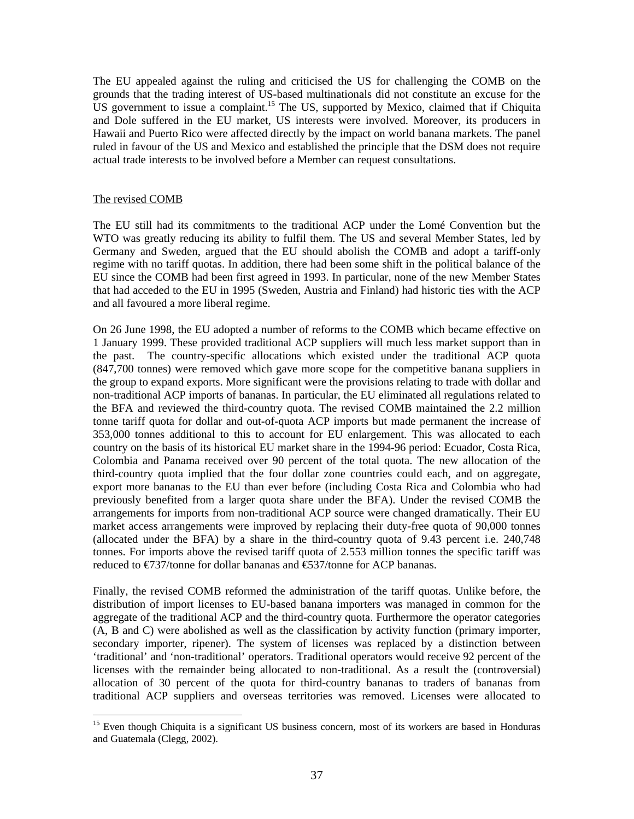The EU appealed against the ruling and criticised the US for challenging the COMB on the grounds that the trading interest of US-based multinationals did not constitute an excuse for the US government to issue a complaint.<sup>15</sup> The US, supported by Mexico, claimed that if Chiquita and Dole suffered in the EU market, US interests were involved. Moreover, its producers in Hawaii and Puerto Rico were affected directly by the impact on world banana markets. The panel ruled in favour of the US and Mexico and established the principle that the DSM does not require actual trade interests to be involved before a Member can request consultations.

### The revised COMB

 $\overline{a}$ 

The EU still had its commitments to the traditional ACP under the Lomé Convention but the WTO was greatly reducing its ability to fulfil them. The US and several Member States, led by Germany and Sweden, argued that the EU should abolish the COMB and adopt a tariff-only regime with no tariff quotas. In addition, there had been some shift in the political balance of the EU since the COMB had been first agreed in 1993. In particular, none of the new Member States that had acceded to the EU in 1995 (Sweden, Austria and Finland) had historic ties with the ACP and all favoured a more liberal regime.

On 26 June 1998, the EU adopted a number of reforms to the COMB which became effective on 1 January 1999. These provided traditional ACP suppliers will much less market support than in the past. The country-specific allocations which existed under the traditional ACP quota (847,700 tonnes) were removed which gave more scope for the competitive banana suppliers in the group to expand exports. More significant were the provisions relating to trade with dollar and non-traditional ACP imports of bananas. In particular, the EU eliminated all regulations related to the BFA and reviewed the third-country quota. The revised COMB maintained the 2.2 million tonne tariff quota for dollar and out-of-quota ACP imports but made permanent the increase of 353,000 tonnes additional to this to account for EU enlargement. This was allocated to each country on the basis of its historical EU market share in the 1994-96 period: Ecuador, Costa Rica, Colombia and Panama received over 90 percent of the total quota. The new allocation of the third-country quota implied that the four dollar zone countries could each, and on aggregate, export more bananas to the EU than ever before (including Costa Rica and Colombia who had previously benefited from a larger quota share under the BFA). Under the revised COMB the arrangements for imports from non-traditional ACP source were changed dramatically. Their EU market access arrangements were improved by replacing their duty-free quota of 90,000 tonnes (allocated under the BFA) by a share in the third-country quota of 9.43 percent i.e. 240,748 tonnes. For imports above the revised tariff quota of 2.553 million tonnes the specific tariff was reduced to  $\epsilon$ 737/tonne for dollar bananas and  $\epsilon$ 537/tonne for ACP bananas.

Finally, the revised COMB reformed the administration of the tariff quotas. Unlike before, the distribution of import licenses to EU-based banana importers was managed in common for the aggregate of the traditional ACP and the third-country quota. Furthermore the operator categories (A, B and C) were abolished as well as the classification by activity function (primary importer, secondary importer, ripener). The system of licenses was replaced by a distinction between 'traditional' and 'non-traditional' operators. Traditional operators would receive 92 percent of the licenses with the remainder being allocated to non-traditional. As a result the (controversial) allocation of 30 percent of the quota for third-country bananas to traders of bananas from traditional ACP suppliers and overseas territories was removed. Licenses were allocated to

<sup>&</sup>lt;sup>15</sup> Even though Chiquita is a significant US business concern, most of its workers are based in Honduras and Guatemala (Clegg, 2002).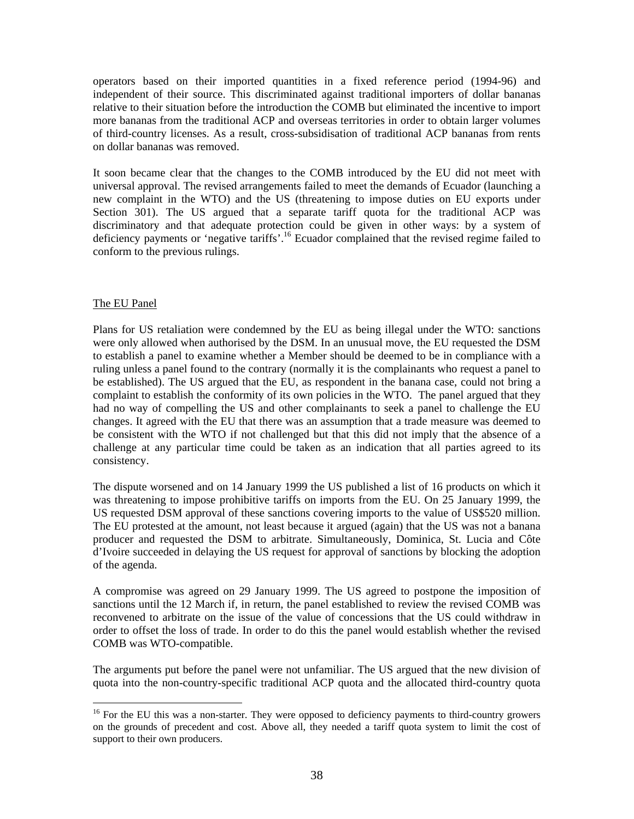operators based on their imported quantities in a fixed reference period (1994-96) and independent of their source. This discriminated against traditional importers of dollar bananas relative to their situation before the introduction the COMB but eliminated the incentive to import more bananas from the traditional ACP and overseas territories in order to obtain larger volumes of third-country licenses. As a result, cross-subsidisation of traditional ACP bananas from rents on dollar bananas was removed.

It soon became clear that the changes to the COMB introduced by the EU did not meet with universal approval. The revised arrangements failed to meet the demands of Ecuador (launching a new complaint in the WTO) and the US (threatening to impose duties on EU exports under Section 301). The US argued that a separate tariff quota for the traditional ACP was discriminatory and that adequate protection could be given in other ways: by a system of deficiency payments or 'negative tariffs'.<sup>16</sup> Ecuador complained that the revised regime failed to conform to the previous rulings.

### The EU Panel

 $\overline{a}$ 

Plans for US retaliation were condemned by the EU as being illegal under the WTO: sanctions were only allowed when authorised by the DSM. In an unusual move, the EU requested the DSM to establish a panel to examine whether a Member should be deemed to be in compliance with a ruling unless a panel found to the contrary (normally it is the complainants who request a panel to be established). The US argued that the EU, as respondent in the banana case, could not bring a complaint to establish the conformity of its own policies in the WTO. The panel argued that they had no way of compelling the US and other complainants to seek a panel to challenge the EU changes. It agreed with the EU that there was an assumption that a trade measure was deemed to be consistent with the WTO if not challenged but that this did not imply that the absence of a challenge at any particular time could be taken as an indication that all parties agreed to its consistency.

The dispute worsened and on 14 January 1999 the US published a list of 16 products on which it was threatening to impose prohibitive tariffs on imports from the EU. On 25 January 1999, the US requested DSM approval of these sanctions covering imports to the value of US\$520 million. The EU protested at the amount, not least because it argued (again) that the US was not a banana producer and requested the DSM to arbitrate. Simultaneously, Dominica, St. Lucia and Côte d'Ivoire succeeded in delaying the US request for approval of sanctions by blocking the adoption of the agenda.

A compromise was agreed on 29 January 1999. The US agreed to postpone the imposition of sanctions until the 12 March if, in return, the panel established to review the revised COMB was reconvened to arbitrate on the issue of the value of concessions that the US could withdraw in order to offset the loss of trade. In order to do this the panel would establish whether the revised COMB was WTO-compatible.

The arguments put before the panel were not unfamiliar. The US argued that the new division of quota into the non-country-specific traditional ACP quota and the allocated third-country quota

<sup>&</sup>lt;sup>16</sup> For the EU this was a non-starter. They were opposed to deficiency payments to third-country growers on the grounds of precedent and cost. Above all, they needed a tariff quota system to limit the cost of support to their own producers.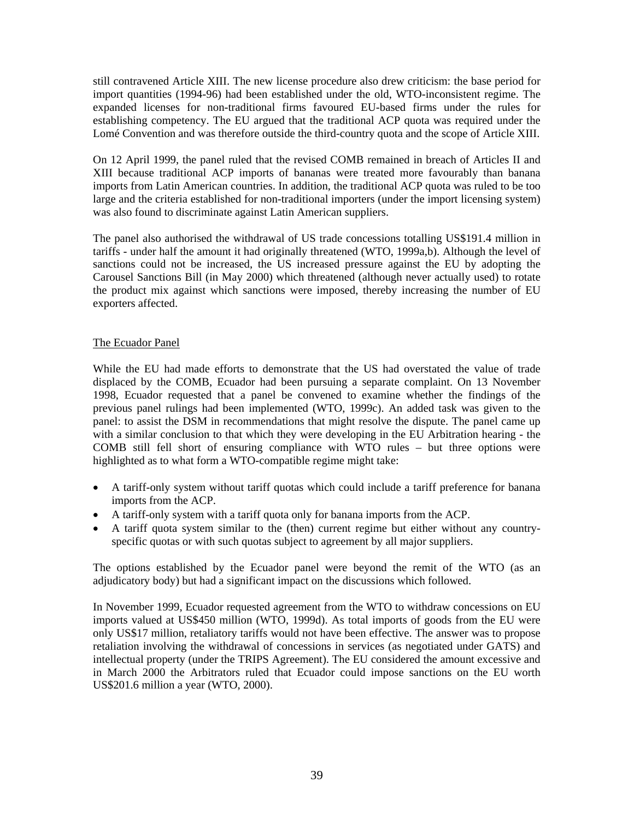still contravened Article XIII. The new license procedure also drew criticism: the base period for import quantities (1994-96) had been established under the old, WTO-inconsistent regime. The expanded licenses for non-traditional firms favoured EU-based firms under the rules for establishing competency. The EU argued that the traditional ACP quota was required under the Lomé Convention and was therefore outside the third-country quota and the scope of Article XIII.

On 12 April 1999, the panel ruled that the revised COMB remained in breach of Articles II and XIII because traditional ACP imports of bananas were treated more favourably than banana imports from Latin American countries. In addition, the traditional ACP quota was ruled to be too large and the criteria established for non-traditional importers (under the import licensing system) was also found to discriminate against Latin American suppliers.

The panel also authorised the withdrawal of US trade concessions totalling US\$191.4 million in tariffs - under half the amount it had originally threatened (WTO, 1999a,b). Although the level of sanctions could not be increased, the US increased pressure against the EU by adopting the Carousel Sanctions Bill (in May 2000) which threatened (although never actually used) to rotate the product mix against which sanctions were imposed, thereby increasing the number of EU exporters affected.

### The Ecuador Panel

While the EU had made efforts to demonstrate that the US had overstated the value of trade displaced by the COMB, Ecuador had been pursuing a separate complaint. On 13 November 1998, Ecuador requested that a panel be convened to examine whether the findings of the previous panel rulings had been implemented (WTO, 1999c). An added task was given to the panel: to assist the DSM in recommendations that might resolve the dispute. The panel came up with a similar conclusion to that which they were developing in the EU Arbitration hearing - the COMB still fell short of ensuring compliance with WTO rules – but three options were highlighted as to what form a WTO-compatible regime might take:

- A tariff-only system without tariff quotas which could include a tariff preference for banana imports from the ACP.
- A tariff-only system with a tariff quota only for banana imports from the ACP.
- A tariff quota system similar to the (then) current regime but either without any countryspecific quotas or with such quotas subject to agreement by all major suppliers.

The options established by the Ecuador panel were beyond the remit of the WTO (as an adjudicatory body) but had a significant impact on the discussions which followed.

In November 1999, Ecuador requested agreement from the WTO to withdraw concessions on EU imports valued at US\$450 million (WTO, 1999d). As total imports of goods from the EU were only US\$17 million, retaliatory tariffs would not have been effective. The answer was to propose retaliation involving the withdrawal of concessions in services (as negotiated under GATS) and intellectual property (under the TRIPS Agreement). The EU considered the amount excessive and in March 2000 the Arbitrators ruled that Ecuador could impose sanctions on the EU worth US\$201.6 million a year (WTO, 2000).